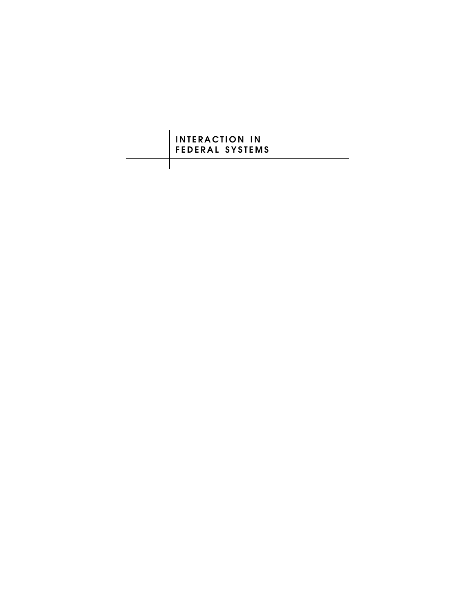## **INTERACTION IN FEDERAL SYSTEMS**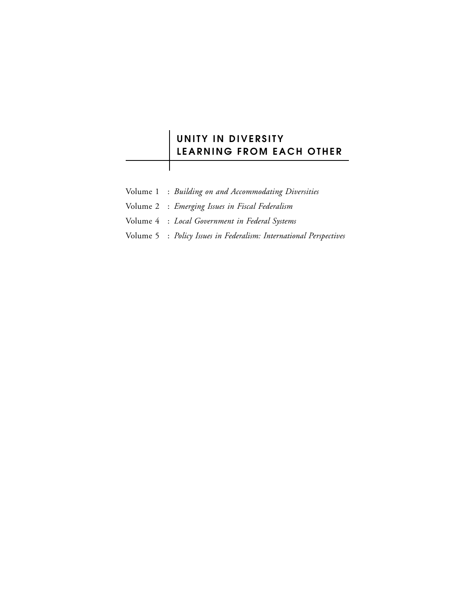## **UNITY IN DIVERSITY LEARNING FROM EACH OTHER**

- Volume 1 : *Building on and Accommodating Diversities*
- Volume 2 : *Emerging Issues in Fiscal Federalism*
- Volume 4 : *Local Government in Federal Systems*
- Volume 5 : *Policy Issues in Federalism: International Perspectives*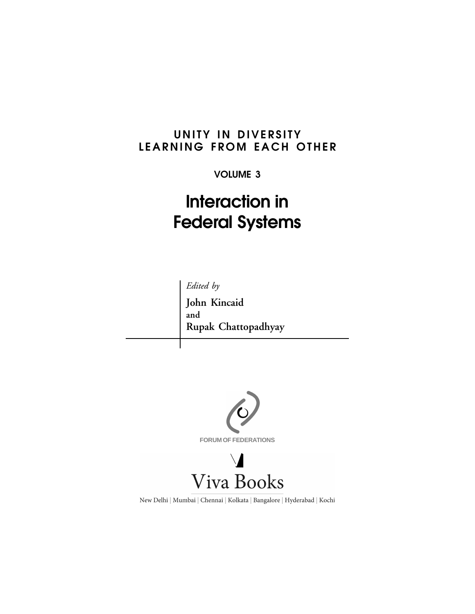## **UNITY IN DIVERSITY LEARNING FROM EACH OTHER**

## **VOLUME 3**

# **Interaction in Federal Systems**



**John Kincaid and Rupak Chattopadhyay**



New Delhi | Mumbai | Chennai | Kolkata | Bangalore | Hyderabad | Kochi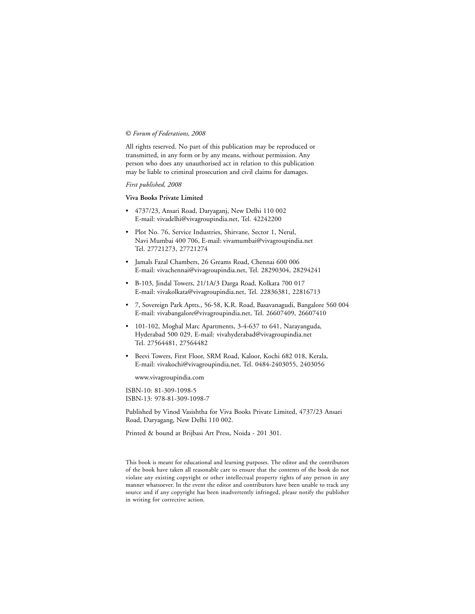#### © *Forum of Federations, 2008*

All rights reserved. No part of this publication may be reproduced or transmitted, in any form or by any means, without permission. Any person who does any unauthorised act in relation to this publication may be liable to criminal prosecution and civil claims for damages.

#### *First published, 2008*

#### **Viva Books Private Limited**

- 4737/23, Ansari Road, Daryaganj, New Delhi 110 002 E-mail: vivadelhi@vivagroupindia.net, Tel. 42242200
- Plot No. 76, Service Industries, Shirvane, Sector 1, Nerul, Navi Mumbai 400 706, E-mail: vivamumbai@vivagroupindia.net Tel. 27721273, 27721274
- Jamals Fazal Chambers, 26 Greams Road, Chennai 600 006 E-mail: vivachennai@vivagroupindia.net, Tel. 28290304, 28294241
- B-103, Jindal Towers, 21/1A/3 Darga Road, Kolkata 700 017 E-mail: vivakolkata@vivagroupindia.net, Tel. 22836381, 22816713
- 7, Sovereign Park Aptts., 56-58, K.R. Road, Basavanagudi, Bangalore 560 004 E-mail: vivabangalore@vivagroupindia.net, Tel. 26607409, 26607410
- 101-102, Moghal Marc Apartments, 3-4-637 to 641, Narayanguda, Hyderabad 500 029, E-mail: vivahyderabad@vivagroupindia.net Tel. 27564481, 27564482
- Beevi Towers, First Floor, SRM Road, Kaloor, Kochi 682 018, Kerala, E-mail: vivakochi@vivagroupindia.net, Tel. 0484-2403055, 2403056

www.vivagroupindia.com

ISBN-10: 81-309-1098-5 ISBN-13: 978-81-309-1098-7

Published by Vinod Vasishtha for Viva Books Private Limited, 4737/23 Ansari Road, Daryagang, New Delhi 110 002.

Printed & bound at Brijbasi Art Press, Noida - 201 301.

This book is meant for educational and learning purposes. The editor and the contributors of the book have taken all reasonable care to ensure that the contents of the book do not violate any existing copyright or other intellectual property rights of any person in any manner whatsoever. In the event the editor and contributors have been unable to track any source and if any copyright has been inadvertently infringed, please notify the publisher in writing for corrective action.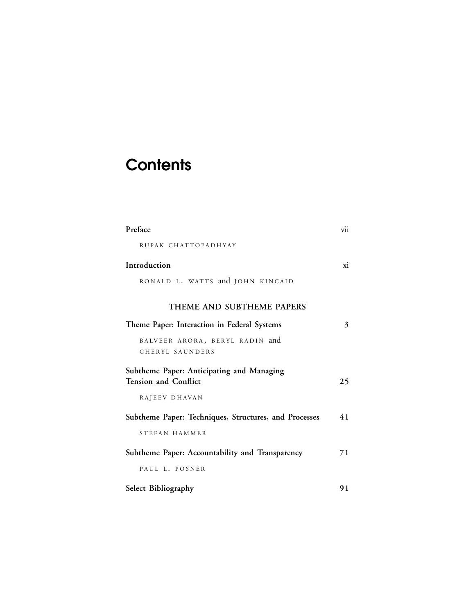# **Contents**

| Preface                                                                  | vii |
|--------------------------------------------------------------------------|-----|
| RUPAK CHATTOPADHYAY                                                      |     |
| Introduction                                                             | xi  |
| RONALD L. WATTS and JOHN KINCAID                                         |     |
| THEME AND SUBTHEME PAPERS                                                |     |
| Theme Paper: Interaction in Federal Systems                              | 3   |
| BALVEER ARORA, BERYL RADIN and<br>CHERYL SAUNDERS                        |     |
| Subtheme Paper: Anticipating and Managing<br><b>Tension and Conflict</b> | 25  |
| RAJEEV DHAVAN                                                            |     |
| Subtheme Paper: Techniques, Structures, and Processes                    | 41  |
| STEFAN HAMMER                                                            |     |
| Subtheme Paper: Accountability and Transparency                          | 71  |
| PAUL L. POSNER                                                           |     |
| Select Bibliography                                                      | 91  |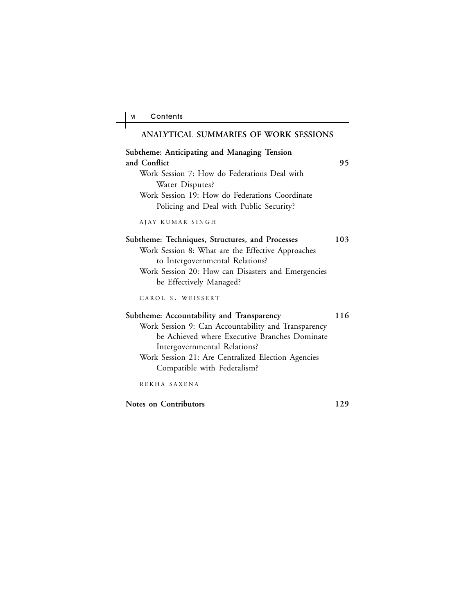$\overline{a}$ ╅

| ANALYTICAL SUMMARIES OF WORK SESSIONS                                                                                                                                                                                                                                  |     |
|------------------------------------------------------------------------------------------------------------------------------------------------------------------------------------------------------------------------------------------------------------------------|-----|
| Subtheme: Anticipating and Managing Tension<br>and Conflict<br>Work Session 7: How do Federations Deal with<br>Water Disputes?<br>Work Session 19: How do Federations Coordinate<br>Policing and Deal with Public Security?                                            | 95  |
| AJAY KUMAR SINGH                                                                                                                                                                                                                                                       |     |
| Subtheme: Techniques, Structures, and Processes<br>Work Session 8: What are the Effective Approaches<br>to Intergovernmental Relations?<br>Work Session 20: How can Disasters and Emergencies<br>be Effectively Managed?                                               | 103 |
| CAROL S. WEISSERT                                                                                                                                                                                                                                                      |     |
| Subtheme: Accountability and Transparency<br>Work Session 9: Can Accountability and Transparency<br>be Achieved where Executive Branches Dominate<br>Intergovernmental Relations?<br>Work Session 21: Are Centralized Election Agencies<br>Compatible with Federalism? | 116 |
| REKHA SAXENA                                                                                                                                                                                                                                                           |     |
| <b>Notes on Contributors</b>                                                                                                                                                                                                                                           | 129 |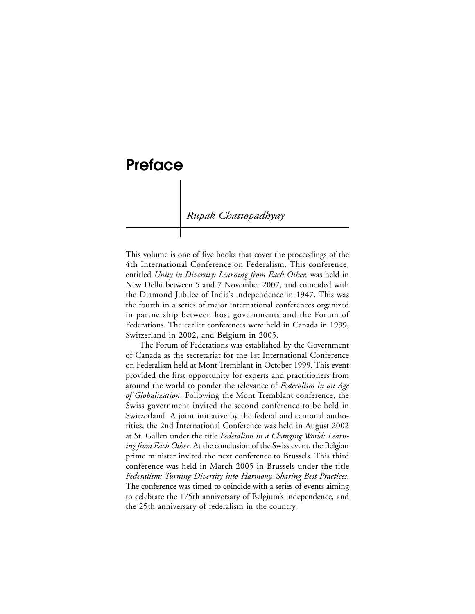## **Preface**

*Rupak Chattopadhyay*

This volume is one of five books that cover the proceedings of the 4th International Conference on Federalism. This conference, entitled *Unity in Diversity: Learning from Each Other,* was held in New Delhi between 5 and 7 November 2007, and coincided with the Diamond Jubilee of India's independence in 1947. This was the fourth in a series of major international conferences organized in partnership between host governments and the Forum of Federations. The earlier conferences were held in Canada in 1999, Switzerland in 2002, and Belgium in 2005.

The Forum of Federations was established by the Government of Canada as the secretariat for the 1st International Conference on Federalism held at Mont Tremblant in October 1999. This event provided the first opportunity for experts and practitioners from around the world to ponder the relevance of *Federalism in an Age of Globalization*. Following the Mont Tremblant conference, the Swiss government invited the second conference to be held in Switzerland. A joint initiative by the federal and cantonal authorities, the 2nd International Conference was held in August 2002 at St. Gallen under the title *Federalism in a Changing World: Learning from Each Other*. At the conclusion of the Swiss event, the Belgian prime minister invited the next conference to Brussels. This third conference was held in March 2005 in Brussels under the title *Federalism: Turning Diversity into Harmony, Sharing Best Practices*. The conference was timed to coincide with a series of events aiming to celebrate the 175th anniversary of Belgium's independence, and the 25th anniversary of federalism in the country.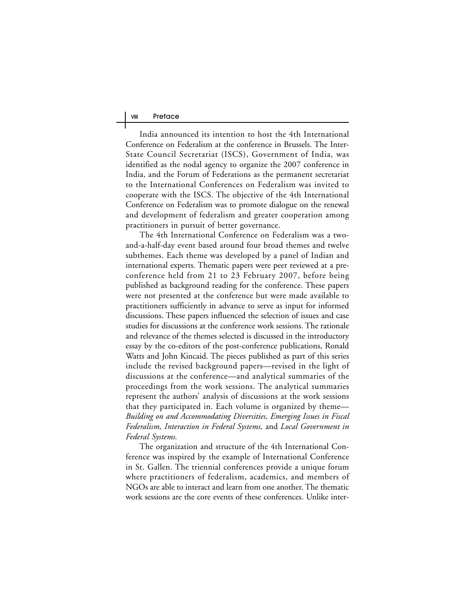India announced its intention to host the 4th International Conference on Federalism at the conference in Brussels. The Inter-State Council Secretariat (ISCS), Government of India, was identified as the nodal agency to organize the 2007 conference in India, and the Forum of Federations as the permanent secretariat to the International Conferences on Federalism was invited to cooperate with the ISCS. The objective of the 4th International Conference on Federalism was to promote dialogue on the renewal and development of federalism and greater cooperation among practitioners in pursuit of better governance.

The 4th International Conference on Federalism was a twoand-a-half-day event based around four broad themes and twelve subthemes. Each theme was developed by a panel of Indian and international experts. Thematic papers were peer reviewed at a preconference held from 21 to 23 February 2007, before being published as background reading for the conference. These papers were not presented at the conference but were made available to practitioners sufficiently in advance to serve as input for informed discussions. These papers influenced the selection of issues and case studies for discussions at the conference work sessions. The rationale and relevance of the themes selected is discussed in the introductory essay by the co-editors of the post-conference publications, Ronald Watts and John Kincaid. The pieces published as part of this series include the revised background papers—revised in the light of discussions at the conference—and analytical summaries of the proceedings from the work sessions. The analytical summaries represent the authors' analysis of discussions at the work sessions that they participated in. Each volume is organized by theme— *Building on and Accommodating Diversities, Emerging Issues in Fiscal Federalism, Interaction in Federal Systems,* and *Local Government in Federal Systems.*

The organization and structure of the 4th International Conference was inspired by the example of International Conference in St. Gallen. The triennial conferences provide a unique forum where practitioners of federalism, academics, and members of NGOs are able to interact and learn from one another. The thematic work sessions are the core events of these conferences. Unlike inter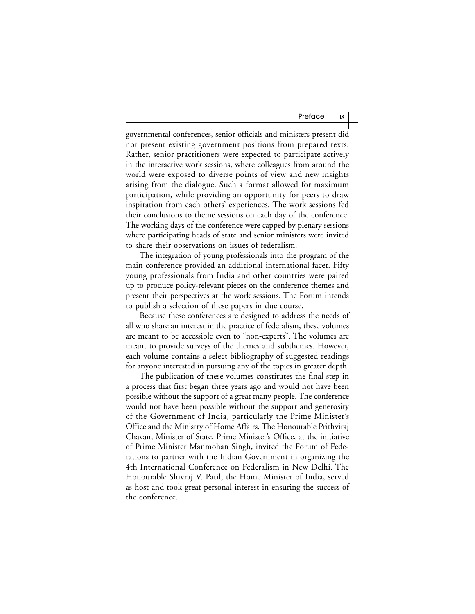governmental conferences, senior officials and ministers present did not present existing government positions from prepared texts. Rather, senior practitioners were expected to participate actively in the interactive work sessions, where colleagues from around the world were exposed to diverse points of view and new insights arising from the dialogue. Such a format allowed for maximum participation, while providing an opportunity for peers to draw inspiration from each others' experiences. The work sessions fed their conclusions to theme sessions on each day of the conference. The working days of the conference were capped by plenary sessions where participating heads of state and senior ministers were invited to share their observations on issues of federalism.

The integration of young professionals into the program of the main conference provided an additional international facet. Fifty young professionals from India and other countries were paired up to produce policy-relevant pieces on the conference themes and present their perspectives at the work sessions. The Forum intends to publish a selection of these papers in due course.

Because these conferences are designed to address the needs of all who share an interest in the practice of federalism, these volumes are meant to be accessible even to "non-experts". The volumes are meant to provide surveys of the themes and subthemes. However, each volume contains a select bibliography of suggested readings for anyone interested in pursuing any of the topics in greater depth.

The publication of these volumes constitutes the final step in a process that first began three years ago and would not have been possible without the support of a great many people. The conference would not have been possible without the support and generosity of the Government of India, particularly the Prime Minister's Office and the Ministry of Home Affairs. The Honourable Prithviraj Chavan, Minister of State, Prime Minister's Office, at the initiative of Prime Minister Manmohan Singh, invited the Forum of Federations to partner with the Indian Government in organizing the 4th International Conference on Federalism in New Delhi. The Honourable Shivraj V. Patil, the Home Minister of India, served as host and took great personal interest in ensuring the success of the conference.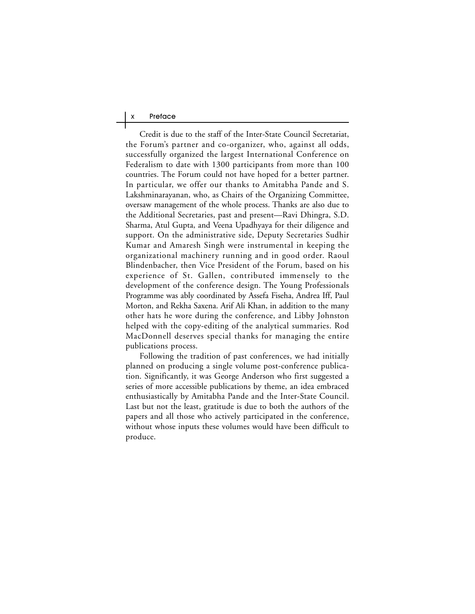#### X Preface

Credit is due to the staff of the Inter-State Council Secretariat, the Forum's partner and co-organizer, who, against all odds, successfully organized the largest International Conference on Federalism to date with 1300 participants from more than 100 countries. The Forum could not have hoped for a better partner. In particular, we offer our thanks to Amitabha Pande and S. Lakshminarayanan, who, as Chairs of the Organizing Committee, oversaw management of the whole process. Thanks are also due to the Additional Secretaries, past and present—Ravi Dhingra, S.D. Sharma, Atul Gupta, and Veena Upadhyaya for their diligence and support. On the administrative side, Deputy Secretaries Sudhir Kumar and Amaresh Singh were instrumental in keeping the organizational machinery running and in good order. Raoul Blindenbacher, then Vice President of the Forum, based on his experience of St. Gallen, contributed immensely to the development of the conference design. The Young Professionals Programme was ably coordinated by Assefa Fiseha, Andrea Iff, Paul Morton, and Rekha Saxena. Arif Ali Khan, in addition to the many other hats he wore during the conference, and Libby Johnston helped with the copy-editing of the analytical summaries. Rod MacDonnell deserves special thanks for managing the entire publications process.

Following the tradition of past conferences, we had initially planned on producing a single volume post-conference publication. Significantly, it was George Anderson who first suggested a series of more accessible publications by theme, an idea embraced enthusiastically by Amitabha Pande and the Inter-State Council. Last but not the least, gratitude is due to both the authors of the papers and all those who actively participated in the conference, without whose inputs these volumes would have been difficult to produce.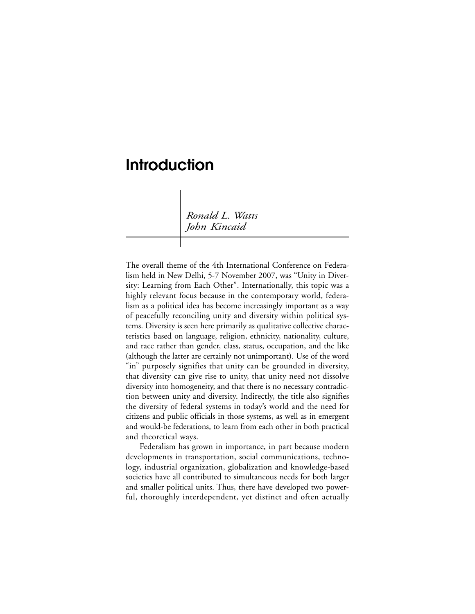## **Introduction**

*Ronald L. Watts John Kincaid*

The overall theme of the 4th International Conference on Federalism held in New Delhi, 5-7 November 2007, was "Unity in Diversity: Learning from Each Other". Internationally, this topic was a highly relevant focus because in the contemporary world, federalism as a political idea has become increasingly important as a way of peacefully reconciling unity and diversity within political systems. Diversity is seen here primarily as qualitative collective characteristics based on language, religion, ethnicity, nationality, culture, and race rather than gender, class, status, occupation, and the like (although the latter are certainly not unimportant). Use of the word "in" purposely signifies that unity can be grounded in diversity, that diversity can give rise to unity, that unity need not dissolve diversity into homogeneity, and that there is no necessary contradiction between unity and diversity. Indirectly, the title also signifies the diversity of federal systems in today's world and the need for citizens and public officials in those systems, as well as in emergent and would-be federations, to learn from each other in both practical and theoretical ways.

Federalism has grown in importance, in part because modern developments in transportation, social communications, technology, industrial organization, globalization and knowledge-based societies have all contributed to simultaneous needs for both larger and smaller political units. Thus, there have developed two powerful, thoroughly interdependent, yet distinct and often actually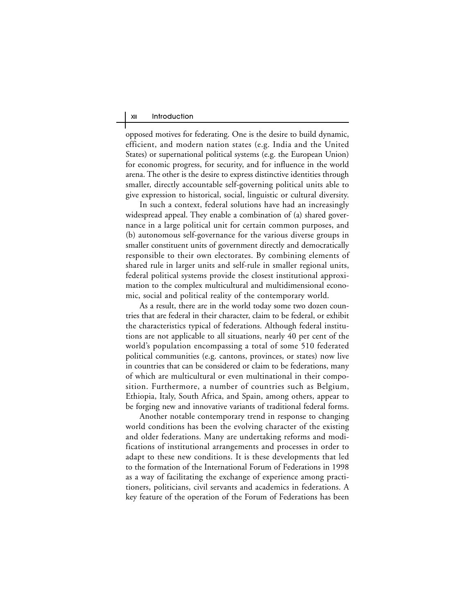opposed motives for federating. One is the desire to build dynamic, efficient, and modern nation states (e.g. India and the United States) or supernational political systems (e.g. the European Union) for economic progress, for security, and for influence in the world arena. The other is the desire to express distinctive identities through smaller, directly accountable self-governing political units able to give expression to historical, social, linguistic or cultural diversity.

In such a context, federal solutions have had an increasingly widespread appeal. They enable a combination of (a) shared governance in a large political unit for certain common purposes, and (b) autonomous self-governance for the various diverse groups in smaller constituent units of government directly and democratically responsible to their own electorates. By combining elements of shared rule in larger units and self-rule in smaller regional units, federal political systems provide the closest institutional approximation to the complex multicultural and multidimensional economic, social and political reality of the contemporary world.

As a result, there are in the world today some two dozen countries that are federal in their character, claim to be federal, or exhibit the characteristics typical of federations. Although federal institutions are not applicable to all situations, nearly 40 per cent of the world's population encompassing a total of some 510 federated political communities (e.g. cantons, provinces, or states) now live in countries that can be considered or claim to be federations, many of which are multicultural or even multinational in their composition. Furthermore, a number of countries such as Belgium, Ethiopia, Italy, South Africa, and Spain, among others, appear to be forging new and innovative variants of traditional federal forms.

Another notable contemporary trend in response to changing world conditions has been the evolving character of the existing and older federations. Many are undertaking reforms and modifications of institutional arrangements and processes in order to adapt to these new conditions. It is these developments that led to the formation of the International Forum of Federations in 1998 as a way of facilitating the exchange of experience among practitioners, politicians, civil servants and academics in federations. A key feature of the operation of the Forum of Federations has been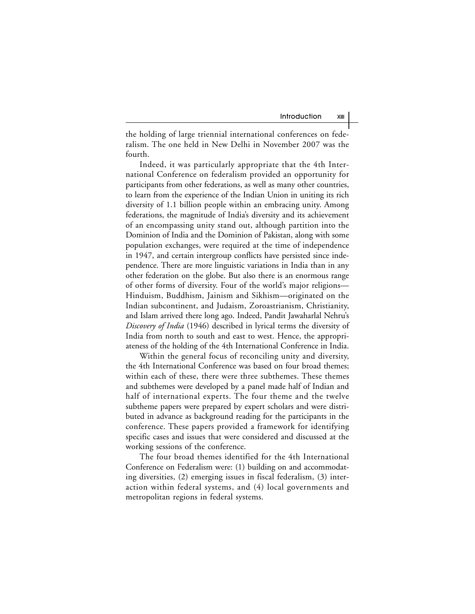the holding of large triennial international conferences on federalism. The one held in New Delhi in November 2007 was the fourth.

Indeed, it was particularly appropriate that the 4th International Conference on federalism provided an opportunity for participants from other federations, as well as many other countries, to learn from the experience of the Indian Union in uniting its rich diversity of 1.1 billion people within an embracing unity. Among federations, the magnitude of India's diversity and its achievement of an encompassing unity stand out, although partition into the Dominion of India and the Dominion of Pakistan, along with some population exchanges, were required at the time of independence in 1947, and certain intergroup conflicts have persisted since independence. There are more linguistic variations in India than in any other federation on the globe. But also there is an enormous range of other forms of diversity. Four of the world's major religions— Hinduism, Buddhism, Jainism and Sikhism—originated on the Indian subcontinent, and Judaism, Zoroastrianism, Christianity, and Islam arrived there long ago. Indeed, Pandit Jawaharlal Nehru's *Discovery of India* (1946) described in lyrical terms the diversity of India from north to south and east to west. Hence, the appropriateness of the holding of the 4th International Conference in India.

Within the general focus of reconciling unity and diversity, the 4th International Conference was based on four broad themes; within each of these, there were three subthemes. These themes and subthemes were developed by a panel made half of Indian and half of international experts. The four theme and the twelve subtheme papers were prepared by expert scholars and were distributed in advance as background reading for the participants in the conference. These papers provided a framework for identifying specific cases and issues that were considered and discussed at the working sessions of the conference.

The four broad themes identified for the 4th International Conference on Federalism were: (1) building on and accommodating diversities, (2) emerging issues in fiscal federalism, (3) interaction within federal systems, and (4) local governments and metropolitan regions in federal systems.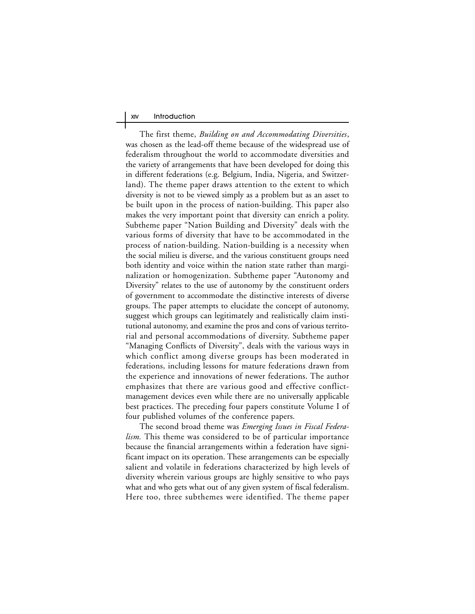The first theme, *Building on and Accommodating Diversities*, was chosen as the lead-off theme because of the widespread use of federalism throughout the world to accommodate diversities and the variety of arrangements that have been developed for doing this in different federations (e.g. Belgium, India, Nigeria, and Switzerland). The theme paper draws attention to the extent to which diversity is not to be viewed simply as a problem but as an asset to be built upon in the process of nation-building. This paper also makes the very important point that diversity can enrich a polity. Subtheme paper "Nation Building and Diversity" deals with the various forms of diversity that have to be accommodated in the process of nation-building. Nation-building is a necessity when the social milieu is diverse, and the various constituent groups need both identity and voice within the nation state rather than marginalization or homogenization. Subtheme paper "Autonomy and Diversity" relates to the use of autonomy by the constituent orders of government to accommodate the distinctive interests of diverse groups. The paper attempts to elucidate the concept of autonomy, suggest which groups can legitimately and realistically claim institutional autonomy, and examine the pros and cons of various territorial and personal accommodations of diversity. Subtheme paper "Managing Conflicts of Diversity", deals with the various ways in which conflict among diverse groups has been moderated in federations, including lessons for mature federations drawn from the experience and innovations of newer federations. The author emphasizes that there are various good and effective conflictmanagement devices even while there are no universally applicable best practices. The preceding four papers constitute Volume I of four published volumes of the conference papers.

The second broad theme was *Emerging Issues in Fiscal Federalism.* This theme was considered to be of particular importance because the financial arrangements within a federation have significant impact on its operation. These arrangements can be especially salient and volatile in federations characterized by high levels of diversity wherein various groups are highly sensitive to who pays what and who gets what out of any given system of fiscal federalism. Here too, three subthemes were identified. The theme paper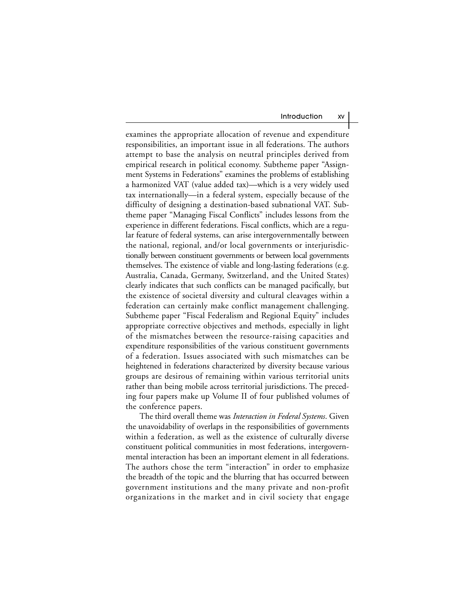examines the appropriate allocation of revenue and expenditure responsibilities, an important issue in all federations. The authors attempt to base the analysis on neutral principles derived from empirical research in political economy. Subtheme paper "Assignment Systems in Federations" examines the problems of establishing a harmonized VAT (value added tax)—which is a very widely used tax internationally—in a federal system, especially because of the difficulty of designing a destination-based subnational VAT. Subtheme paper "Managing Fiscal Conflicts" includes lessons from the experience in different federations. Fiscal conflicts, which are a regular feature of federal systems, can arise intergovernmentally between the national, regional, and/or local governments or interjurisdictionally between constituent governments or between local governments themselves. The existence of viable and long-lasting federations (e.g. Australia, Canada, Germany, Switzerland, and the United States) clearly indicates that such conflicts can be managed pacifically, but the existence of societal diversity and cultural cleavages within a federation can certainly make conflict management challenging. Subtheme paper "Fiscal Federalism and Regional Equity" includes appropriate corrective objectives and methods, especially in light of the mismatches between the resource-raising capacities and expenditure responsibilities of the various constituent governments of a federation. Issues associated with such mismatches can be heightened in federations characterized by diversity because various groups are desirous of remaining within various territorial units rather than being mobile across territorial jurisdictions. The preceding four papers make up Volume II of four published volumes of the conference papers.

The third overall theme was *Interaction in Federal Systems*. Given the unavoidability of overlaps in the responsibilities of governments within a federation, as well as the existence of culturally diverse constituent political communities in most federations, intergovernmental interaction has been an important element in all federations. The authors chose the term "interaction" in order to emphasize the breadth of the topic and the blurring that has occurred between government institutions and the many private and non-profit organizations in the market and in civil society that engage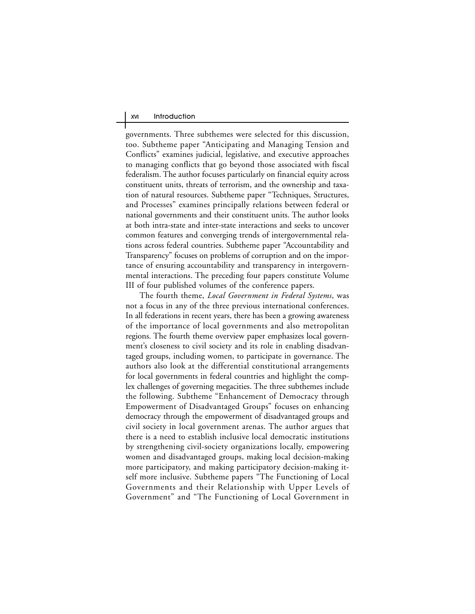governments. Three subthemes were selected for this discussion, too. Subtheme paper "Anticipating and Managing Tension and Conflicts" examines judicial, legislative, and executive approaches to managing conflicts that go beyond those associated with fiscal federalism. The author focuses particularly on financial equity across constituent units, threats of terrorism, and the ownership and taxation of natural resources. Subtheme paper "Techniques, Structures, and Processes" examines principally relations between federal or national governments and their constituent units. The author looks at both intra-state and inter-state interactions and seeks to uncover common features and converging trends of intergovernmental relations across federal countries. Subtheme paper "Accountability and Transparency" focuses on problems of corruption and on the importance of ensuring accountability and transparency in intergovernmental interactions. The preceding four papers constitute Volume III of four published volumes of the conference papers.

The fourth theme, *Local Government in Federal Systems*, was not a focus in any of the three previous international conferences. In all federations in recent years, there has been a growing awareness of the importance of local governments and also metropolitan regions. The fourth theme overview paper emphasizes local government's closeness to civil society and its role in enabling disadvantaged groups, including women, to participate in governance. The authors also look at the differential constitutional arrangements for local governments in federal countries and highlight the complex challenges of governing megacities. The three subthemes include the following. Subtheme "Enhancement of Democracy through Empowerment of Disadvantaged Groups" focuses on enhancing democracy through the empowerment of disadvantaged groups and civil society in local government arenas. The author argues that there is a need to establish inclusive local democratic institutions by strengthening civil-society organizations locally, empowering women and disadvantaged groups, making local decision-making more participatory, and making participatory decision-making itself more inclusive. Subtheme papers "The Functioning of Local Governments and their Relationship with Upper Levels of Government" and "The Functioning of Local Government in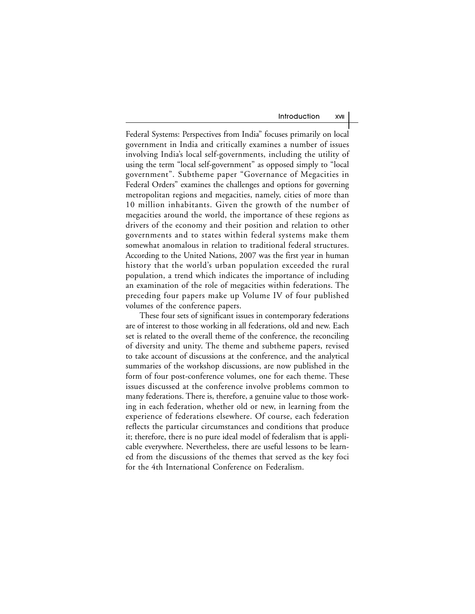Federal Systems: Perspectives from India" focuses primarily on local government in India and critically examines a number of issues involving India's local self-governments, including the utility of using the term "local self-government" as opposed simply to "local government". Subtheme paper "Governance of Megacities in Federal Orders" examines the challenges and options for governing metropolitan regions and megacities, namely, cities of more than 10 million inhabitants. Given the growth of the number of megacities around the world, the importance of these regions as drivers of the economy and their position and relation to other governments and to states within federal systems make them somewhat anomalous in relation to traditional federal structures. According to the United Nations, 2007 was the first year in human history that the world's urban population exceeded the rural population, a trend which indicates the importance of including an examination of the role of megacities within federations. The preceding four papers make up Volume IV of four published volumes of the conference papers.

These four sets of significant issues in contemporary federations are of interest to those working in all federations, old and new. Each set is related to the overall theme of the conference, the reconciling of diversity and unity. The theme and subtheme papers, revised to take account of discussions at the conference, and the analytical summaries of the workshop discussions, are now published in the form of four post-conference volumes, one for each theme. These issues discussed at the conference involve problems common to many federations. There is, therefore, a genuine value to those working in each federation, whether old or new, in learning from the experience of federations elsewhere. Of course, each federation reflects the particular circumstances and conditions that produce it; therefore, there is no pure ideal model of federalism that is applicable everywhere. Nevertheless, there are useful lessons to be learned from the discussions of the themes that served as the key foci for the 4th International Conference on Federalism.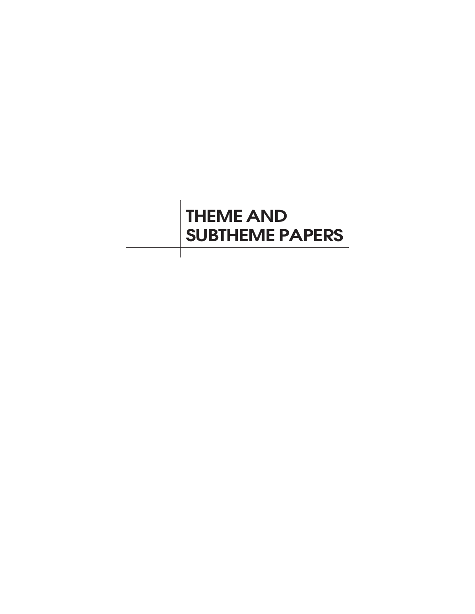# **THEME AND SUBTHEME PAPERS**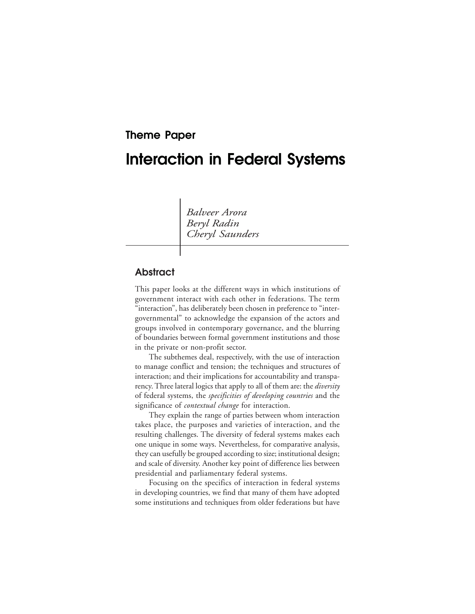## **Theme Paper**

## **Interaction in Federal Systems**

*Balveer Arora Beryl Radin Cheryl Saunders*

### **Abstract**

This paper looks at the different ways in which institutions of government interact with each other in federations. The term "interaction", has deliberately been chosen in preference to "intergovernmental" to acknowledge the expansion of the actors and groups involved in contemporary governance, and the blurring of boundaries between formal government institutions and those in the private or non-profit sector.

The subthemes deal, respectively, with the use of interaction to manage conflict and tension; the techniques and structures of interaction; and their implications for accountability and transparency. Three lateral logics that apply to all of them are: the *diversity* of federal systems, the *specificities of developing countries* and the significance of *contextual change* for interaction.

They explain the range of parties between whom interaction takes place, the purposes and varieties of interaction, and the resulting challenges. The diversity of federal systems makes each one unique in some ways. Nevertheless, for comparative analysis, they can usefully be grouped according to size; institutional design; and scale of diversity. Another key point of difference lies between presidential and parliamentary federal systems.

Focusing on the specifics of interaction in federal systems in developing countries, we find that many of them have adopted some institutions and techniques from older federations but have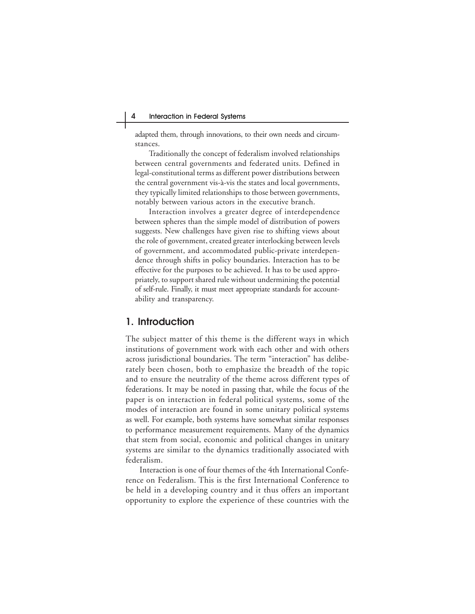adapted them, through innovations, to their own needs and circumstances.

Traditionally the concept of federalism involved relationships between central governments and federated units. Defined in legal-constitutional terms as different power distributions between the central government vis-à-vis the states and local governments, they typically limited relationships to those between governments, notably between various actors in the executive branch.

Interaction involves a greater degree of interdependence between spheres than the simple model of distribution of powers suggests. New challenges have given rise to shifting views about the role of government, created greater interlocking between levels of government, and accommodated public-private interdependence through shifts in policy boundaries. Interaction has to be effective for the purposes to be achieved. It has to be used appropriately, to support shared rule without undermining the potential of self-rule. Finally, it must meet appropriate standards for accountability and transparency.

### **1. Introduction**

The subject matter of this theme is the different ways in which institutions of government work with each other and with others across jurisdictional boundaries. The term "interaction" has deliberately been chosen, both to emphasize the breadth of the topic and to ensure the neutrality of the theme across different types of federations. It may be noted in passing that, while the focus of the paper is on interaction in federal political systems, some of the modes of interaction are found in some unitary political systems as well. For example, both systems have somewhat similar responses to performance measurement requirements. Many of the dynamics that stem from social, economic and political changes in unitary systems are similar to the dynamics traditionally associated with federalism.

Interaction is one of four themes of the 4th International Conference on Federalism. This is the first International Conference to be held in a developing country and it thus offers an important opportunity to explore the experience of these countries with the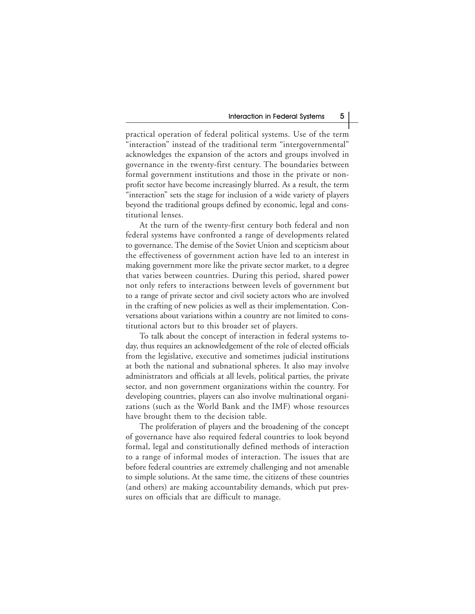practical operation of federal political systems. Use of the term "interaction" instead of the traditional term "intergovernmental" acknowledges the expansion of the actors and groups involved in governance in the twenty-first century. The boundaries between formal government institutions and those in the private or nonprofit sector have become increasingly blurred. As a result, the term "interaction" sets the stage for inclusion of a wide variety of players beyond the traditional groups defined by economic, legal and constitutional lenses.

At the turn of the twenty-first century both federal and non federal systems have confronted a range of developments related to governance. The demise of the Soviet Union and scepticism about the effectiveness of government action have led to an interest in making government more like the private sector market, to a degree that varies between countries. During this period, shared power not only refers to interactions between levels of government but to a range of private sector and civil society actors who are involved in the crafting of new policies as well as their implementation. Conversations about variations within a country are not limited to constitutional actors but to this broader set of players.

To talk about the concept of interaction in federal systems today, thus requires an acknowledgement of the role of elected officials from the legislative, executive and sometimes judicial institutions at both the national and subnational spheres. It also may involve administrators and officials at all levels, political parties, the private sector, and non government organizations within the country. For developing countries, players can also involve multinational organizations (such as the World Bank and the IMF) whose resources have brought them to the decision table.

The proliferation of players and the broadening of the concept of governance have also required federal countries to look beyond formal, legal and constitutionally defined methods of interaction to a range of informal modes of interaction. The issues that are before federal countries are extremely challenging and not amenable to simple solutions. At the same time, the citizens of these countries (and others) are making accountability demands, which put pressures on officials that are difficult to manage.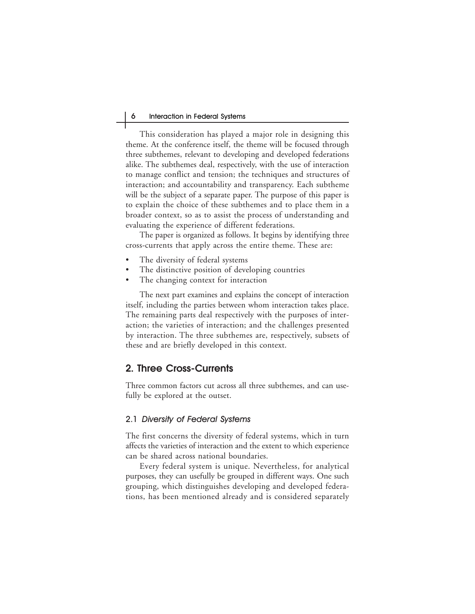This consideration has played a major role in designing this theme. At the conference itself, the theme will be focused through three subthemes, relevant to developing and developed federations alike. The subthemes deal, respectively, with the use of interaction to manage conflict and tension; the techniques and structures of interaction; and accountability and transparency. Each subtheme will be the subject of a separate paper. The purpose of this paper is to explain the choice of these subthemes and to place them in a broader context, so as to assist the process of understanding and evaluating the experience of different federations.

The paper is organized as follows. It begins by identifying three cross-currents that apply across the entire theme. These are:

- The diversity of federal systems
- The distinctive position of developing countries
- The changing context for interaction

The next part examines and explains the concept of interaction itself, including the parties between whom interaction takes place. The remaining parts deal respectively with the purposes of interaction; the varieties of interaction; and the challenges presented by interaction. The three subthemes are, respectively, subsets of these and are briefly developed in this context.

#### **2. Three Cross-Currents**

Three common factors cut across all three subthemes, and can usefully be explored at the outset.

#### 2.1 Diversity of Federal Systems

The first concerns the diversity of federal systems, which in turn affects the varieties of interaction and the extent to which experience can be shared across national boundaries.

Every federal system is unique. Nevertheless, for analytical purposes, they can usefully be grouped in different ways. One such grouping, which distinguishes developing and developed federations, has been mentioned already and is considered separately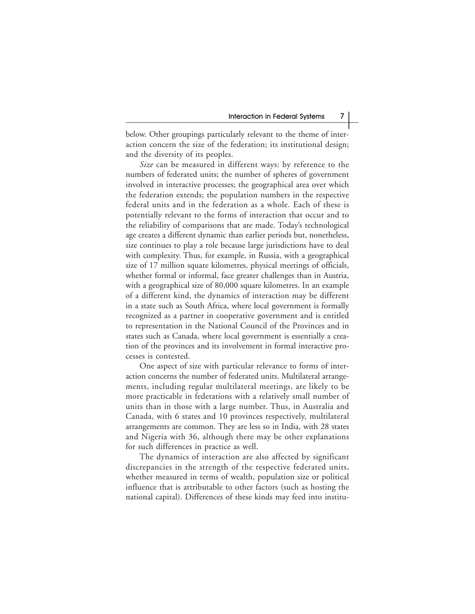below. Other groupings particularly relevant to the theme of interaction concern the size of the federation; its institutional design; and the diversity of its peoples.

*Size* can be measured in different ways: by reference to the numbers of federated units; the number of spheres of government involved in interactive processes; the geographical area over which the federation extends; the population numbers in the respective federal units and in the federation as a whole. Each of these is potentially relevant to the forms of interaction that occur and to the reliability of comparisons that are made. Today's technological age creates a different dynamic than earlier periods but, nonetheless, size continues to play a role because large jurisdictions have to deal with complexity. Thus, for example, in Russia, with a geographical size of 17 million square kilometres, physical meetings of officials, whether formal or informal, face greater challenges than in Austria, with a geographical size of 80,000 square kilometres. In an example of a different kind, the dynamics of interaction may be different in a state such as South Africa, where local government is formally recognized as a partner in cooperative government and is entitled to representation in the National Council of the Provinces and in states such as Canada, where local government is essentially a creation of the provinces and its involvement in formal interactive processes is contested.

One aspect of size with particular relevance to forms of interaction concerns the number of federated units. Multilateral arrangements, including regular multilateral meetings, are likely to be more practicable in federations with a relatively small number of units than in those with a large number. Thus, in Australia and Canada, with 6 states and 10 provinces respectively, multilateral arrangements are common. They are less so in India, with 28 states and Nigeria with 36, although there may be other explanations for such differences in practice as well.

The dynamics of interaction are also affected by significant discrepancies in the strength of the respective federated units, whether measured in terms of wealth, population size or political influence that is attributable to other factors (such as hosting the national capital). Differences of these kinds may feed into institu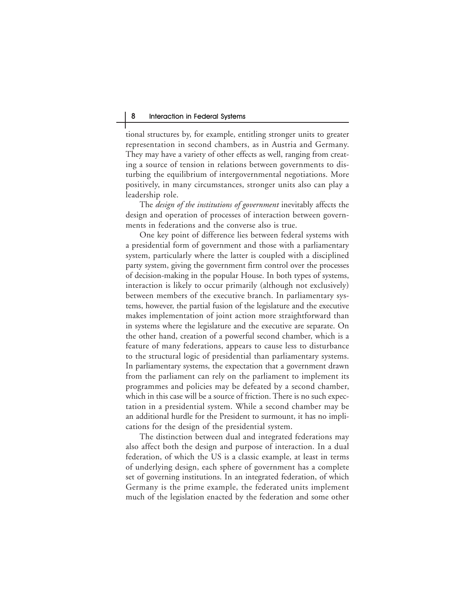tional structures by, for example, entitling stronger units to greater representation in second chambers, as in Austria and Germany. They may have a variety of other effects as well, ranging from creating a source of tension in relations between governments to disturbing the equilibrium of intergovernmental negotiations. More positively, in many circumstances, stronger units also can play a leadership role.

The *design of the institutions of government* inevitably affects the design and operation of processes of interaction between governments in federations and the converse also is true.

One key point of difference lies between federal systems with a presidential form of government and those with a parliamentary system, particularly where the latter is coupled with a disciplined party system, giving the government firm control over the processes of decision-making in the popular House. In both types of systems, interaction is likely to occur primarily (although not exclusively) between members of the executive branch. In parliamentary systems, however, the partial fusion of the legislature and the executive makes implementation of joint action more straightforward than in systems where the legislature and the executive are separate. On the other hand, creation of a powerful second chamber, which is a feature of many federations, appears to cause less to disturbance to the structural logic of presidential than parliamentary systems. In parliamentary systems, the expectation that a government drawn from the parliament can rely on the parliament to implement its programmes and policies may be defeated by a second chamber, which in this case will be a source of friction. There is no such expectation in a presidential system. While a second chamber may be an additional hurdle for the President to surmount, it has no implications for the design of the presidential system.

The distinction between dual and integrated federations may also affect both the design and purpose of interaction. In a dual federation, of which the US is a classic example, at least in terms of underlying design, each sphere of government has a complete set of governing institutions. In an integrated federation, of which Germany is the prime example, the federated units implement much of the legislation enacted by the federation and some other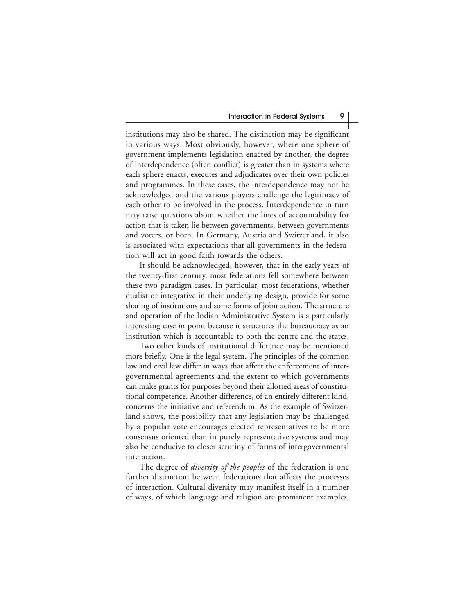institutions may also be shared. The distinction may be significant in various ways. Most obviously, however, where one sphere of government implements legislation enacted by another, the degree of interdependence (often conflict) is greater than in systems where each sphere enacts, executes and adjudicates over their own policies and programmes. In these cases, the interdependence may not be acknowledged and the various players challenge the legitimacy of each other to be involved in the process. Interdependence in turn may raise questions about whether the lines of accountability for action that is taken lie between governments, between governments and voters, or both. In Germany, Austria and Switzerland, it also is associated with expectations that all governments in the federation will act in good faith towards the others.

It should be acknowledged, however, that in the early years of the twenty-first century, most federations fell somewhere between these two paradigm cases. In particular, most federations, whether dualist or integrative in their underlying design, provide for some sharing of institutions and some forms of joint action. The structure and operation of the Indian Administrative System is a particularly interesting case in point because it structures the bureaucracy as an institution which is accountable to both the centre and the states.

Two other kinds of institutional difference may be mentioned more briefly. One is the legal system. The principles of the common law and civil law differ in ways that affect the enforcement of intergovernmental agreements and the extent to which governments can make grants for purposes beyond their allotted areas of constitutional competence. Another difference, of an entirely different kind, concerns the initiative and referendum. As the example of Switzerland shows, the possibility that any legislation may be challenged by a popular vote encourages elected representatives to be more consensus oriented than in purely representative systems and may also be conducive to closer scrutiny of forms of intergovernmental interaction.

The degree of *diversity of the peoples* of the federation is one further distinction between federations that affects the processes of interaction. Cultural diversity may manifest itself in a number of ways, of which language and religion are prominent examples.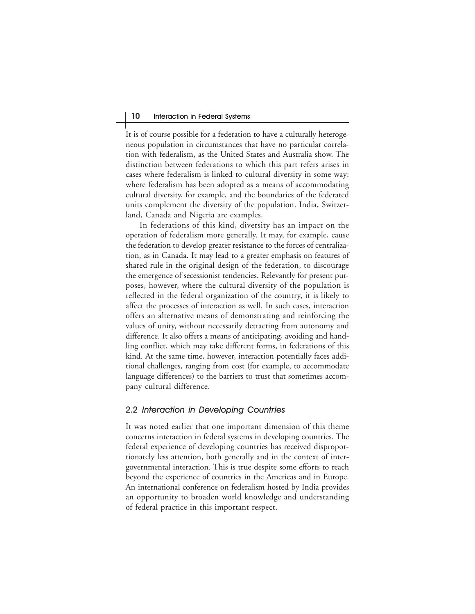It is of course possible for a federation to have a culturally heterogeneous population in circumstances that have no particular correlation with federalism, as the United States and Australia show. The distinction between federations to which this part refers arises in cases where federalism is linked to cultural diversity in some way: where federalism has been adopted as a means of accommodating cultural diversity, for example, and the boundaries of the federated units complement the diversity of the population. India, Switzerland, Canada and Nigeria are examples.

In federations of this kind, diversity has an impact on the operation of federalism more generally. It may, for example, cause the federation to develop greater resistance to the forces of centralization, as in Canada. It may lead to a greater emphasis on features of shared rule in the original design of the federation, to discourage the emergence of secessionist tendencies. Relevantly for present purposes, however, where the cultural diversity of the population is reflected in the federal organization of the country, it is likely to affect the processes of interaction as well. In such cases, interaction offers an alternative means of demonstrating and reinforcing the values of unity, without necessarily detracting from autonomy and difference. It also offers a means of anticipating, avoiding and handling conflict, which may take different forms, in federations of this kind. At the same time, however, interaction potentially faces additional challenges, ranging from cost (for example, to accommodate language differences) to the barriers to trust that sometimes accompany cultural difference.

#### 2.2 Interaction in Developing Countries

It was noted earlier that one important dimension of this theme concerns interaction in federal systems in developing countries. The federal experience of developing countries has received disproportionately less attention, both generally and in the context of intergovernmental interaction. This is true despite some efforts to reach beyond the experience of countries in the Americas and in Europe. An international conference on federalism hosted by India provides an opportunity to broaden world knowledge and understanding of federal practice in this important respect.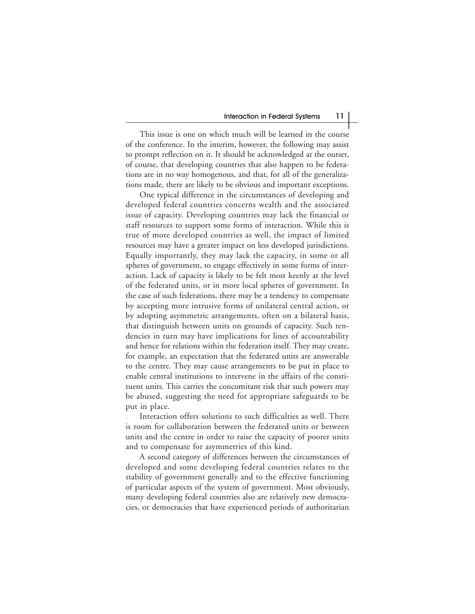This issue is one on which much will be learned in the course of the conference. In the interim, however, the following may assist to prompt reflection on it. It should be acknowledged at the outset, of course, that developing countries that also happen to be federations are in no way homogenous, and that, for all of the generalizations made, there are likely to be obvious and important exceptions.

One typical difference in the circumstances of developing and developed federal countries concerns wealth and the associated issue of capacity. Developing countries may lack the financial or staff resources to support some forms of interaction. While this is true of more developed countries as well, the impact of limited resources may have a greater impact on less developed jurisdictions. Equally importantly, they may lack the capacity, in some or all spheres of government, to engage effectively in some forms of interaction. Lack of capacity is likely to be felt most keenly at the level of the federated units, or in more local spheres of government. In the case of such federations, there may be a tendency to compensate by accepting more intrusive forms of unilateral central action, or by adopting asymmetric arrangements, often on a bilateral basis, that distinguish between units on grounds of capacity. Such tendencies in turn may have implications for lines of accountability and hence for relations within the federation itself. They may create, for example, an expectation that the federated units are answerable to the centre. They may cause arrangements to be put in place to enable central institutions to intervene in the affairs of the constituent units. This carries the concomitant risk that such powers may be abused, suggesting the need for appropriate safeguards to be put in place.

Interaction offers solutions to such difficulties as well. There is room for collaboration between the federated units or between units and the centre in order to raise the capacity of poorer units and to compensate for asymmetries of this kind.

A second category of differences between the circumstances of developed and some developing federal countries relates to the stability of government generally and to the effective functioning of particular aspects of the system of government. Most obviously, many developing federal countries also are relatively new democracies, or democracies that have experienced periods of authoritarian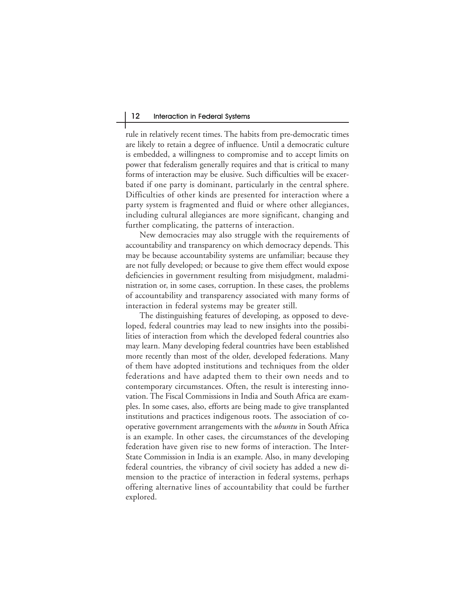rule in relatively recent times. The habits from pre-democratic times are likely to retain a degree of influence. Until a democratic culture is embedded, a willingness to compromise and to accept limits on power that federalism generally requires and that is critical to many forms of interaction may be elusive. Such difficulties will be exacerbated if one party is dominant, particularly in the central sphere. Difficulties of other kinds are presented for interaction where a party system is fragmented and fluid or where other allegiances, including cultural allegiances are more significant, changing and further complicating, the patterns of interaction.

New democracies may also struggle with the requirements of accountability and transparency on which democracy depends. This may be because accountability systems are unfamiliar; because they are not fully developed; or because to give them effect would expose deficiencies in government resulting from misjudgment, maladministration or, in some cases, corruption. In these cases, the problems of accountability and transparency associated with many forms of interaction in federal systems may be greater still.

The distinguishing features of developing, as opposed to developed, federal countries may lead to new insights into the possibilities of interaction from which the developed federal countries also may learn. Many developing federal countries have been established more recently than most of the older, developed federations. Many of them have adopted institutions and techniques from the older federations and have adapted them to their own needs and to contemporary circumstances. Often, the result is interesting innovation. The Fiscal Commissions in India and South Africa are examples. In some cases, also, efforts are being made to give transplanted institutions and practices indigenous roots. The association of cooperative government arrangements with the *ubuntu* in South Africa is an example. In other cases, the circumstances of the developing federation have given rise to new forms of interaction. The Inter-State Commission in India is an example. Also, in many developing federal countries, the vibrancy of civil society has added a new dimension to the practice of interaction in federal systems, perhaps offering alternative lines of accountability that could be further explored.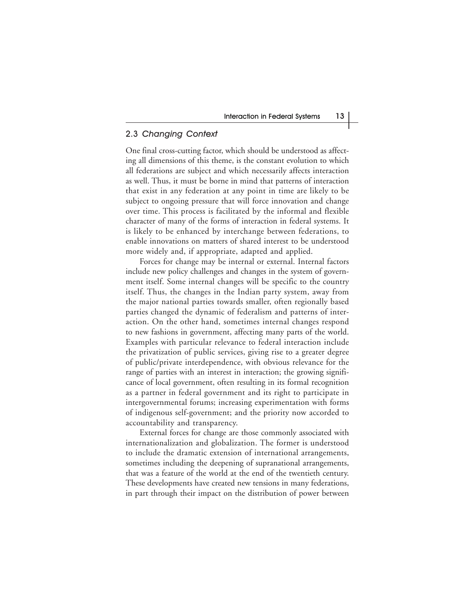#### 2.3 Changing Context

One final cross-cutting factor, which should be understood as affecting all dimensions of this theme, is the constant evolution to which all federations are subject and which necessarily affects interaction as well. Thus, it must be borne in mind that patterns of interaction that exist in any federation at any point in time are likely to be subject to ongoing pressure that will force innovation and change over time. This process is facilitated by the informal and flexible character of many of the forms of interaction in federal systems. It is likely to be enhanced by interchange between federations, to enable innovations on matters of shared interest to be understood more widely and, if appropriate, adapted and applied.

Forces for change may be internal or external. Internal factors include new policy challenges and changes in the system of government itself. Some internal changes will be specific to the country itself. Thus, the changes in the Indian party system, away from the major national parties towards smaller, often regionally based parties changed the dynamic of federalism and patterns of interaction. On the other hand, sometimes internal changes respond to new fashions in government, affecting many parts of the world. Examples with particular relevance to federal interaction include the privatization of public services, giving rise to a greater degree of public/private interdependence, with obvious relevance for the range of parties with an interest in interaction; the growing significance of local government, often resulting in its formal recognition as a partner in federal government and its right to participate in intergovernmental forums; increasing experimentation with forms of indigenous self-government; and the priority now accorded to accountability and transparency.

External forces for change are those commonly associated with internationalization and globalization. The former is understood to include the dramatic extension of international arrangements, sometimes including the deepening of supranational arrangements, that was a feature of the world at the end of the twentieth century. These developments have created new tensions in many federations, in part through their impact on the distribution of power between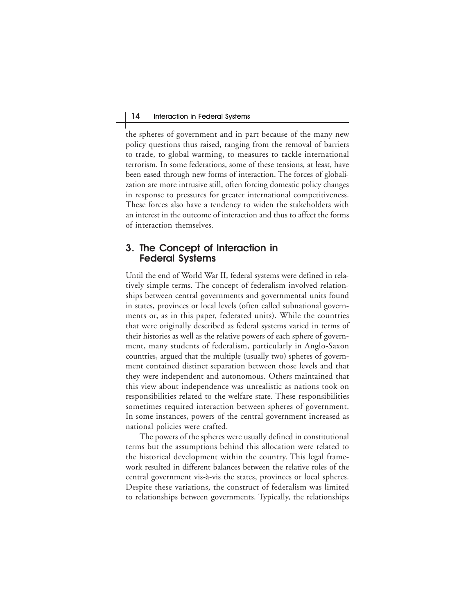the spheres of government and in part because of the many new policy questions thus raised, ranging from the removal of barriers to trade, to global warming, to measures to tackle international terrorism. In some federations, some of these tensions, at least, have been eased through new forms of interaction. The forces of globalization are more intrusive still, often forcing domestic policy changes in response to pressures for greater international competitiveness. These forces also have a tendency to widen the stakeholders with an interest in the outcome of interaction and thus to affect the forms of interaction themselves.

### **3. The Concept of Interaction in Federal Systems**

Until the end of World War II, federal systems were defined in relatively simple terms. The concept of federalism involved relationships between central governments and governmental units found in states, provinces or local levels (often called subnational governments or, as in this paper, federated units). While the countries that were originally described as federal systems varied in terms of their histories as well as the relative powers of each sphere of government, many students of federalism, particularly in Anglo-Saxon countries, argued that the multiple (usually two) spheres of government contained distinct separation between those levels and that they were independent and autonomous. Others maintained that this view about independence was unrealistic as nations took on responsibilities related to the welfare state. These responsibilities sometimes required interaction between spheres of government. In some instances, powers of the central government increased as national policies were crafted.

The powers of the spheres were usually defined in constitutional terms but the assumptions behind this allocation were related to the historical development within the country. This legal framework resulted in different balances between the relative roles of the central government vis-à-vis the states, provinces or local spheres. Despite these variations, the construct of federalism was limited to relationships between governments. Typically, the relationships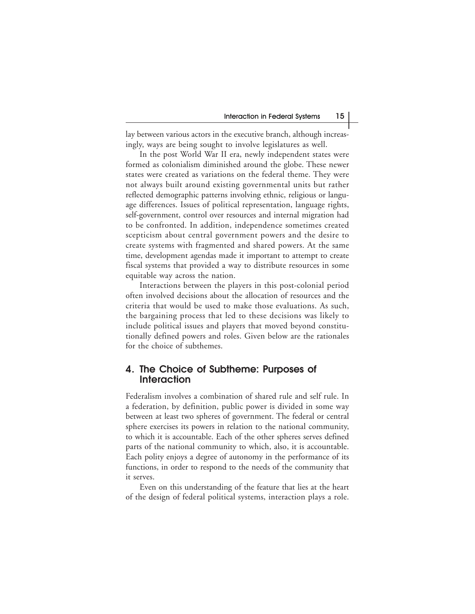lay between various actors in the executive branch, although increasingly, ways are being sought to involve legislatures as well.

In the post World War II era, newly independent states were formed as colonialism diminished around the globe. These newer states were created as variations on the federal theme. They were not always built around existing governmental units but rather reflected demographic patterns involving ethnic, religious or language differences. Issues of political representation, language rights, self-government, control over resources and internal migration had to be confronted. In addition, independence sometimes created scepticism about central government powers and the desire to create systems with fragmented and shared powers. At the same time, development agendas made it important to attempt to create fiscal systems that provided a way to distribute resources in some equitable way across the nation.

Interactions between the players in this post-colonial period often involved decisions about the allocation of resources and the criteria that would be used to make those evaluations. As such, the bargaining process that led to these decisions was likely to include political issues and players that moved beyond constitutionally defined powers and roles. Given below are the rationales for the choice of subthemes.

### **4. The Choice of Subtheme: Purposes of Interaction**

Federalism involves a combination of shared rule and self rule. In a federation, by definition, public power is divided in some way between at least two spheres of government. The federal or central sphere exercises its powers in relation to the national community, to which it is accountable. Each of the other spheres serves defined parts of the national community to which, also, it is accountable. Each polity enjoys a degree of autonomy in the performance of its functions, in order to respond to the needs of the community that it serves.

Even on this understanding of the feature that lies at the heart of the design of federal political systems, interaction plays a role.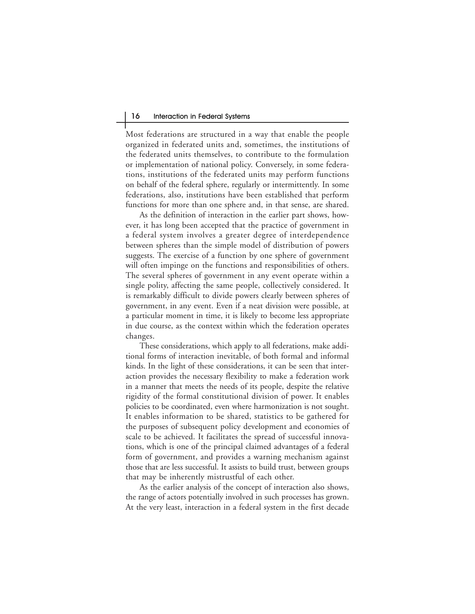Most federations are structured in a way that enable the people organized in federated units and, sometimes, the institutions of the federated units themselves, to contribute to the formulation or implementation of national policy. Conversely, in some federations, institutions of the federated units may perform functions on behalf of the federal sphere, regularly or intermittently. In some federations, also, institutions have been established that perform functions for more than one sphere and, in that sense, are shared.

As the definition of interaction in the earlier part shows, however, it has long been accepted that the practice of government in a federal system involves a greater degree of interdependence between spheres than the simple model of distribution of powers suggests. The exercise of a function by one sphere of government will often impinge on the functions and responsibilities of others. The several spheres of government in any event operate within a single polity, affecting the same people, collectively considered. It is remarkably difficult to divide powers clearly between spheres of government, in any event. Even if a neat division were possible, at a particular moment in time, it is likely to become less appropriate in due course, as the context within which the federation operates changes.

These considerations, which apply to all federations, make additional forms of interaction inevitable, of both formal and informal kinds. In the light of these considerations, it can be seen that interaction provides the necessary flexibility to make a federation work in a manner that meets the needs of its people, despite the relative rigidity of the formal constitutional division of power. It enables policies to be coordinated, even where harmonization is not sought. It enables information to be shared, statistics to be gathered for the purposes of subsequent policy development and economies of scale to be achieved. It facilitates the spread of successful innovations, which is one of the principal claimed advantages of a federal form of government, and provides a warning mechanism against those that are less successful. It assists to build trust, between groups that may be inherently mistrustful of each other.

As the earlier analysis of the concept of interaction also shows, the range of actors potentially involved in such processes has grown. At the very least, interaction in a federal system in the first decade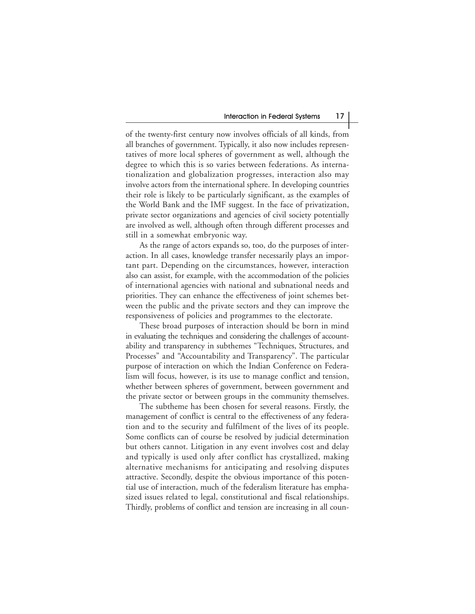of the twenty-first century now involves officials of all kinds, from all branches of government. Typically, it also now includes representatives of more local spheres of government as well, although the degree to which this is so varies between federations. As internationalization and globalization progresses, interaction also may involve actors from the international sphere. In developing countries their role is likely to be particularly significant, as the examples of the World Bank and the IMF suggest. In the face of privatization, private sector organizations and agencies of civil society potentially are involved as well, although often through different processes and still in a somewhat embryonic way.

As the range of actors expands so, too, do the purposes of interaction. In all cases, knowledge transfer necessarily plays an important part. Depending on the circumstances, however, interaction also can assist, for example, with the accommodation of the policies of international agencies with national and subnational needs and priorities. They can enhance the effectiveness of joint schemes between the public and the private sectors and they can improve the responsiveness of policies and programmes to the electorate.

These broad purposes of interaction should be born in mind in evaluating the techniques and considering the challenges of accountability and transparency in subthemes "Techniques, Structures, and Processes" and "Accountability and Transparency". The particular purpose of interaction on which the Indian Conference on Federalism will focus, however, is its use to manage conflict and tension, whether between spheres of government, between government and the private sector or between groups in the community themselves.

The subtheme has been chosen for several reasons. Firstly, the management of conflict is central to the effectiveness of any federation and to the security and fulfilment of the lives of its people. Some conflicts can of course be resolved by judicial determination but others cannot. Litigation in any event involves cost and delay and typically is used only after conflict has crystallized, making alternative mechanisms for anticipating and resolving disputes attractive. Secondly, despite the obvious importance of this potential use of interaction, much of the federalism literature has emphasized issues related to legal, constitutional and fiscal relationships. Thirdly, problems of conflict and tension are increasing in all coun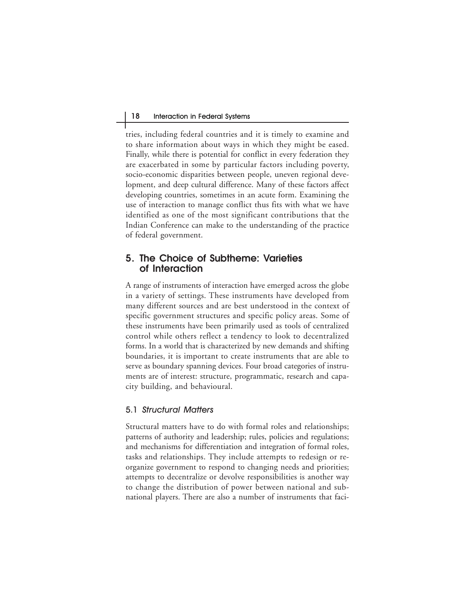tries, including federal countries and it is timely to examine and to share information about ways in which they might be eased. Finally, while there is potential for conflict in every federation they are exacerbated in some by particular factors including poverty, socio-economic disparities between people, uneven regional development, and deep cultural difference. Many of these factors affect developing countries, sometimes in an acute form. Examining the use of interaction to manage conflict thus fits with what we have identified as one of the most significant contributions that the Indian Conference can make to the understanding of the practice of federal government.

## **5. The Choice of Subtheme: Varieties of Interaction**

A range of instruments of interaction have emerged across the globe in a variety of settings. These instruments have developed from many different sources and are best understood in the context of specific government structures and specific policy areas. Some of these instruments have been primarily used as tools of centralized control while others reflect a tendency to look to decentralized forms. In a world that is characterized by new demands and shifting boundaries, it is important to create instruments that are able to serve as boundary spanning devices. Four broad categories of instruments are of interest: structure, programmatic, research and capacity building, and behavioural.

#### 5.1 Structural Matters

Structural matters have to do with formal roles and relationships; patterns of authority and leadership; rules, policies and regulations; and mechanisms for differentiation and integration of formal roles, tasks and relationships. They include attempts to redesign or reorganize government to respond to changing needs and priorities; attempts to decentralize or devolve responsibilities is another way to change the distribution of power between national and subnational players. There are also a number of instruments that faci-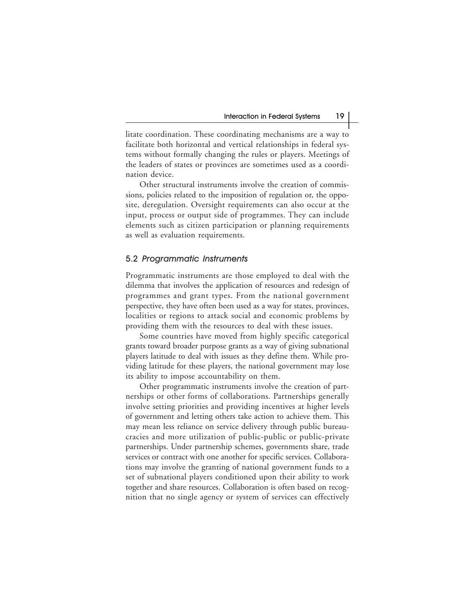litate coordination. These coordinating mechanisms are a way to facilitate both horizontal and vertical relationships in federal systems without formally changing the rules or players. Meetings of the leaders of states or provinces are sometimes used as a coordination device.

Other structural instruments involve the creation of commissions, policies related to the imposition of regulation or, the opposite, deregulation. Oversight requirements can also occur at the input, process or output side of programmes. They can include elements such as citizen participation or planning requirements as well as evaluation requirements.

#### 5.2 Programmatic Instruments

Programmatic instruments are those employed to deal with the dilemma that involves the application of resources and redesign of programmes and grant types. From the national government perspective, they have often been used as a way for states, provinces, localities or regions to attack social and economic problems by providing them with the resources to deal with these issues.

Some countries have moved from highly specific categorical grants toward broader purpose grants as a way of giving subnational players latitude to deal with issues as they define them. While providing latitude for these players, the national government may lose its ability to impose accountability on them.

Other programmatic instruments involve the creation of partnerships or other forms of collaborations. Partnerships generally involve setting priorities and providing incentives at higher levels of government and letting others take action to achieve them. This may mean less reliance on service delivery through public bureaucracies and more utilization of public-public or public-private partnerships. Under partnership schemes, governments share, trade services or contract with one another for specific services. Collaborations may involve the granting of national government funds to a set of subnational players conditioned upon their ability to work together and share resources. Collaboration is often based on recognition that no single agency or system of services can effectively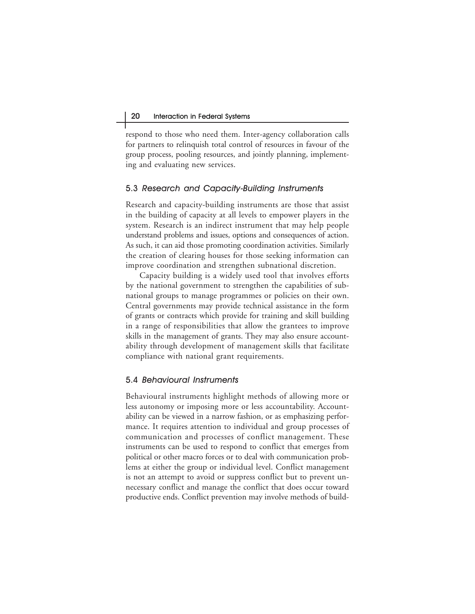respond to those who need them. Inter-agency collaboration calls for partners to relinquish total control of resources in favour of the group process, pooling resources, and jointly planning, implementing and evaluating new services.

## 5.3 Research and Capacity-Building Instruments

Research and capacity-building instruments are those that assist in the building of capacity at all levels to empower players in the system. Research is an indirect instrument that may help people understand problems and issues, options and consequences of action. As such, it can aid those promoting coordination activities. Similarly the creation of clearing houses for those seeking information can improve coordination and strengthen subnational discretion.

Capacity building is a widely used tool that involves efforts by the national government to strengthen the capabilities of subnational groups to manage programmes or policies on their own. Central governments may provide technical assistance in the form of grants or contracts which provide for training and skill building in a range of responsibilities that allow the grantees to improve skills in the management of grants. They may also ensure accountability through development of management skills that facilitate compliance with national grant requirements.

## 5.4 Behavioural Instruments

Behavioural instruments highlight methods of allowing more or less autonomy or imposing more or less accountability. Accountability can be viewed in a narrow fashion, or as emphasizing performance. It requires attention to individual and group processes of communication and processes of conflict management. These instruments can be used to respond to conflict that emerges from political or other macro forces or to deal with communication problems at either the group or individual level. Conflict management is not an attempt to avoid or suppress conflict but to prevent unnecessary conflict and manage the conflict that does occur toward productive ends. Conflict prevention may involve methods of build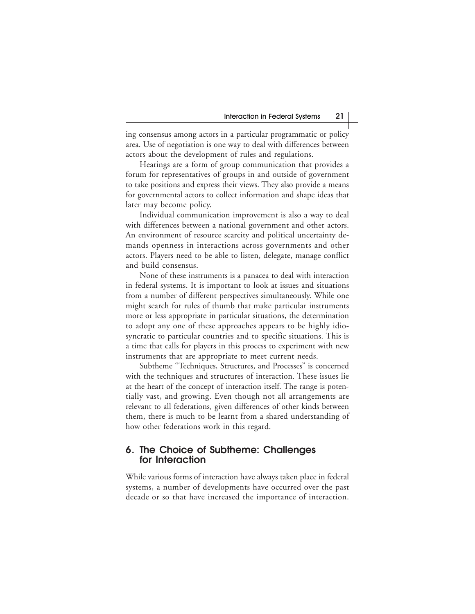ing consensus among actors in a particular programmatic or policy area. Use of negotiation is one way to deal with differences between actors about the development of rules and regulations.

Hearings are a form of group communication that provides a forum for representatives of groups in and outside of government to take positions and express their views. They also provide a means for governmental actors to collect information and shape ideas that later may become policy.

Individual communication improvement is also a way to deal with differences between a national government and other actors. An environment of resource scarcity and political uncertainty demands openness in interactions across governments and other actors. Players need to be able to listen, delegate, manage conflict and build consensus.

None of these instruments is a panacea to deal with interaction in federal systems. It is important to look at issues and situations from a number of different perspectives simultaneously. While one might search for rules of thumb that make particular instruments more or less appropriate in particular situations, the determination to adopt any one of these approaches appears to be highly idiosyncratic to particular countries and to specific situations. This is a time that calls for players in this process to experiment with new instruments that are appropriate to meet current needs.

Subtheme "Techniques, Structures, and Processes" is concerned with the techniques and structures of interaction. These issues lie at the heart of the concept of interaction itself. The range is potentially vast, and growing. Even though not all arrangements are relevant to all federations, given differences of other kinds between them, there is much to be learnt from a shared understanding of how other federations work in this regard.

# **6. The Choice of Subtheme: Challenges for Interaction**

While various forms of interaction have always taken place in federal systems, a number of developments have occurred over the past decade or so that have increased the importance of interaction.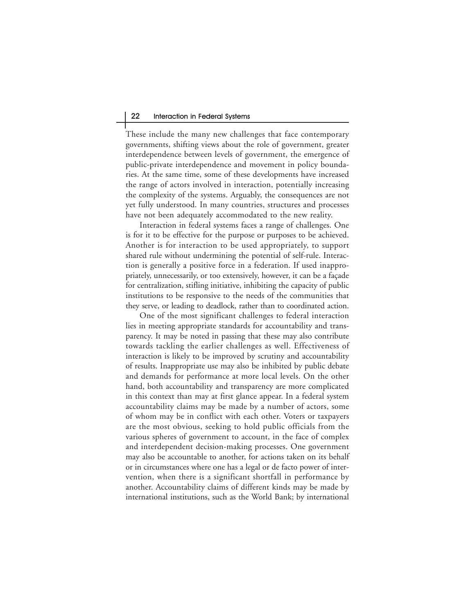These include the many new challenges that face contemporary governments, shifting views about the role of government, greater interdependence between levels of government, the emergence of public-private interdependence and movement in policy boundaries. At the same time, some of these developments have increased the range of actors involved in interaction, potentially increasing the complexity of the systems. Arguably, the consequences are not yet fully understood. In many countries, structures and processes have not been adequately accommodated to the new reality.

Interaction in federal systems faces a range of challenges. One is for it to be effective for the purpose or purposes to be achieved. Another is for interaction to be used appropriately, to support shared rule without undermining the potential of self-rule. Interaction is generally a positive force in a federation. If used inappropriately, unnecessarily, or too extensively, however, it can be a façade for centralization, stifling initiative, inhibiting the capacity of public institutions to be responsive to the needs of the communities that they serve, or leading to deadlock, rather than to coordinated action.

One of the most significant challenges to federal interaction lies in meeting appropriate standards for accountability and transparency. It may be noted in passing that these may also contribute towards tackling the earlier challenges as well. Effectiveness of interaction is likely to be improved by scrutiny and accountability of results. Inappropriate use may also be inhibited by public debate and demands for performance at more local levels. On the other hand, both accountability and transparency are more complicated in this context than may at first glance appear. In a federal system accountability claims may be made by a number of actors, some of whom may be in conflict with each other. Voters or taxpayers are the most obvious, seeking to hold public officials from the various spheres of government to account, in the face of complex and interdependent decision-making processes. One government may also be accountable to another, for actions taken on its behalf or in circumstances where one has a legal or de facto power of intervention, when there is a significant shortfall in performance by another. Accountability claims of different kinds may be made by international institutions, such as the World Bank; by international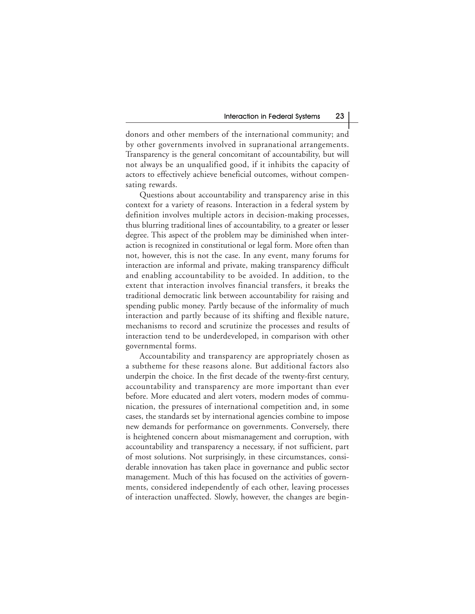donors and other members of the international community; and by other governments involved in supranational arrangements. Transparency is the general concomitant of accountability, but will not always be an unqualified good, if it inhibits the capacity of actors to effectively achieve beneficial outcomes, without compensating rewards.

Questions about accountability and transparency arise in this context for a variety of reasons. Interaction in a federal system by definition involves multiple actors in decision-making processes, thus blurring traditional lines of accountability, to a greater or lesser degree. This aspect of the problem may be diminished when interaction is recognized in constitutional or legal form. More often than not, however, this is not the case. In any event, many forums for interaction are informal and private, making transparency difficult and enabling accountability to be avoided. In addition, to the extent that interaction involves financial transfers, it breaks the traditional democratic link between accountability for raising and spending public money. Partly because of the informality of much interaction and partly because of its shifting and flexible nature, mechanisms to record and scrutinize the processes and results of interaction tend to be underdeveloped, in comparison with other governmental forms.

Accountability and transparency are appropriately chosen as a subtheme for these reasons alone. But additional factors also underpin the choice. In the first decade of the twenty-first century, accountability and transparency are more important than ever before. More educated and alert voters, modern modes of communication, the pressures of international competition and, in some cases, the standards set by international agencies combine to impose new demands for performance on governments. Conversely, there is heightened concern about mismanagement and corruption, with accountability and transparency a necessary, if not sufficient, part of most solutions. Not surprisingly, in these circumstances, considerable innovation has taken place in governance and public sector management. Much of this has focused on the activities of governments, considered independently of each other, leaving processes of interaction unaffected. Slowly, however, the changes are begin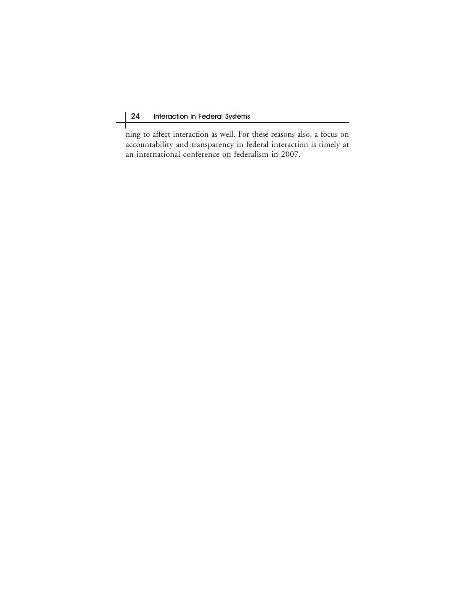Т

ning to affect interaction as well. For these reasons also, a focus on accountability and transparency in federal interaction is timely at an international conference on federalism in 2007.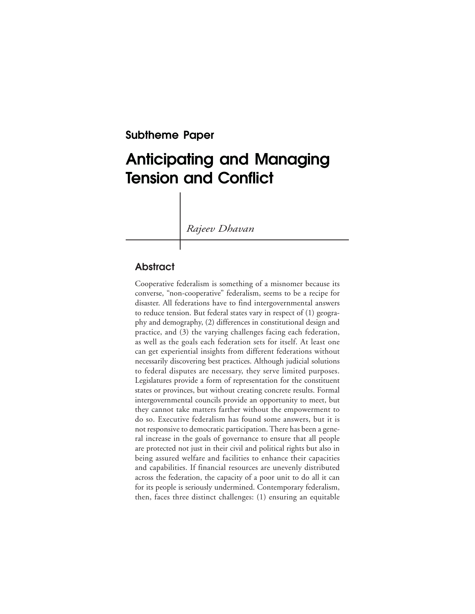**Subtheme Paper**

# **Anticipating and Managing Tension and Conflict**

*Rajeev Dhavan*

# **Abstract**

Cooperative federalism is something of a misnomer because its converse, "non-cooperative" federalism, seems to be a recipe for disaster. All federations have to find intergovernmental answers to reduce tension. But federal states vary in respect of (1) geography and demography, (2) differences in constitutional design and practice, and (3) the varying challenges facing each federation, as well as the goals each federation sets for itself. At least one can get experiential insights from different federations without necessarily discovering best practices. Although judicial solutions to federal disputes are necessary, they serve limited purposes. Legislatures provide a form of representation for the constituent states or provinces, but without creating concrete results. Formal intergovernmental councils provide an opportunity to meet, but they cannot take matters farther without the empowerment to do so. Executive federalism has found some answers, but it is not responsive to democratic participation. There has been a general increase in the goals of governance to ensure that all people are protected not just in their civil and political rights but also in being assured welfare and facilities to enhance their capacities and capabilities. If financial resources are unevenly distributed across the federation, the capacity of a poor unit to do all it can for its people is seriously undermined. Contemporary federalism, then, faces three distinct challenges: (1) ensuring an equitable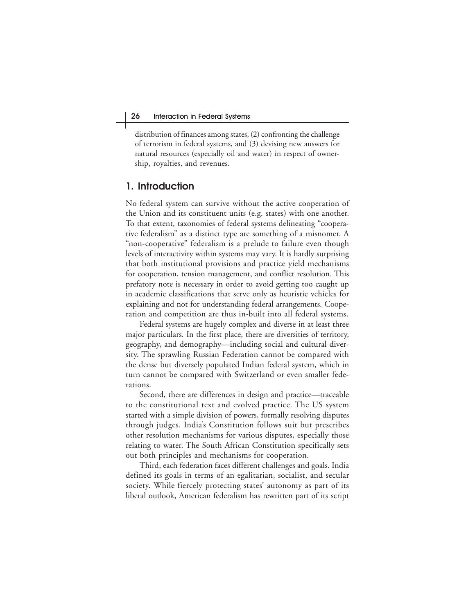distribution of finances among states, (2) confronting the challenge of terrorism in federal systems, and (3) devising new answers for natural resources (especially oil and water) in respect of ownership, royalties, and revenues.

## **1. Introduction**

No federal system can survive without the active cooperation of the Union and its constituent units (e.g. states) with one another. To that extent, taxonomies of federal systems delineating "cooperative federalism" as a distinct type are something of a misnomer. A "non-cooperative" federalism is a prelude to failure even though levels of interactivity within systems may vary. It is hardly surprising that both institutional provisions and practice yield mechanisms for cooperation, tension management, and conflict resolution. This prefatory note is necessary in order to avoid getting too caught up in academic classifications that serve only as heuristic vehicles for explaining and not for understanding federal arrangements. Cooperation and competition are thus in-built into all federal systems.

Federal systems are hugely complex and diverse in at least three major particulars. In the first place, there are diversities of territory, geography, and demography—including social and cultural diversity. The sprawling Russian Federation cannot be compared with the dense but diversely populated Indian federal system, which in turn cannot be compared with Switzerland or even smaller federations.

Second, there are differences in design and practice—traceable to the constitutional text and evolved practice. The US system started with a simple division of powers, formally resolving disputes through judges. India's Constitution follows suit but prescribes other resolution mechanisms for various disputes, especially those relating to water. The South African Constitution specifically sets out both principles and mechanisms for cooperation.

Third, each federation faces different challenges and goals. India defined its goals in terms of an egalitarian, socialist, and secular society. While fiercely protecting states' autonomy as part of its liberal outlook, American federalism has rewritten part of its script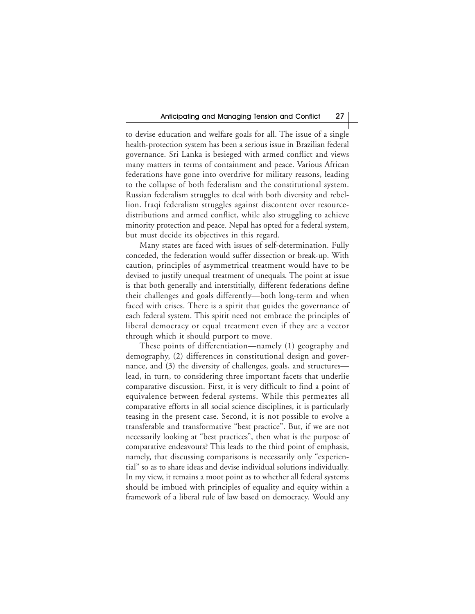to devise education and welfare goals for all. The issue of a single health-protection system has been a serious issue in Brazilian federal governance. Sri Lanka is besieged with armed conflict and views many matters in terms of containment and peace. Various African federations have gone into overdrive for military reasons, leading to the collapse of both federalism and the constitutional system. Russian federalism struggles to deal with both diversity and rebellion. Iraqi federalism struggles against discontent over resourcedistributions and armed conflict, while also struggling to achieve minority protection and peace. Nepal has opted for a federal system, but must decide its objectives in this regard.

Many states are faced with issues of self-determination. Fully conceded, the federation would suffer dissection or break-up. With caution, principles of asymmetrical treatment would have to be devised to justify unequal treatment of unequals. The point at issue is that both generally and interstitially, different federations define their challenges and goals differently—both long-term and when faced with crises. There is a spirit that guides the governance of each federal system. This spirit need not embrace the principles of liberal democracy or equal treatment even if they are a vector through which it should purport to move.

These points of differentiation—namely (1) geography and demography, (2) differences in constitutional design and governance, and (3) the diversity of challenges, goals, and structures lead, in turn, to considering three important facets that underlie comparative discussion. First, it is very difficult to find a point of equivalence between federal systems. While this permeates all comparative efforts in all social science disciplines, it is particularly teasing in the present case. Second, it is not possible to evolve a transferable and transformative "best practice". But, if we are not necessarily looking at "best practices", then what is the purpose of comparative endeavours? This leads to the third point of emphasis, namely, that discussing comparisons is necessarily only "experiential" so as to share ideas and devise individual solutions individually. In my view, it remains a moot point as to whether all federal systems should be imbued with principles of equality and equity within a framework of a liberal rule of law based on democracy. Would any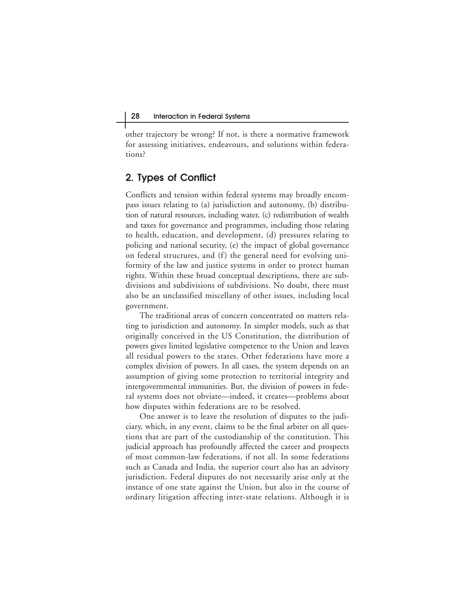other trajectory be wrong? If not, is there a normative framework for assessing initiatives, endeavours, and solutions within federations?

# **2. Types of Conflict**

Conflicts and tension within federal systems may broadly encompass issues relating to (a) jurisdiction and autonomy, (b) distribution of natural resources, including water, (c) redistribution of wealth and taxes for governance and programmes, including those relating to health, education, and development, (d) pressures relating to policing and national security, (e) the impact of global governance on federal structures, and (f) the general need for evolving uniformity of the law and justice systems in order to protect human rights. Within these broad conceptual descriptions, there are subdivisions and subdivisions of subdivisions. No doubt, there must also be an unclassified miscellany of other issues, including local government.

The traditional areas of concern concentrated on matters relating to jurisdiction and autonomy. In simpler models, such as that originally conceived in the US Constitution, the distribution of powers gives limited legislative competence to the Union and leaves all residual powers to the states. Other federations have more a complex division of powers. In all cases, the system depends on an assumption of giving some protection to territorial integrity and intergovernmental immunities. But, the division of powers in federal systems does not obviate—indeed, it creates—problems about how disputes within federations are to be resolved.

One answer is to leave the resolution of disputes to the judiciary, which, in any event, claims to be the final arbiter on all questions that are part of the custodianship of the constitution. This judicial approach has profoundly affected the career and prospects of most common-law federations, if not all. In some federations such as Canada and India, the superior court also has an advisory jurisdiction. Federal disputes do not necessarily arise only at the instance of one state against the Union, but also in the course of ordinary litigation affecting inter-state relations. Although it is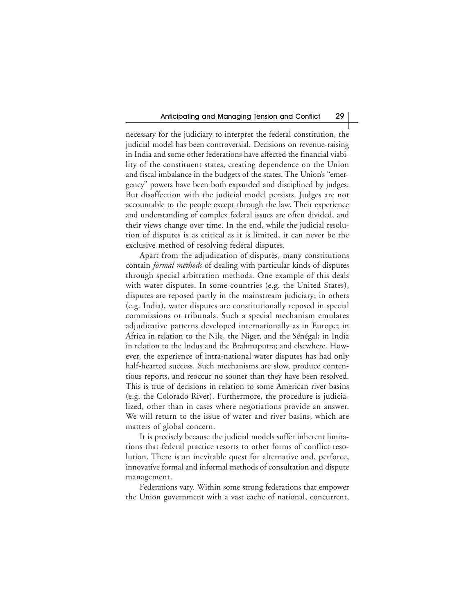necessary for the judiciary to interpret the federal constitution, the judicial model has been controversial. Decisions on revenue-raising in India and some other federations have affected the financial viability of the constituent states, creating dependence on the Union and fiscal imbalance in the budgets of the states. The Union's "emergency" powers have been both expanded and disciplined by judges. But disaffection with the judicial model persists. Judges are not accountable to the people except through the law. Their experience and understanding of complex federal issues are often divided, and their views change over time. In the end, while the judicial resolution of disputes is as critical as it is limited, it can never be the exclusive method of resolving federal disputes.

Apart from the adjudication of disputes, many constitutions contain *formal methods* of dealing with particular kinds of disputes through special arbitration methods. One example of this deals with water disputes. In some countries (e.g. the United States), disputes are reposed partly in the mainstream judiciary; in others (e.g. India), water disputes are constitutionally reposed in special commissions or tribunals. Such a special mechanism emulates adjudicative patterns developed internationally as in Europe; in Africa in relation to the Nile, the Niger, and the Sénégal; in India in relation to the Indus and the Brahmaputra; and elsewhere. However, the experience of intra-national water disputes has had only half-hearted success. Such mechanisms are slow, produce contentious reports, and reoccur no sooner than they have been resolved. This is true of decisions in relation to some American river basins (e.g. the Colorado River). Furthermore, the procedure is judicialized, other than in cases where negotiations provide an answer. We will return to the issue of water and river basins, which are matters of global concern.

It is precisely because the judicial models suffer inherent limitations that federal practice resorts to other forms of conflict resolution. There is an inevitable quest for alternative and, perforce, innovative formal and informal methods of consultation and dispute management.

Federations vary. Within some strong federations that empower the Union government with a vast cache of national, concurrent,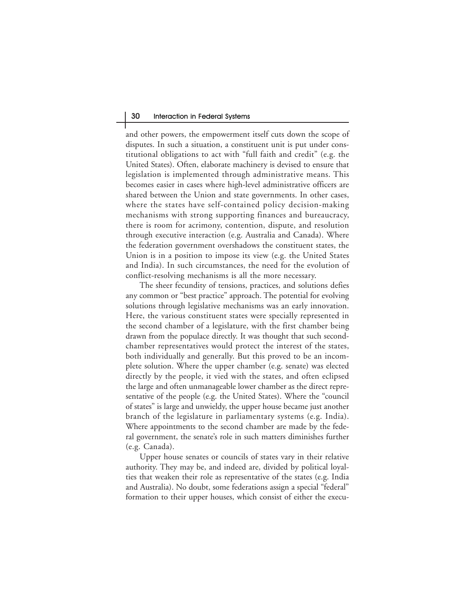and other powers, the empowerment itself cuts down the scope of disputes. In such a situation, a constituent unit is put under constitutional obligations to act with "full faith and credit" (e.g. the United States). Often, elaborate machinery is devised to ensure that legislation is implemented through administrative means. This becomes easier in cases where high-level administrative officers are shared between the Union and state governments. In other cases, where the states have self-contained policy decision-making mechanisms with strong supporting finances and bureaucracy, there is room for acrimony, contention, dispute, and resolution through executive interaction (e.g. Australia and Canada). Where the federation government overshadows the constituent states, the Union is in a position to impose its view (e.g. the United States and India). In such circumstances, the need for the evolution of conflict-resolving mechanisms is all the more necessary.

The sheer fecundity of tensions, practices, and solutions defies any common or "best practice" approach. The potential for evolving solutions through legislative mechanisms was an early innovation. Here, the various constituent states were specially represented in the second chamber of a legislature, with the first chamber being drawn from the populace directly. It was thought that such secondchamber representatives would protect the interest of the states, both individually and generally. But this proved to be an incomplete solution. Where the upper chamber (e.g. senate) was elected directly by the people, it vied with the states, and often eclipsed the large and often unmanageable lower chamber as the direct representative of the people (e.g. the United States). Where the "council of states" is large and unwieldy, the upper house became just another branch of the legislature in parliamentary systems (e.g. India). Where appointments to the second chamber are made by the federal government, the senate's role in such matters diminishes further (e.g. Canada).

Upper house senates or councils of states vary in their relative authority. They may be, and indeed are, divided by political loyalties that weaken their role as representative of the states (e.g. India and Australia). No doubt, some federations assign a special "federal" formation to their upper houses, which consist of either the execu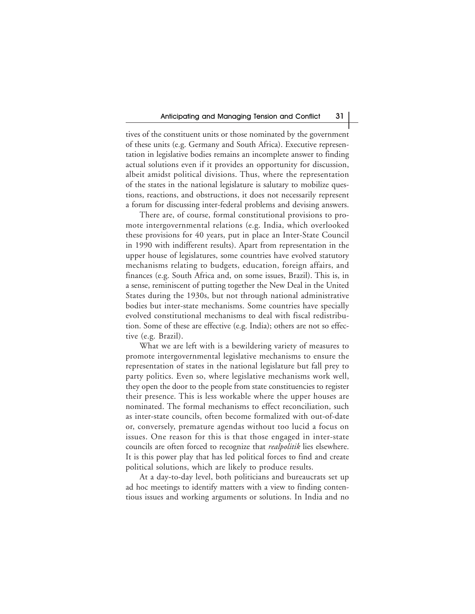tives of the constituent units or those nominated by the government of these units (e.g. Germany and South Africa). Executive representation in legislative bodies remains an incomplete answer to finding actual solutions even if it provides an opportunity for discussion, albeit amidst political divisions. Thus, where the representation of the states in the national legislature is salutary to mobilize questions, reactions, and obstructions, it does not necessarily represent a forum for discussing inter-federal problems and devising answers.

There are, of course, formal constitutional provisions to promote intergovernmental relations (e.g. India, which overlooked these provisions for 40 years, put in place an Inter-State Council in 1990 with indifferent results). Apart from representation in the upper house of legislatures, some countries have evolved statutory mechanisms relating to budgets, education, foreign affairs, and finances (e.g. South Africa and, on some issues, Brazil). This is, in a sense, reminiscent of putting together the New Deal in the United States during the 1930s, but not through national administrative bodies but inter-state mechanisms. Some countries have specially evolved constitutional mechanisms to deal with fiscal redistribution. Some of these are effective (e.g. India); others are not so effective (e.g. Brazil).

What we are left with is a bewildering variety of measures to promote intergovernmental legislative mechanisms to ensure the representation of states in the national legislature but fall prey to party politics. Even so, where legislative mechanisms work well, they open the door to the people from state constituencies to register their presence. This is less workable where the upper houses are nominated. The formal mechanisms to effect reconciliation, such as inter-state councils, often become formalized with out-of-date or, conversely, premature agendas without too lucid a focus on issues. One reason for this is that those engaged in inter-state councils are often forced to recognize that *realpolitik* lies elsewhere. It is this power play that has led political forces to find and create political solutions, which are likely to produce results.

At a day-to-day level, both politicians and bureaucrats set up ad hoc meetings to identify matters with a view to finding contentious issues and working arguments or solutions. In India and no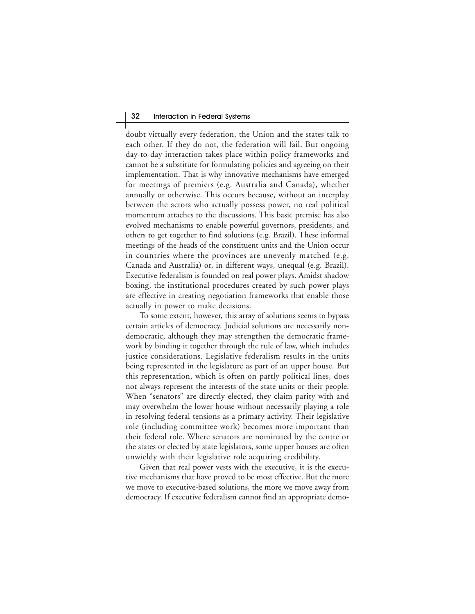doubt virtually every federation, the Union and the states talk to each other. If they do not, the federation will fail. But ongoing day-to-day interaction takes place within policy frameworks and cannot be a substitute for formulating policies and agreeing on their implementation. That is why innovative mechanisms have emerged for meetings of premiers (e.g. Australia and Canada), whether annually or otherwise. This occurs because, without an interplay between the actors who actually possess power, no real political momentum attaches to the discussions. This basic premise has also evolved mechanisms to enable powerful governors, presidents, and others to get together to find solutions (e.g. Brazil). These informal meetings of the heads of the constituent units and the Union occur in countries where the provinces are unevenly matched (e.g. Canada and Australia) or, in different ways, unequal (e.g. Brazil). Executive federalism is founded on real power plays. Amidst shadow boxing, the institutional procedures created by such power plays are effective in creating negotiation frameworks that enable those actually in power to make decisions.

To some extent, however, this array of solutions seems to bypass certain articles of democracy. Judicial solutions are necessarily nondemocratic, although they may strengthen the democratic framework by binding it together through the rule of law, which includes justice considerations. Legislative federalism results in the units being represented in the legislature as part of an upper house. But this representation, which is often on partly political lines, does not always represent the interests of the state units or their people. When "senators" are directly elected, they claim parity with and may overwhelm the lower house without necessarily playing a role in resolving federal tensions as a primary activity. Their legislative role (including committee work) becomes more important than their federal role. Where senators are nominated by the centre or the states or elected by state legislators, some upper houses are often unwieldy with their legislative role acquiring credibility.

Given that real power vests with the executive, it is the executive mechanisms that have proved to be most effective. But the more we move to executive-based solutions, the more we move away from democracy. If executive federalism cannot find an appropriate demo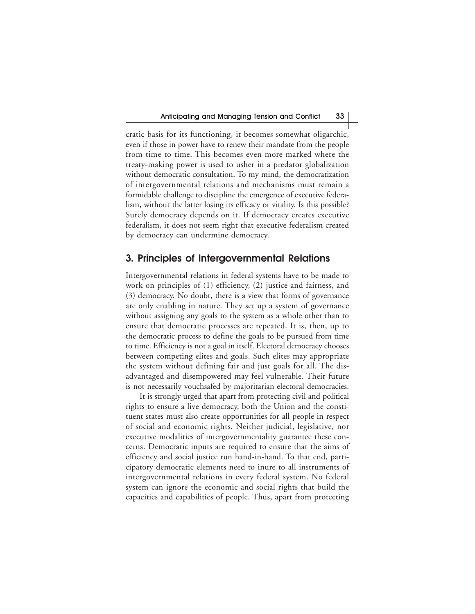cratic basis for its functioning, it becomes somewhat oligarchic, even if those in power have to renew their mandate from the people from time to time. This becomes even more marked where the treaty-making power is used to usher in a predator globalization without democratic consultation. To my mind, the democratization of intergovernmental relations and mechanisms must remain a formidable challenge to discipline the emergence of executive federalism, without the latter losing its efficacy or vitality. Is this possible? Surely democracy depends on it. If democracy creates executive federalism, it does not seem right that executive federalism created by democracy can undermine democracy.

## **3. Principles of Intergovernmental Relations**

Intergovernmental relations in federal systems have to be made to work on principles of (1) efficiency, (2) justice and fairness, and (3) democracy. No doubt, there is a view that forms of governance are only enabling in nature. They set up a system of governance without assigning any goals to the system as a whole other than to ensure that democratic processes are repeated. It is, then, up to the democratic process to define the goals to be pursued from time to time. Efficiency is not a goal in itself. Electoral democracy chooses between competing elites and goals. Such elites may appropriate the system without defining fair and just goals for all. The disadvantaged and disempowered may feel vulnerable. Their future is not necessarily vouchsafed by majoritarian electoral democracies.

It is strongly urged that apart from protecting civil and political rights to ensure a live democracy, both the Union and the constituent states must also create opportunities for all people in respect of social and economic rights. Neither judicial, legislative, nor executive modalities of intergovernmentality guarantee these concerns. Democratic inputs are required to ensure that the aims of efficiency and social justice run hand-in-hand. To that end, participatory democratic elements need to inure to all instruments of intergovernmental relations in every federal system. No federal system can ignore the economic and social rights that build the capacities and capabilities of people. Thus, apart from protecting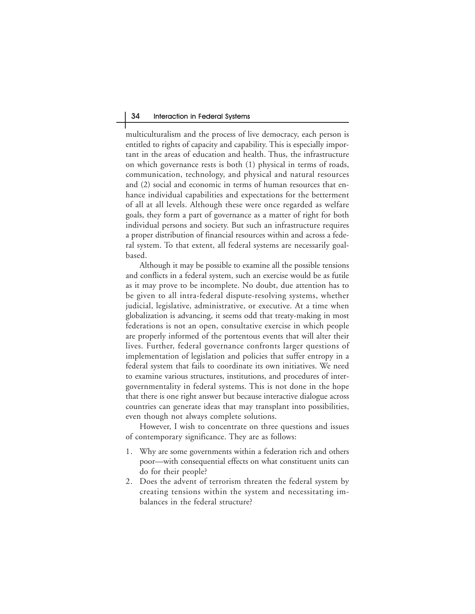multiculturalism and the process of live democracy, each person is entitled to rights of capacity and capability. This is especially important in the areas of education and health. Thus, the infrastructure on which governance rests is both (1) physical in terms of roads, communication, technology, and physical and natural resources and (2) social and economic in terms of human resources that enhance individual capabilities and expectations for the betterment of all at all levels. Although these were once regarded as welfare goals, they form a part of governance as a matter of right for both individual persons and society. But such an infrastructure requires a proper distribution of financial resources within and across a federal system. To that extent, all federal systems are necessarily goalbased.

Although it may be possible to examine all the possible tensions and conflicts in a federal system, such an exercise would be as futile as it may prove to be incomplete. No doubt, due attention has to be given to all intra-federal dispute-resolving systems, whether judicial, legislative, administrative, or executive. At a time when globalization is advancing, it seems odd that treaty-making in most federations is not an open, consultative exercise in which people are properly informed of the portentous events that will alter their lives. Further, federal governance confronts larger questions of implementation of legislation and policies that suffer entropy in a federal system that fails to coordinate its own initiatives. We need to examine various structures, institutions, and procedures of intergovernmentality in federal systems. This is not done in the hope that there is one right answer but because interactive dialogue across countries can generate ideas that may transplant into possibilities, even though not always complete solutions.

However, I wish to concentrate on three questions and issues of contemporary significance. They are as follows:

- 1. Why are some governments within a federation rich and others poor—with consequential effects on what constituent units can do for their people?
- 2. Does the advent of terrorism threaten the federal system by creating tensions within the system and necessitating imbalances in the federal structure?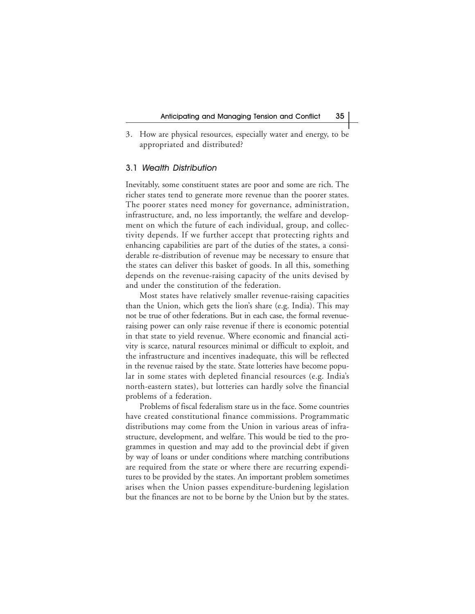3. How are physical resources, especially water and energy, to be appropriated and distributed?

#### 3.1 Wealth Distribution

Inevitably, some constituent states are poor and some are rich. The richer states tend to generate more revenue than the poorer states. The poorer states need money for governance, administration, infrastructure, and, no less importantly, the welfare and development on which the future of each individual, group, and collectivity depends. If we further accept that protecting rights and enhancing capabilities are part of the duties of the states, a considerable re-distribution of revenue may be necessary to ensure that the states can deliver this basket of goods. In all this, something depends on the revenue-raising capacity of the units devised by and under the constitution of the federation.

Most states have relatively smaller revenue-raising capacities than the Union, which gets the lion's share (e.g. India). This may not be true of other federations. But in each case, the formal revenueraising power can only raise revenue if there is economic potential in that state to yield revenue. Where economic and financial activity is scarce, natural resources minimal or difficult to exploit, and the infrastructure and incentives inadequate, this will be reflected in the revenue raised by the state. State lotteries have become popular in some states with depleted financial resources (e.g. India's north-eastern states), but lotteries can hardly solve the financial problems of a federation.

Problems of fiscal federalism stare us in the face. Some countries have created constitutional finance commissions. Programmatic distributions may come from the Union in various areas of infrastructure, development, and welfare. This would be tied to the programmes in question and may add to the provincial debt if given by way of loans or under conditions where matching contributions are required from the state or where there are recurring expenditures to be provided by the states. An important problem sometimes arises when the Union passes expenditure-burdening legislation but the finances are not to be borne by the Union but by the states.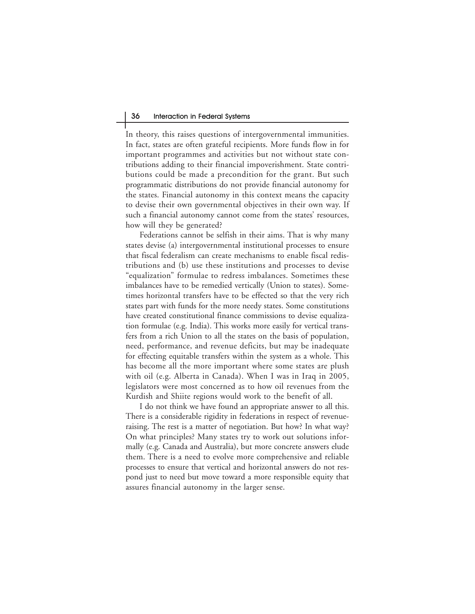In theory, this raises questions of intergovernmental immunities. In fact, states are often grateful recipients. More funds flow in for important programmes and activities but not without state contributions adding to their financial impoverishment. State contributions could be made a precondition for the grant. But such programmatic distributions do not provide financial autonomy for the states. Financial autonomy in this context means the capacity to devise their own governmental objectives in their own way. If such a financial autonomy cannot come from the states' resources, how will they be generated?

Federations cannot be selfish in their aims. That is why many states devise (a) intergovernmental institutional processes to ensure that fiscal federalism can create mechanisms to enable fiscal redistributions and (b) use these institutions and processes to devise "equalization" formulae to redress imbalances. Sometimes these imbalances have to be remedied vertically (Union to states). Sometimes horizontal transfers have to be effected so that the very rich states part with funds for the more needy states. Some constitutions have created constitutional finance commissions to devise equalization formulae (e.g. India). This works more easily for vertical transfers from a rich Union to all the states on the basis of population, need, performance, and revenue deficits, but may be inadequate for effecting equitable transfers within the system as a whole. This has become all the more important where some states are plush with oil (e.g. Alberta in Canada). When I was in Iraq in 2005, legislators were most concerned as to how oil revenues from the Kurdish and Shiite regions would work to the benefit of all.

I do not think we have found an appropriate answer to all this. There is a considerable rigidity in federations in respect of revenueraising. The rest is a matter of negotiation. But how? In what way? On what principles? Many states try to work out solutions informally (e.g. Canada and Australia), but more concrete answers elude them. There is a need to evolve more comprehensive and reliable processes to ensure that vertical and horizontal answers do not respond just to need but move toward a more responsible equity that assures financial autonomy in the larger sense.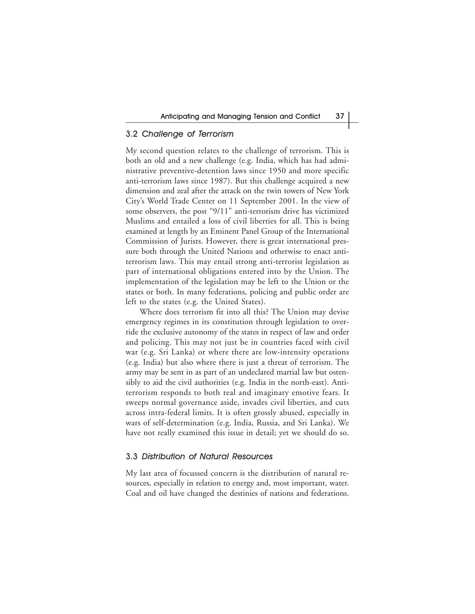## 3.2 Challenge of Terrorism

My second question relates to the challenge of terrorism. This is both an old and a new challenge (e.g. India, which has had administrative preventive-detention laws since 1950 and more specific anti-terrorism laws since 1987). But this challenge acquired a new dimension and zeal after the attack on the twin towers of New York City's World Trade Center on 11 September 2001. In the view of some observers, the post "9/11" anti-terrorism drive has victimized Muslims and entailed a loss of civil liberties for all. This is being examined at length by an Eminent Panel Group of the International Commission of Jurists. However, there is great international pressure both through the United Nations and otherwise to enact antiterrorism laws. This may entail strong anti-terrorist legislation as part of international obligations entered into by the Union. The implementation of the legislation may be left to the Union or the states or both. In many federations, policing and public order are left to the states (e.g. the United States).

Where does terrorism fit into all this? The Union may devise emergency regimes in its constitution through legislation to override the exclusive autonomy of the states in respect of law and order and policing. This may not just be in countries faced with civil war (e.g. Sri Lanka) or where there are low-intensity operations (e.g. India) but also where there is just a threat of terrorism. The army may be sent in as part of an undeclared martial law but ostensibly to aid the civil authorities (e.g. India in the north-east). Antiterrorism responds to both real and imaginary emotive fears. It sweeps normal governance aside, invades civil liberties, and cuts across intra-federal limits. It is often grossly abused, especially in wars of self-determination (e.g. India, Russia, and Sri Lanka). We have not really examined this issue in detail; yet we should do so.

## 3.3 Distribution of Natural Resources

My last area of focussed concern is the distribution of natural resources, especially in relation to energy and, most important, water. Coal and oil have changed the destinies of nations and federations.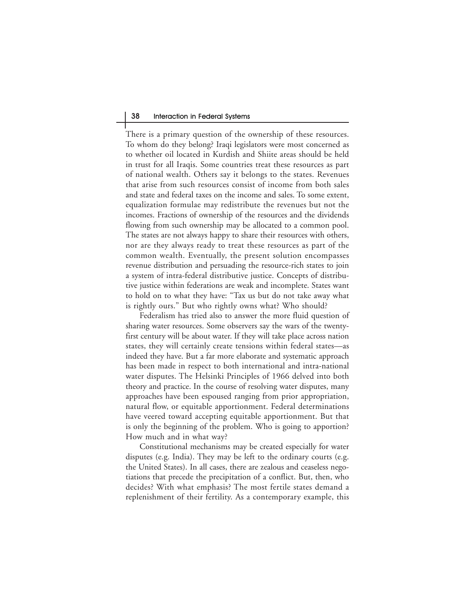#### 38 Interaction in Federal Systems

There is a primary question of the ownership of these resources. To whom do they belong? Iraqi legislators were most concerned as to whether oil located in Kurdish and Shiite areas should be held in trust for all Iraqis. Some countries treat these resources as part of national wealth. Others say it belongs to the states. Revenues that arise from such resources consist of income from both sales and state and federal taxes on the income and sales. To some extent, equalization formulae may redistribute the revenues but not the incomes. Fractions of ownership of the resources and the dividends flowing from such ownership may be allocated to a common pool. The states are not always happy to share their resources with others, nor are they always ready to treat these resources as part of the common wealth. Eventually, the present solution encompasses revenue distribution and persuading the resource-rich states to join a system of intra-federal distributive justice. Concepts of distributive justice within federations are weak and incomplete. States want to hold on to what they have: "Tax us but do not take away what is rightly ours." But who rightly owns what? Who should?

Federalism has tried also to answer the more fluid question of sharing water resources. Some observers say the wars of the twentyfirst century will be about water. If they will take place across nation states, they will certainly create tensions within federal states—as indeed they have. But a far more elaborate and systematic approach has been made in respect to both international and intra-national water disputes. The Helsinki Principles of 1966 delved into both theory and practice. In the course of resolving water disputes, many approaches have been espoused ranging from prior appropriation, natural flow, or equitable apportionment. Federal determinations have veered toward accepting equitable apportionment. But that is only the beginning of the problem. Who is going to apportion? How much and in what way?

Constitutional mechanisms may be created especially for water disputes (e.g. India). They may be left to the ordinary courts (e.g. the United States). In all cases, there are zealous and ceaseless negotiations that precede the precipitation of a conflict. But, then, who decides? With what emphasis? The most fertile states demand a replenishment of their fertility. As a contemporary example, this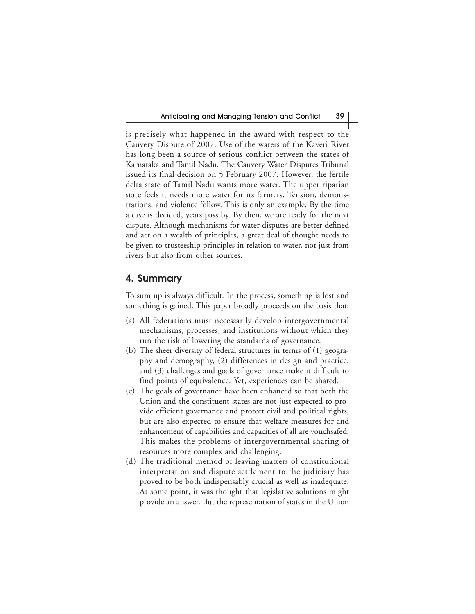is precisely what happened in the award with respect to the Cauvery Dispute of 2007. Use of the waters of the Kaveri River has long been a source of serious conflict between the states of Karnataka and Tamil Nadu. The Cauvery Water Disputes Tribunal issued its final decision on 5 February 2007. However, the fertile delta state of Tamil Nadu wants more water. The upper riparian state feels it needs more water for its farmers. Tension, demonstrations, and violence follow. This is only an example. By the time a case is decided, years pass by. By then, we are ready for the next dispute. Although mechanisms for water disputes are better defined and act on a wealth of principles, a great deal of thought needs to be given to trusteeship principles in relation to water, not just from rivers but also from other sources.

## **4. Summary**

To sum up is always difficult. In the process, something is lost and something is gained. This paper broadly proceeds on the basis that:

- (a) All federations must necessarily develop intergovernmental mechanisms, processes, and institutions without which they run the risk of lowering the standards of governance.
- (b) The sheer diversity of federal structures in terms of (1) geography and demography, (2) differences in design and practice, and (3) challenges and goals of governance make it difficult to find points of equivalence. Yet, experiences can be shared.
- (c) The goals of governance have been enhanced so that both the Union and the constituent states are not just expected to provide efficient governance and protect civil and political rights, but are also expected to ensure that welfare measures for and enhancement of capabilities and capacities of all are vouchsafed. This makes the problems of intergovernmental sharing of resources more complex and challenging.
- (d) The traditional method of leaving matters of constitutional interpretation and dispute settlement to the judiciary has proved to be both indispensably crucial as well as inadequate. At some point, it was thought that legislative solutions might provide an answer. But the representation of states in the Union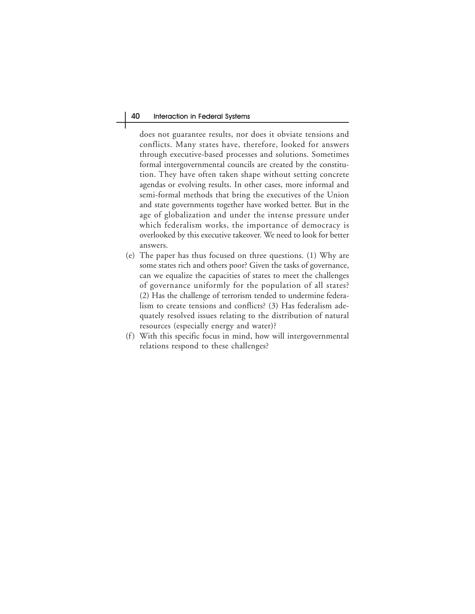does not guarantee results, nor does it obviate tensions and conflicts. Many states have, therefore, looked for answers through executive-based processes and solutions. Sometimes formal intergovernmental councils are created by the constitution. They have often taken shape without setting concrete agendas or evolving results. In other cases, more informal and semi-formal methods that bring the executives of the Union and state governments together have worked better. But in the age of globalization and under the intense pressure under which federalism works, the importance of democracy is overlooked by this executive takeover. We need to look for better answers.

- (e) The paper has thus focused on three questions. (1) Why are some states rich and others poor? Given the tasks of governance, can we equalize the capacities of states to meet the challenges of governance uniformly for the population of all states? (2) Has the challenge of terrorism tended to undermine federalism to create tensions and conflicts? (3) Has federalism adequately resolved issues relating to the distribution of natural resources (especially energy and water)?
- (f) With this specific focus in mind, how will intergovernmental relations respond to these challenges?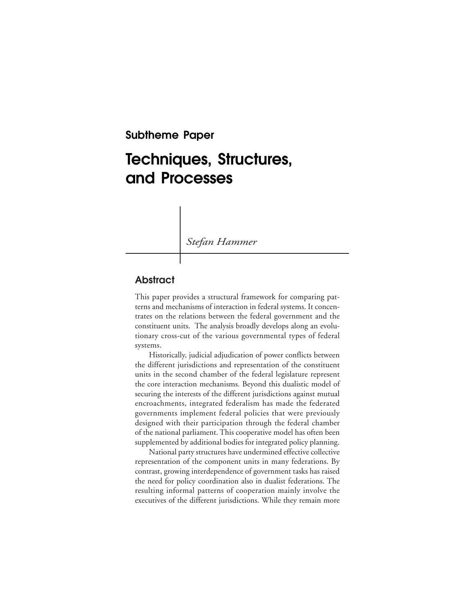**Subtheme Paper**

# **Techniques, Structures, and Processes**

*Stefan Hammer*

# **Abstract**

This paper provides a structural framework for comparing patterns and mechanisms of interaction in federal systems. It concentrates on the relations between the federal government and the constituent units. The analysis broadly develops along an evolutionary cross-cut of the various governmental types of federal systems.

Historically, judicial adjudication of power conflicts between the different jurisdictions and representation of the constituent units in the second chamber of the federal legislature represent the core interaction mechanisms. Beyond this dualistic model of securing the interests of the different jurisdictions against mutual encroachments, integrated federalism has made the federated governments implement federal policies that were previously designed with their participation through the federal chamber of the national parliament. This cooperative model has often been supplemented by additional bodies for integrated policy planning.

National party structures have undermined effective collective representation of the component units in many federations. By contrast, growing interdependence of government tasks has raised the need for policy coordination also in dualist federations. The resulting informal patterns of cooperation mainly involve the executives of the different jurisdictions. While they remain more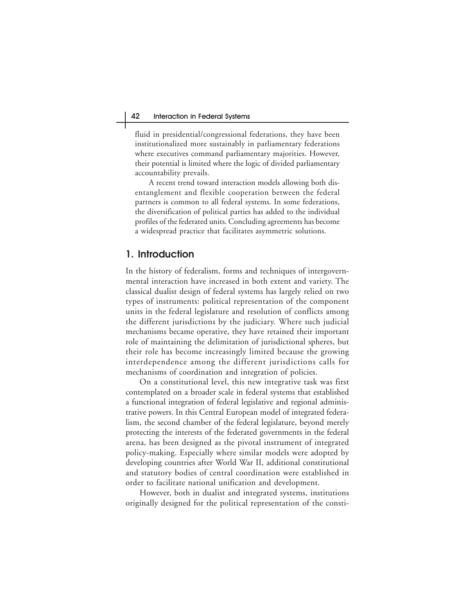fluid in presidential/congressional federations, they have been institutionalized more sustainably in parliamentary federations where executives command parliamentary majorities. However, their potential is limited where the logic of divided parliamentary accountability prevails.

A recent trend toward interaction models allowing both disentanglement and flexible cooperation between the federal partners is common to all federal systems. In some federations, the diversification of political parties has added to the individual profiles of the federated units. Concluding agreements has become a widespread practice that facilitates asymmetric solutions.

## **1. Introduction**

In the history of federalism, forms and techniques of intergovernmental interaction have increased in both extent and variety. The classical dualist design of federal systems has largely relied on two types of instruments: political representation of the component units in the federal legislature and resolution of conflicts among the different jurisdictions by the judiciary. Where such judicial mechanisms became operative, they have retained their important role of maintaining the delimitation of jurisdictional spheres, but their role has become increasingly limited because the growing interdependence among the different jurisdictions calls for mechanisms of coordination and integration of policies.

On a constitutional level, this new integrative task was first contemplated on a broader scale in federal systems that established a functional integration of federal legislative and regional administrative powers. In this Central European model of integrated federalism, the second chamber of the federal legislature, beyond merely protecting the interests of the federated governments in the federal arena, has been designed as the pivotal instrument of integrated policy-making. Especially where similar models were adopted by developing countries after World War II, additional constitutional and statutory bodies of central coordination were established in order to facilitate national unification and development.

However, both in dualist and integrated systems, institutions originally designed for the political representation of the consti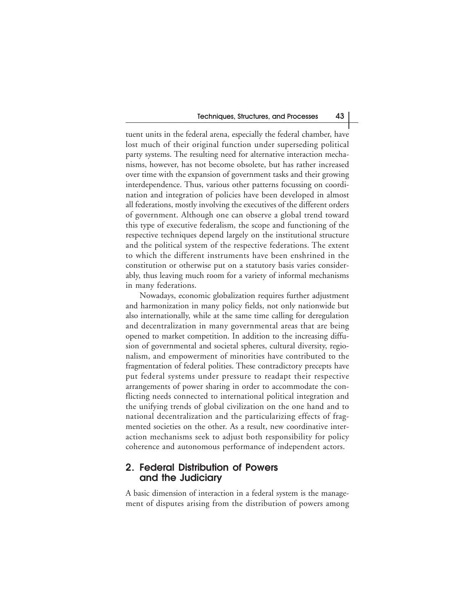tuent units in the federal arena, especially the federal chamber, have lost much of their original function under superseding political party systems. The resulting need for alternative interaction mechanisms, however, has not become obsolete, but has rather increased over time with the expansion of government tasks and their growing interdependence. Thus, various other patterns focussing on coordination and integration of policies have been developed in almost all federations, mostly involving the executives of the different orders of government. Although one can observe a global trend toward this type of executive federalism, the scope and functioning of the respective techniques depend largely on the institutional structure and the political system of the respective federations. The extent to which the different instruments have been enshrined in the constitution or otherwise put on a statutory basis varies considerably, thus leaving much room for a variety of informal mechanisms in many federations.

Nowadays, economic globalization requires further adjustment and harmonization in many policy fields, not only nationwide but also internationally, while at the same time calling for deregulation and decentralization in many governmental areas that are being opened to market competition. In addition to the increasing diffusion of governmental and societal spheres, cultural diversity, regionalism, and empowerment of minorities have contributed to the fragmentation of federal polities. These contradictory precepts have put federal systems under pressure to readapt their respective arrangements of power sharing in order to accommodate the conflicting needs connected to international political integration and the unifying trends of global civilization on the one hand and to national decentralization and the particularizing effects of fragmented societies on the other. As a result, new coordinative interaction mechanisms seek to adjust both responsibility for policy coherence and autonomous performance of independent actors.

# **2. Federal Distribution of Powers and the Judiciary**

A basic dimension of interaction in a federal system is the management of disputes arising from the distribution of powers among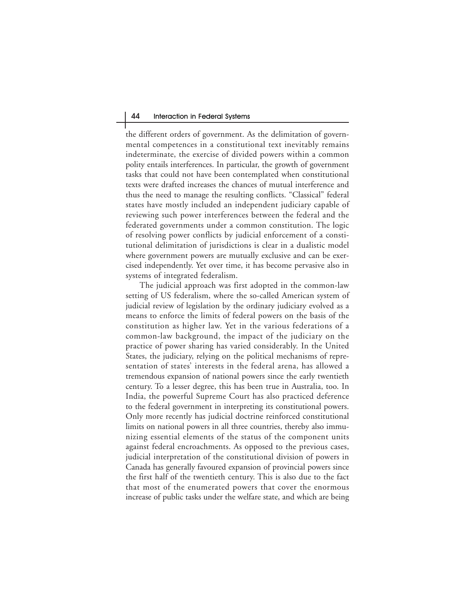the different orders of government. As the delimitation of governmental competences in a constitutional text inevitably remains indeterminate, the exercise of divided powers within a common polity entails interferences. In particular, the growth of government tasks that could not have been contemplated when constitutional texts were drafted increases the chances of mutual interference and thus the need to manage the resulting conflicts. "Classical" federal states have mostly included an independent judiciary capable of reviewing such power interferences between the federal and the federated governments under a common constitution. The logic of resolving power conflicts by judicial enforcement of a constitutional delimitation of jurisdictions is clear in a dualistic model where government powers are mutually exclusive and can be exercised independently. Yet over time, it has become pervasive also in systems of integrated federalism.

The judicial approach was first adopted in the common-law setting of US federalism, where the so-called American system of judicial review of legislation by the ordinary judiciary evolved as a means to enforce the limits of federal powers on the basis of the constitution as higher law. Yet in the various federations of a common-law background, the impact of the judiciary on the practice of power sharing has varied considerably. In the United States, the judiciary, relying on the political mechanisms of representation of states' interests in the federal arena, has allowed a tremendous expansion of national powers since the early twentieth century. To a lesser degree, this has been true in Australia, too. In India, the powerful Supreme Court has also practiced deference to the federal government in interpreting its constitutional powers. Only more recently has judicial doctrine reinforced constitutional limits on national powers in all three countries, thereby also immunizing essential elements of the status of the component units against federal encroachments. As opposed to the previous cases, judicial interpretation of the constitutional division of powers in Canada has generally favoured expansion of provincial powers since the first half of the twentieth century. This is also due to the fact that most of the enumerated powers that cover the enormous increase of public tasks under the welfare state, and which are being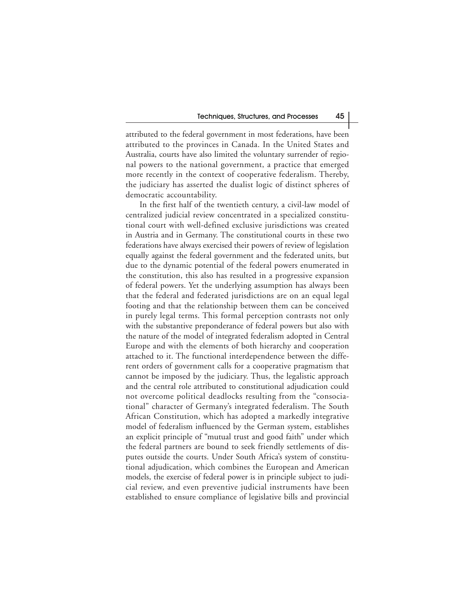attributed to the federal government in most federations, have been attributed to the provinces in Canada. In the United States and Australia, courts have also limited the voluntary surrender of regional powers to the national government, a practice that emerged more recently in the context of cooperative federalism. Thereby, the judiciary has asserted the dualist logic of distinct spheres of democratic accountability.

In the first half of the twentieth century, a civil-law model of centralized judicial review concentrated in a specialized constitutional court with well-defined exclusive jurisdictions was created in Austria and in Germany. The constitutional courts in these two federations have always exercised their powers of review of legislation equally against the federal government and the federated units, but due to the dynamic potential of the federal powers enumerated in the constitution, this also has resulted in a progressive expansion of federal powers. Yet the underlying assumption has always been that the federal and federated jurisdictions are on an equal legal footing and that the relationship between them can be conceived in purely legal terms. This formal perception contrasts not only with the substantive preponderance of federal powers but also with the nature of the model of integrated federalism adopted in Central Europe and with the elements of both hierarchy and cooperation attached to it. The functional interdependence between the different orders of government calls for a cooperative pragmatism that cannot be imposed by the judiciary. Thus, the legalistic approach and the central role attributed to constitutional adjudication could not overcome political deadlocks resulting from the "consociational" character of Germany's integrated federalism. The South African Constitution, which has adopted a markedly integrative model of federalism influenced by the German system, establishes an explicit principle of "mutual trust and good faith" under which the federal partners are bound to seek friendly settlements of disputes outside the courts. Under South Africa's system of constitutional adjudication, which combines the European and American models, the exercise of federal power is in principle subject to judicial review, and even preventive judicial instruments have been established to ensure compliance of legislative bills and provincial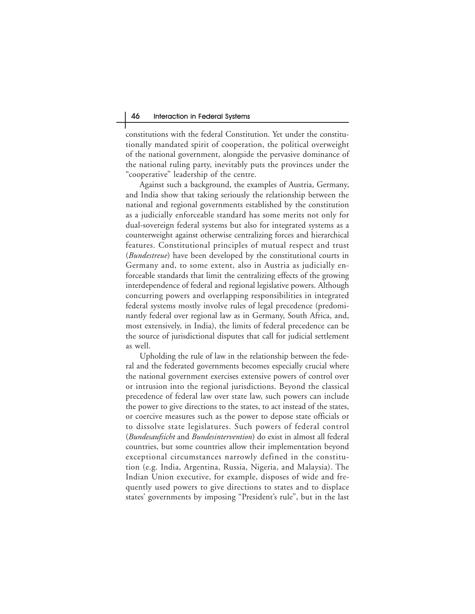constitutions with the federal Constitution. Yet under the constitutionally mandated spirit of cooperation, the political overweight of the national government, alongside the pervasive dominance of the national ruling party, inevitably puts the provinces under the "cooperative" leadership of the centre.

Against such a background, the examples of Austria, Germany, and India show that taking seriously the relationship between the national and regional governments established by the constitution as a judicially enforceable standard has some merits not only for dual-sovereign federal systems but also for integrated systems as a counterweight against otherwise centralizing forces and hierarchical features. Constitutional principles of mutual respect and trust (*Bundestreue*) have been developed by the constitutional courts in Germany and, to some extent, also in Austria as judicially enforceable standards that limit the centralizing effects of the growing interdependence of federal and regional legislative powers. Although concurring powers and overlapping responsibilities in integrated federal systems mostly involve rules of legal precedence (predominantly federal over regional law as in Germany, South Africa, and, most extensively, in India), the limits of federal precedence can be the source of jurisdictional disputes that call for judicial settlement as well.

Upholding the rule of law in the relationship between the federal and the federated governments becomes especially crucial where the national government exercises extensive powers of control over or intrusion into the regional jurisdictions. Beyond the classical precedence of federal law over state law, such powers can include the power to give directions to the states, to act instead of the states, or coercive measures such as the power to depose state officials or to dissolve state legislatures. Such powers of federal control (*Bundesaufsicht* and *Bundesintervention*) do exist in almost all federal countries, but some countries allow their implementation beyond exceptional circumstances narrowly defined in the constitution (e.g. India, Argentina, Russia, Nigeria, and Malaysia). The Indian Union executive, for example, disposes of wide and frequently used powers to give directions to states and to displace states' governments by imposing "President's rule", but in the last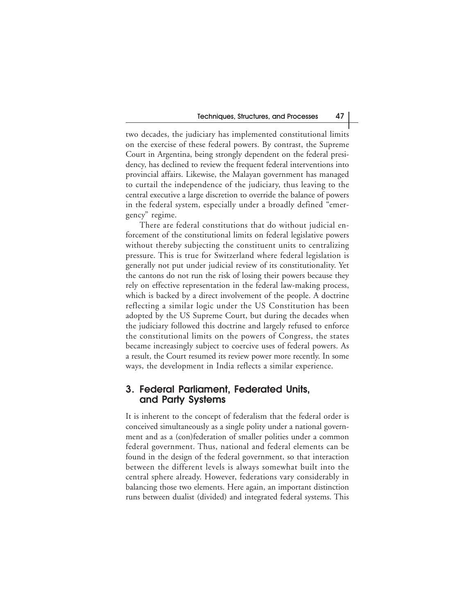two decades, the judiciary has implemented constitutional limits on the exercise of these federal powers. By contrast, the Supreme Court in Argentina, being strongly dependent on the federal presidency, has declined to review the frequent federal interventions into provincial affairs. Likewise, the Malayan government has managed to curtail the independence of the judiciary, thus leaving to the central executive a large discretion to override the balance of powers in the federal system, especially under a broadly defined "emergency" regime.

There are federal constitutions that do without judicial enforcement of the constitutional limits on federal legislative powers without thereby subjecting the constituent units to centralizing pressure. This is true for Switzerland where federal legislation is generally not put under judicial review of its constitutionality. Yet the cantons do not run the risk of losing their powers because they rely on effective representation in the federal law-making process, which is backed by a direct involvement of the people. A doctrine reflecting a similar logic under the US Constitution has been adopted by the US Supreme Court, but during the decades when the judiciary followed this doctrine and largely refused to enforce the constitutional limits on the powers of Congress, the states became increasingly subject to coercive uses of federal powers. As a result, the Court resumed its review power more recently. In some ways, the development in India reflects a similar experience.

# **3. Federal Parliament, Federated Units, and Party Systems**

It is inherent to the concept of federalism that the federal order is conceived simultaneously as a single polity under a national government and as a (con)federation of smaller polities under a common federal government. Thus, national and federal elements can be found in the design of the federal government, so that interaction between the different levels is always somewhat built into the central sphere already. However, federations vary considerably in balancing those two elements. Here again, an important distinction runs between dualist (divided) and integrated federal systems. This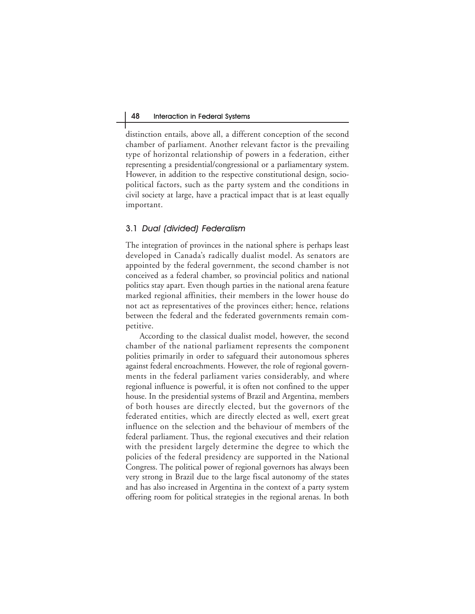distinction entails, above all, a different conception of the second chamber of parliament. Another relevant factor is the prevailing type of horizontal relationship of powers in a federation, either representing a presidential/congressional or a parliamentary system. However, in addition to the respective constitutional design, sociopolitical factors, such as the party system and the conditions in civil society at large, have a practical impact that is at least equally important.

## 3.1 Dual (divided) Federalism

The integration of provinces in the national sphere is perhaps least developed in Canada's radically dualist model. As senators are appointed by the federal government, the second chamber is not conceived as a federal chamber, so provincial politics and national politics stay apart. Even though parties in the national arena feature marked regional affinities, their members in the lower house do not act as representatives of the provinces either; hence, relations between the federal and the federated governments remain competitive.

According to the classical dualist model, however, the second chamber of the national parliament represents the component polities primarily in order to safeguard their autonomous spheres against federal encroachments. However, the role of regional governments in the federal parliament varies considerably, and where regional influence is powerful, it is often not confined to the upper house. In the presidential systems of Brazil and Argentina, members of both houses are directly elected, but the governors of the federated entities, which are directly elected as well, exert great influence on the selection and the behaviour of members of the federal parliament. Thus, the regional executives and their relation with the president largely determine the degree to which the policies of the federal presidency are supported in the National Congress. The political power of regional governors has always been very strong in Brazil due to the large fiscal autonomy of the states and has also increased in Argentina in the context of a party system offering room for political strategies in the regional arenas. In both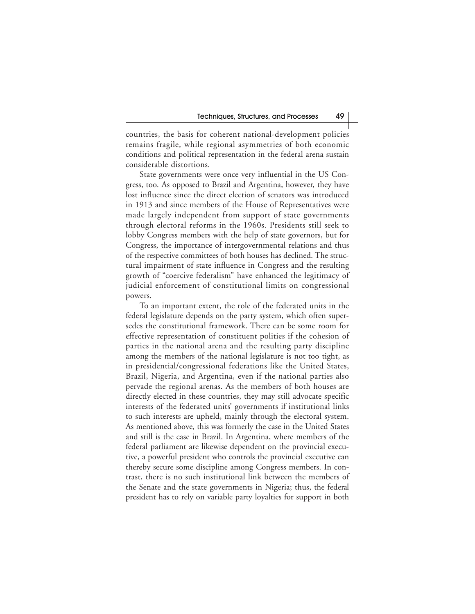countries, the basis for coherent national-development policies remains fragile, while regional asymmetries of both economic conditions and political representation in the federal arena sustain considerable distortions.

State governments were once very influential in the US Congress, too. As opposed to Brazil and Argentina, however, they have lost influence since the direct election of senators was introduced in 1913 and since members of the House of Representatives were made largely independent from support of state governments through electoral reforms in the 1960s. Presidents still seek to lobby Congress members with the help of state governors, but for Congress, the importance of intergovernmental relations and thus of the respective committees of both houses has declined. The structural impairment of state influence in Congress and the resulting growth of "coercive federalism" have enhanced the legitimacy of judicial enforcement of constitutional limits on congressional powers.

To an important extent, the role of the federated units in the federal legislature depends on the party system, which often supersedes the constitutional framework. There can be some room for effective representation of constituent polities if the cohesion of parties in the national arena and the resulting party discipline among the members of the national legislature is not too tight, as in presidential/congressional federations like the United States, Brazil, Nigeria, and Argentina, even if the national parties also pervade the regional arenas. As the members of both houses are directly elected in these countries, they may still advocate specific interests of the federated units' governments if institutional links to such interests are upheld, mainly through the electoral system. As mentioned above, this was formerly the case in the United States and still is the case in Brazil. In Argentina, where members of the federal parliament are likewise dependent on the provincial executive, a powerful president who controls the provincial executive can thereby secure some discipline among Congress members. In contrast, there is no such institutional link between the members of the Senate and the state governments in Nigeria; thus, the federal president has to rely on variable party loyalties for support in both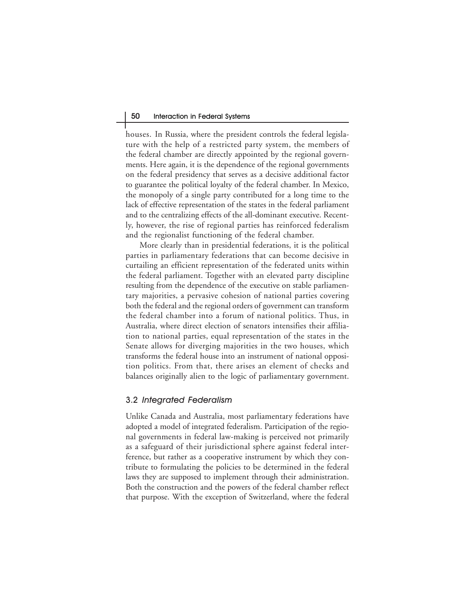houses. In Russia, where the president controls the federal legislature with the help of a restricted party system, the members of the federal chamber are directly appointed by the regional governments. Here again, it is the dependence of the regional governments on the federal presidency that serves as a decisive additional factor to guarantee the political loyalty of the federal chamber. In Mexico, the monopoly of a single party contributed for a long time to the lack of effective representation of the states in the federal parliament and to the centralizing effects of the all-dominant executive. Recently, however, the rise of regional parties has reinforced federalism and the regionalist functioning of the federal chamber.

More clearly than in presidential federations, it is the political parties in parliamentary federations that can become decisive in curtailing an efficient representation of the federated units within the federal parliament. Together with an elevated party discipline resulting from the dependence of the executive on stable parliamentary majorities, a pervasive cohesion of national parties covering both the federal and the regional orders of government can transform the federal chamber into a forum of national politics. Thus, in Australia, where direct election of senators intensifies their affiliation to national parties, equal representation of the states in the Senate allows for diverging majorities in the two houses, which transforms the federal house into an instrument of national opposition politics. From that, there arises an element of checks and balances originally alien to the logic of parliamentary government.

## 3.2 Integrated Federalism

Unlike Canada and Australia, most parliamentary federations have adopted a model of integrated federalism. Participation of the regional governments in federal law-making is perceived not primarily as a safeguard of their jurisdictional sphere against federal interference, but rather as a cooperative instrument by which they contribute to formulating the policies to be determined in the federal laws they are supposed to implement through their administration. Both the construction and the powers of the federal chamber reflect that purpose. With the exception of Switzerland, where the federal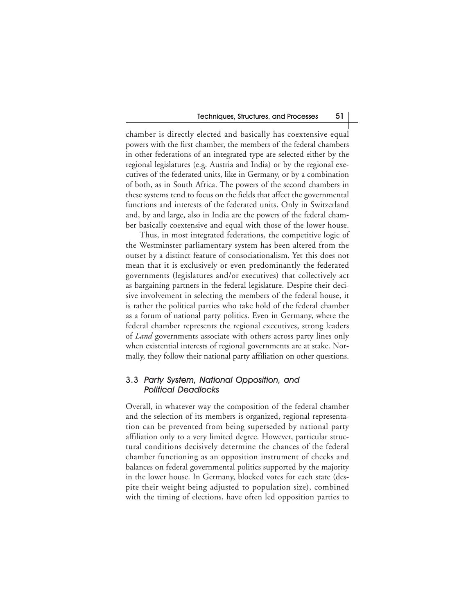chamber is directly elected and basically has coextensive equal powers with the first chamber, the members of the federal chambers in other federations of an integrated type are selected either by the regional legislatures (e.g. Austria and India) or by the regional executives of the federated units, like in Germany, or by a combination of both, as in South Africa. The powers of the second chambers in these systems tend to focus on the fields that affect the governmental functions and interests of the federated units. Only in Switzerland and, by and large, also in India are the powers of the federal chamber basically coextensive and equal with those of the lower house.

Thus, in most integrated federations, the competitive logic of the Westminster parliamentary system has been altered from the outset by a distinct feature of consociationalism. Yet this does not mean that it is exclusively or even predominantly the federated governments (legislatures and/or executives) that collectively act as bargaining partners in the federal legislature. Despite their decisive involvement in selecting the members of the federal house, it is rather the political parties who take hold of the federal chamber as a forum of national party politics. Even in Germany, where the federal chamber represents the regional executives, strong leaders of *Land* governments associate with others across party lines only when existential interests of regional governments are at stake. Normally, they follow their national party affiliation on other questions.

## 3.3 Party System, National Opposition, and Political Deadlocks

Overall, in whatever way the composition of the federal chamber and the selection of its members is organized, regional representation can be prevented from being superseded by national party affiliation only to a very limited degree. However, particular structural conditions decisively determine the chances of the federal chamber functioning as an opposition instrument of checks and balances on federal governmental politics supported by the majority in the lower house. In Germany, blocked votes for each state (despite their weight being adjusted to population size), combined with the timing of elections, have often led opposition parties to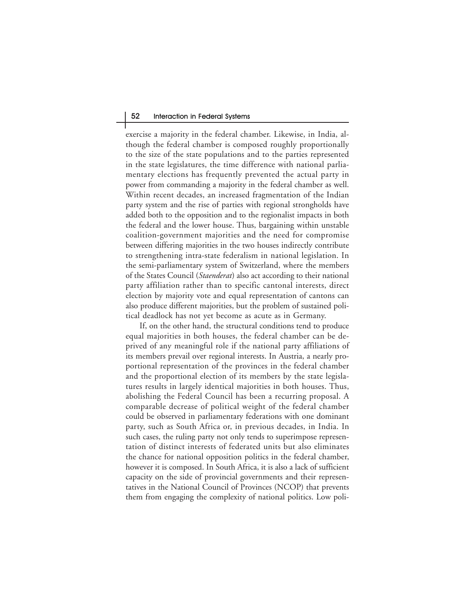exercise a majority in the federal chamber. Likewise, in India, although the federal chamber is composed roughly proportionally to the size of the state populations and to the parties represented in the state legislatures, the time difference with national parliamentary elections has frequently prevented the actual party in power from commanding a majority in the federal chamber as well. Within recent decades, an increased fragmentation of the Indian party system and the rise of parties with regional strongholds have added both to the opposition and to the regionalist impacts in both the federal and the lower house. Thus, bargaining within unstable coalition-government majorities and the need for compromise between differing majorities in the two houses indirectly contribute to strengthening intra-state federalism in national legislation. In the semi-parliamentary system of Switzerland, where the members of the States Council (*Staenderat*) also act according to their national party affiliation rather than to specific cantonal interests, direct election by majority vote and equal representation of cantons can also produce different majorities, but the problem of sustained political deadlock has not yet become as acute as in Germany.

If, on the other hand, the structural conditions tend to produce equal majorities in both houses, the federal chamber can be deprived of any meaningful role if the national party affiliations of its members prevail over regional interests. In Austria, a nearly proportional representation of the provinces in the federal chamber and the proportional election of its members by the state legislatures results in largely identical majorities in both houses. Thus, abolishing the Federal Council has been a recurring proposal. A comparable decrease of political weight of the federal chamber could be observed in parliamentary federations with one dominant party, such as South Africa or, in previous decades, in India. In such cases, the ruling party not only tends to superimpose representation of distinct interests of federated units but also eliminates the chance for national opposition politics in the federal chamber, however it is composed. In South Africa, it is also a lack of sufficient capacity on the side of provincial governments and their representatives in the National Council of Provinces (NCOP) that prevents them from engaging the complexity of national politics. Low poli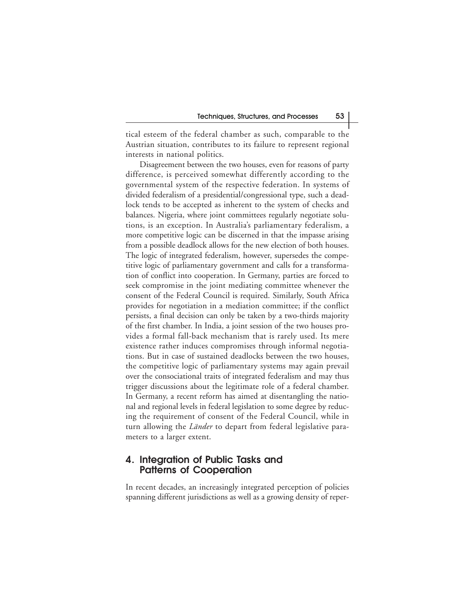tical esteem of the federal chamber as such, comparable to the Austrian situation, contributes to its failure to represent regional interests in national politics.

Disagreement between the two houses, even for reasons of party difference, is perceived somewhat differently according to the governmental system of the respective federation. In systems of divided federalism of a presidential/congressional type, such a deadlock tends to be accepted as inherent to the system of checks and balances. Nigeria, where joint committees regularly negotiate solutions, is an exception. In Australia's parliamentary federalism, a more competitive logic can be discerned in that the impasse arising from a possible deadlock allows for the new election of both houses. The logic of integrated federalism, however, supersedes the competitive logic of parliamentary government and calls for a transformation of conflict into cooperation. In Germany, parties are forced to seek compromise in the joint mediating committee whenever the consent of the Federal Council is required. Similarly, South Africa provides for negotiation in a mediation committee; if the conflict persists, a final decision can only be taken by a two-thirds majority of the first chamber. In India, a joint session of the two houses provides a formal fall-back mechanism that is rarely used. Its mere existence rather induces compromises through informal negotiations. But in case of sustained deadlocks between the two houses, the competitive logic of parliamentary systems may again prevail over the consociational traits of integrated federalism and may thus trigger discussions about the legitimate role of a federal chamber. In Germany, a recent reform has aimed at disentangling the national and regional levels in federal legislation to some degree by reducing the requirement of consent of the Federal Council, while in turn allowing the *Länder* to depart from federal legislative parameters to a larger extent.

## **4. Integration of Public Tasks and Patterns of Cooperation**

In recent decades, an increasingly integrated perception of policies spanning different jurisdictions as well as a growing density of reper-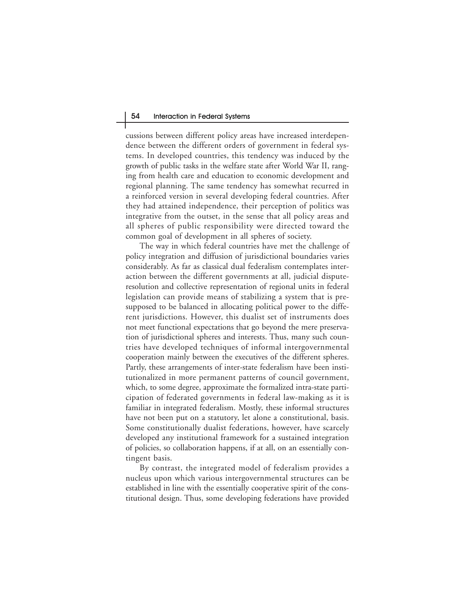cussions between different policy areas have increased interdependence between the different orders of government in federal systems. In developed countries, this tendency was induced by the growth of public tasks in the welfare state after World War II, ranging from health care and education to economic development and regional planning. The same tendency has somewhat recurred in a reinforced version in several developing federal countries. After they had attained independence, their perception of politics was integrative from the outset, in the sense that all policy areas and all spheres of public responsibility were directed toward the common goal of development in all spheres of society.

The way in which federal countries have met the challenge of policy integration and diffusion of jurisdictional boundaries varies considerably. As far as classical dual federalism contemplates interaction between the different governments at all, judicial disputeresolution and collective representation of regional units in federal legislation can provide means of stabilizing a system that is presupposed to be balanced in allocating political power to the different jurisdictions. However, this dualist set of instruments does not meet functional expectations that go beyond the mere preservation of jurisdictional spheres and interests. Thus, many such countries have developed techniques of informal intergovernmental cooperation mainly between the executives of the different spheres. Partly, these arrangements of inter-state federalism have been institutionalized in more permanent patterns of council government, which, to some degree, approximate the formalized intra-state participation of federated governments in federal law-making as it is familiar in integrated federalism. Mostly, these informal structures have not been put on a statutory, let alone a constitutional, basis. Some constitutionally dualist federations, however, have scarcely developed any institutional framework for a sustained integration of policies, so collaboration happens, if at all, on an essentially contingent basis.

By contrast, the integrated model of federalism provides a nucleus upon which various intergovernmental structures can be established in line with the essentially cooperative spirit of the constitutional design. Thus, some developing federations have provided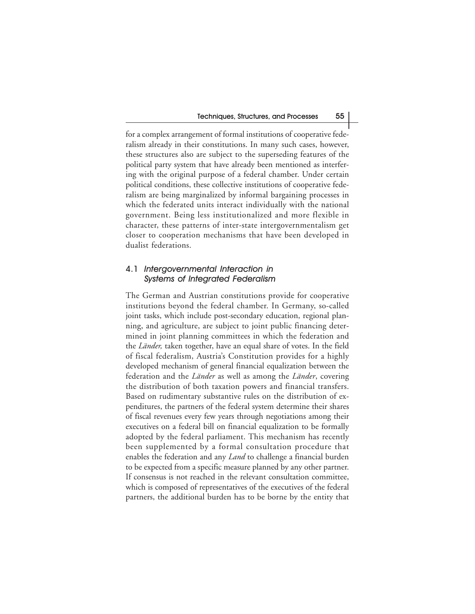for a complex arrangement of formal institutions of cooperative federalism already in their constitutions. In many such cases, however, these structures also are subject to the superseding features of the political party system that have already been mentioned as interfering with the original purpose of a federal chamber. Under certain political conditions, these collective institutions of cooperative federalism are being marginalized by informal bargaining processes in which the federated units interact individually with the national government. Being less institutionalized and more flexible in character, these patterns of inter-state intergovernmentalism get closer to cooperation mechanisms that have been developed in dualist federations.

#### 4.1 Intergovernmental Interaction in Systems of Integrated Federalism

The German and Austrian constitutions provide for cooperative institutions beyond the federal chamber. In Germany, so-called joint tasks, which include post-secondary education, regional planning, and agriculture, are subject to joint public financing determined in joint planning committees in which the federation and the *Länder,* taken together, have an equal share of votes. In the field of fiscal federalism, Austria's Constitution provides for a highly developed mechanism of general financial equalization between the federation and the *Länder* as well as among the *Länder*, covering the distribution of both taxation powers and financial transfers. Based on rudimentary substantive rules on the distribution of expenditures, the partners of the federal system determine their shares of fiscal revenues every few years through negotiations among their executives on a federal bill on financial equalization to be formally adopted by the federal parliament. This mechanism has recently been supplemented by a formal consultation procedure that enables the federation and any *Land* to challenge a financial burden to be expected from a specific measure planned by any other partner. If consensus is not reached in the relevant consultation committee, which is composed of representatives of the executives of the federal partners, the additional burden has to be borne by the entity that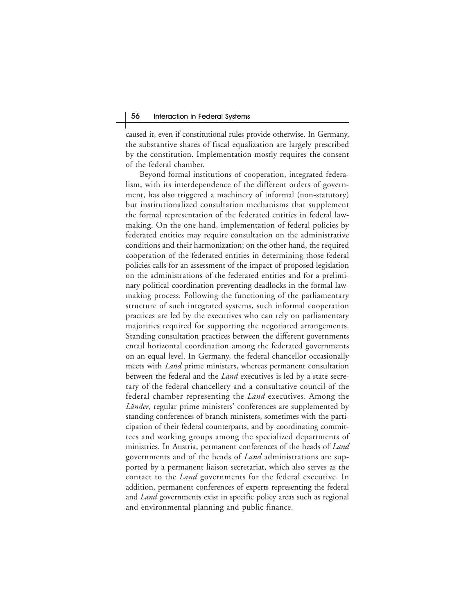caused it, even if constitutional rules provide otherwise. In Germany, the substantive shares of fiscal equalization are largely prescribed by the constitution. Implementation mostly requires the consent of the federal chamber.

Beyond formal institutions of cooperation, integrated federalism, with its interdependence of the different orders of government, has also triggered a machinery of informal (non-statutory) but institutionalized consultation mechanisms that supplement the formal representation of the federated entities in federal lawmaking. On the one hand, implementation of federal policies by federated entities may require consultation on the administrative conditions and their harmonization; on the other hand, the required cooperation of the federated entities in determining those federal policies calls for an assessment of the impact of proposed legislation on the administrations of the federated entities and for a preliminary political coordination preventing deadlocks in the formal lawmaking process. Following the functioning of the parliamentary structure of such integrated systems, such informal cooperation practices are led by the executives who can rely on parliamentary majorities required for supporting the negotiated arrangements. Standing consultation practices between the different governments entail horizontal coordination among the federated governments on an equal level. In Germany, the federal chancellor occasionally meets with *Land* prime ministers, whereas permanent consultation between the federal and the *Land* executives is led by a state secretary of the federal chancellery and a consultative council of the federal chamber representing the *Land* executives. Among the *Länder*, regular prime ministers' conferences are supplemented by standing conferences of branch ministers, sometimes with the participation of their federal counterparts, and by coordinating committees and working groups among the specialized departments of ministries. In Austria, permanent conferences of the heads of *Land* governments and of the heads of *Land* administrations are supported by a permanent liaison secretariat, which also serves as the contact to the *Land* governments for the federal executive. In addition, permanent conferences of experts representing the federal and *Land* governments exist in specific policy areas such as regional and environmental planning and public finance.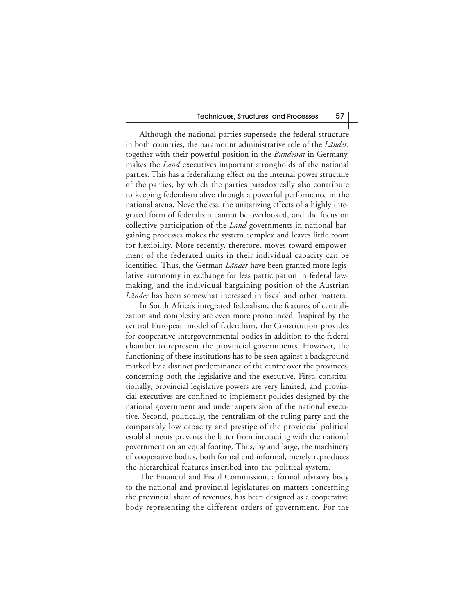Although the national parties supersede the federal structure in both countries, the paramount administrative role of the *Länder*, together with their powerful position in the *Bundesrat* in Germany, makes the *Land* executives important strongholds of the national parties. This has a federalizing effect on the internal power structure of the parties, by which the parties paradoxically also contribute to keeping federalism alive through a powerful performance in the national arena. Nevertheless, the unitarizing effects of a highly integrated form of federalism cannot be overlooked, and the focus on collective participation of the *Land* governments in national bargaining processes makes the system complex and leaves little room for flexibility. More recently, therefore, moves toward empowerment of the federated units in their individual capacity can be identified. Thus, the German *Länder* have been granted more legislative autonomy in exchange for less participation in federal lawmaking, and the individual bargaining position of the Austrian *Länder* has been somewhat increased in fiscal and other matters.

In South Africa's integrated federalism, the features of centralization and complexity are even more pronounced. Inspired by the central European model of federalism, the Constitution provides for cooperative intergovernmental bodies in addition to the federal chamber to represent the provincial governments. However, the functioning of these institutions has to be seen against a background marked by a distinct predominance of the centre over the provinces, concerning both the legislative and the executive. First, constitutionally, provincial legislative powers are very limited, and provincial executives are confined to implement policies designed by the national government and under supervision of the national executive. Second, politically, the centralism of the ruling party and the comparably low capacity and prestige of the provincial political establishments prevents the latter from interacting with the national government on an equal footing. Thus, by and large, the machinery of cooperative bodies, both formal and informal, merely reproduces the hierarchical features inscribed into the political system.

The Financial and Fiscal Commission, a formal advisory body to the national and provincial legislatures on matters concerning the provincial share of revenues, has been designed as a cooperative body representing the different orders of government. For the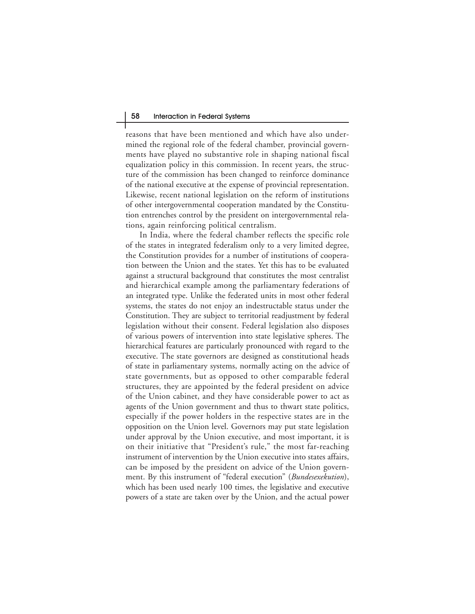reasons that have been mentioned and which have also undermined the regional role of the federal chamber, provincial governments have played no substantive role in shaping national fiscal equalization policy in this commission. In recent years, the structure of the commission has been changed to reinforce dominance of the national executive at the expense of provincial representation. Likewise, recent national legislation on the reform of institutions of other intergovernmental cooperation mandated by the Constitution entrenches control by the president on intergovernmental relations, again reinforcing political centralism.

In India, where the federal chamber reflects the specific role of the states in integrated federalism only to a very limited degree, the Constitution provides for a number of institutions of cooperation between the Union and the states. Yet this has to be evaluated against a structural background that constitutes the most centralist and hierarchical example among the parliamentary federations of an integrated type. Unlike the federated units in most other federal systems, the states do not enjoy an indestructable status under the Constitution. They are subject to territorial readjustment by federal legislation without their consent. Federal legislation also disposes of various powers of intervention into state legislative spheres. The hierarchical features are particularly pronounced with regard to the executive. The state governors are designed as constitutional heads of state in parliamentary systems, normally acting on the advice of state governments, but as opposed to other comparable federal structures, they are appointed by the federal president on advice of the Union cabinet, and they have considerable power to act as agents of the Union government and thus to thwart state politics, especially if the power holders in the respective states are in the opposition on the Union level. Governors may put state legislation under approval by the Union executive, and most important, it is on their initiative that "President's rule," the most far-reaching instrument of intervention by the Union executive into states affairs, can be imposed by the president on advice of the Union government. By this instrument of "federal execution" (*Bundesexekution*), which has been used nearly 100 times, the legislative and executive powers of a state are taken over by the Union, and the actual power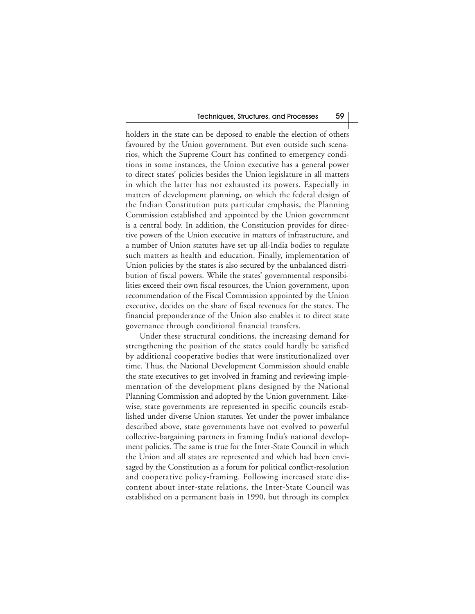holders in the state can be deposed to enable the election of others favoured by the Union government. But even outside such scenarios, which the Supreme Court has confined to emergency conditions in some instances, the Union executive has a general power to direct states' policies besides the Union legislature in all matters in which the latter has not exhausted its powers. Especially in matters of development planning, on which the federal design of the Indian Constitution puts particular emphasis, the Planning Commission established and appointed by the Union government is a central body. In addition, the Constitution provides for directive powers of the Union executive in matters of infrastructure, and a number of Union statutes have set up all-India bodies to regulate such matters as health and education. Finally, implementation of Union policies by the states is also secured by the unbalanced distribution of fiscal powers. While the states' governmental responsibilities exceed their own fiscal resources, the Union government, upon recommendation of the Fiscal Commission appointed by the Union executive, decides on the share of fiscal revenues for the states. The financial preponderance of the Union also enables it to direct state governance through conditional financial transfers.

Under these structural conditions, the increasing demand for strengthening the position of the states could hardly be satisfied by additional cooperative bodies that were institutionalized over time. Thus, the National Development Commission should enable the state executives to get involved in framing and reviewing implementation of the development plans designed by the National Planning Commission and adopted by the Union government. Likewise, state governments are represented in specific councils established under diverse Union statutes. Yet under the power imbalance described above, state governments have not evolved to powerful collective-bargaining partners in framing India's national development policies. The same is true for the Inter-State Council in which the Union and all states are represented and which had been envisaged by the Constitution as a forum for political conflict-resolution and cooperative policy-framing. Following increased state discontent about inter-state relations, the Inter-State Council was established on a permanent basis in 1990, but through its complex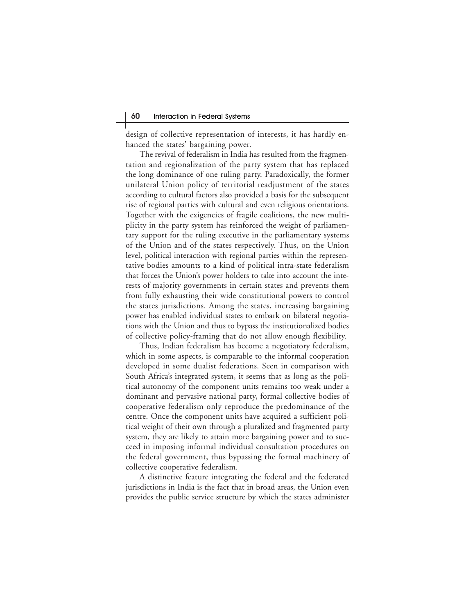design of collective representation of interests, it has hardly enhanced the states' bargaining power.

The revival of federalism in India has resulted from the fragmentation and regionalization of the party system that has replaced the long dominance of one ruling party. Paradoxically, the former unilateral Union policy of territorial readjustment of the states according to cultural factors also provided a basis for the subsequent rise of regional parties with cultural and even religious orientations. Together with the exigencies of fragile coalitions, the new multiplicity in the party system has reinforced the weight of parliamentary support for the ruling executive in the parliamentary systems of the Union and of the states respectively. Thus, on the Union level, political interaction with regional parties within the representative bodies amounts to a kind of political intra-state federalism that forces the Union's power holders to take into account the interests of majority governments in certain states and prevents them from fully exhausting their wide constitutional powers to control the states jurisdictions. Among the states, increasing bargaining power has enabled individual states to embark on bilateral negotiations with the Union and thus to bypass the institutionalized bodies of collective policy-framing that do not allow enough flexibility.

Thus, Indian federalism has become a negotiatory federalism, which in some aspects, is comparable to the informal cooperation developed in some dualist federations. Seen in comparison with South Africa's integrated system, it seems that as long as the political autonomy of the component units remains too weak under a dominant and pervasive national party, formal collective bodies of cooperative federalism only reproduce the predominance of the centre. Once the component units have acquired a sufficient political weight of their own through a pluralized and fragmented party system, they are likely to attain more bargaining power and to succeed in imposing informal individual consultation procedures on the federal government, thus bypassing the formal machinery of collective cooperative federalism.

A distinctive feature integrating the federal and the federated jurisdictions in India is the fact that in broad areas, the Union even provides the public service structure by which the states administer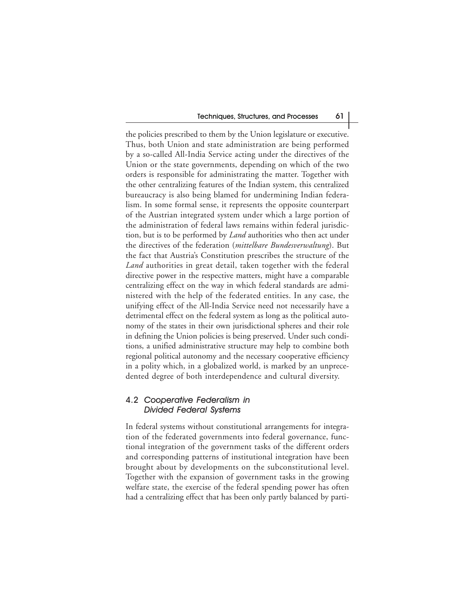the policies prescribed to them by the Union legislature or executive. Thus, both Union and state administration are being performed by a so-called All-India Service acting under the directives of the Union or the state governments, depending on which of the two orders is responsible for administrating the matter. Together with the other centralizing features of the Indian system, this centralized bureaucracy is also being blamed for undermining Indian federalism. In some formal sense, it represents the opposite counterpart of the Austrian integrated system under which a large portion of the administration of federal laws remains within federal jurisdiction, but is to be performed by *Land* authorities who then act under the directives of the federation (*mittelbare Bundesverwaltung*). But the fact that Austria's Constitution prescribes the structure of the *Land* authorities in great detail, taken together with the federal directive power in the respective matters, might have a comparable centralizing effect on the way in which federal standards are administered with the help of the federated entities. In any case, the unifying effect of the All-India Service need not necessarily have a detrimental effect on the federal system as long as the political autonomy of the states in their own jurisdictional spheres and their role in defining the Union policies is being preserved. Under such conditions, a unified administrative structure may help to combine both regional political autonomy and the necessary cooperative efficiency in a polity which, in a globalized world, is marked by an unprecedented degree of both interdependence and cultural diversity.

#### 4.2 Cooperative Federalism in Divided Federal Systems

In federal systems without constitutional arrangements for integration of the federated governments into federal governance, functional integration of the government tasks of the different orders and corresponding patterns of institutional integration have been brought about by developments on the subconstitutional level. Together with the expansion of government tasks in the growing welfare state, the exercise of the federal spending power has often had a centralizing effect that has been only partly balanced by parti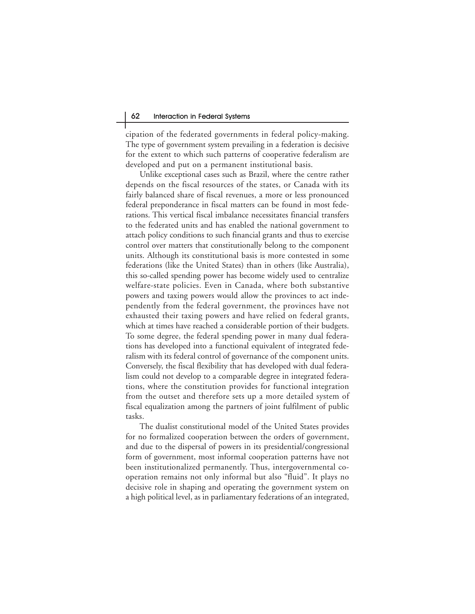cipation of the federated governments in federal policy-making. The type of government system prevailing in a federation is decisive for the extent to which such patterns of cooperative federalism are developed and put on a permanent institutional basis.

Unlike exceptional cases such as Brazil, where the centre rather depends on the fiscal resources of the states, or Canada with its fairly balanced share of fiscal revenues, a more or less pronounced federal preponderance in fiscal matters can be found in most federations. This vertical fiscal imbalance necessitates financial transfers to the federated units and has enabled the national government to attach policy conditions to such financial grants and thus to exercise control over matters that constitutionally belong to the component units. Although its constitutional basis is more contested in some federations (like the United States) than in others (like Australia), this so-called spending power has become widely used to centralize welfare-state policies. Even in Canada, where both substantive powers and taxing powers would allow the provinces to act independently from the federal government, the provinces have not exhausted their taxing powers and have relied on federal grants, which at times have reached a considerable portion of their budgets. To some degree, the federal spending power in many dual federations has developed into a functional equivalent of integrated federalism with its federal control of governance of the component units. Conversely, the fiscal flexibility that has developed with dual federalism could not develop to a comparable degree in integrated federations, where the constitution provides for functional integration from the outset and therefore sets up a more detailed system of fiscal equalization among the partners of joint fulfilment of public tasks.

The dualist constitutional model of the United States provides for no formalized cooperation between the orders of government, and due to the dispersal of powers in its presidential/congressional form of government, most informal cooperation patterns have not been institutionalized permanently. Thus, intergovernmental cooperation remains not only informal but also "fluid". It plays no decisive role in shaping and operating the government system on a high political level, as in parliamentary federations of an integrated,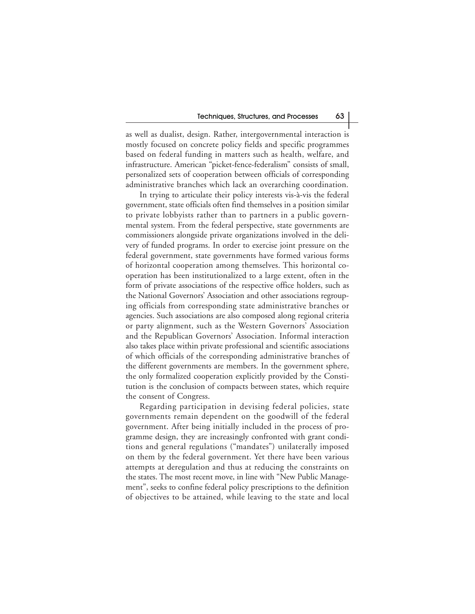as well as dualist, design. Rather, intergovernmental interaction is mostly focused on concrete policy fields and specific programmes based on federal funding in matters such as health, welfare, and infrastructure. American "picket-fence-federalism" consists of small, personalized sets of cooperation between officials of corresponding administrative branches which lack an overarching coordination.

In trying to articulate their policy interests vis-à-vis the federal government, state officials often find themselves in a position similar to private lobbyists rather than to partners in a public governmental system. From the federal perspective, state governments are commissioners alongside private organizations involved in the delivery of funded programs. In order to exercise joint pressure on the federal government, state governments have formed various forms of horizontal cooperation among themselves. This horizontal cooperation has been institutionalized to a large extent, often in the form of private associations of the respective office holders, such as the National Governors' Association and other associations regrouping officials from corresponding state administrative branches or agencies. Such associations are also composed along regional criteria or party alignment, such as the Western Governors' Association and the Republican Governors' Association. Informal interaction also takes place within private professional and scientific associations of which officials of the corresponding administrative branches of the different governments are members. In the government sphere, the only formalized cooperation explicitly provided by the Constitution is the conclusion of compacts between states, which require the consent of Congress.

Regarding participation in devising federal policies, state governments remain dependent on the goodwill of the federal government. After being initially included in the process of programme design, they are increasingly confronted with grant conditions and general regulations ("mandates") unilaterally imposed on them by the federal government. Yet there have been various attempts at deregulation and thus at reducing the constraints on the states. The most recent move, in line with "New Public Management", seeks to confine federal policy prescriptions to the definition of objectives to be attained, while leaving to the state and local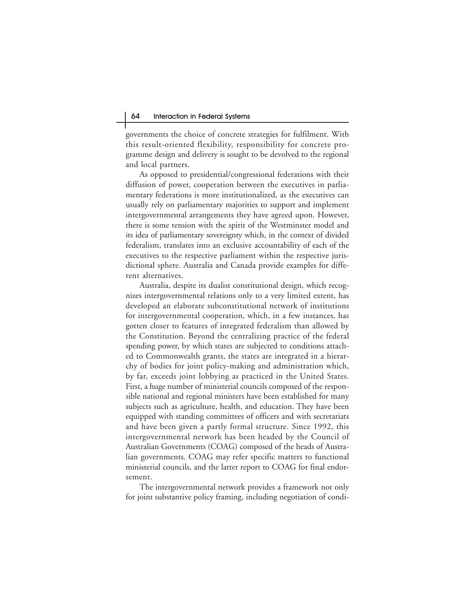governments the choice of concrete strategies for fulfilment. With this result-oriented flexibility, responsibility for concrete programme design and delivery is sought to be devolved to the regional and local partners.

As opposed to presidential/congressional federations with their diffusion of power, cooperation between the executives in parliamentary federations is more institutionalized, as the executives can usually rely on parliamentary majorities to support and implement intergovernmental arrangements they have agreed upon. However, there is some tension with the spirit of the Westminster model and its idea of parliamentary sovereignty which, in the context of divided federalism, translates into an exclusive accountability of each of the executives to the respective parliament within the respective jurisdictional sphere. Australia and Canada provide examples for different alternatives.

Australia, despite its dualist constitutional design, which recognizes intergovernmental relations only to a very limited extent, has developed an elaborate subconstitutional network of institutions for intergovernmental cooperation, which, in a few instances, has gotten closer to features of integrated federalism than allowed by the Constitution. Beyond the centralizing practice of the federal spending power, by which states are subjected to conditions attached to Commonwealth grants, the states are integrated in a hierarchy of bodies for joint policy-making and administration which, by far, exceeds joint lobbying as practiced in the United States. First, a huge number of ministerial councils composed of the responsible national and regional ministers have been established for many subjects such as agriculture, health, and education. They have been equipped with standing committees of officers and with secretariats and have been given a partly formal structure. Since 1992, this intergovernmental network has been headed by the Council of Australian Governments (COAG) composed of the heads of Australian governments. COAG may refer specific matters to functional ministerial councils, and the latter report to COAG for final endorsement.

The intergovernmental network provides a framework not only for joint substantive policy framing, including negotiation of condi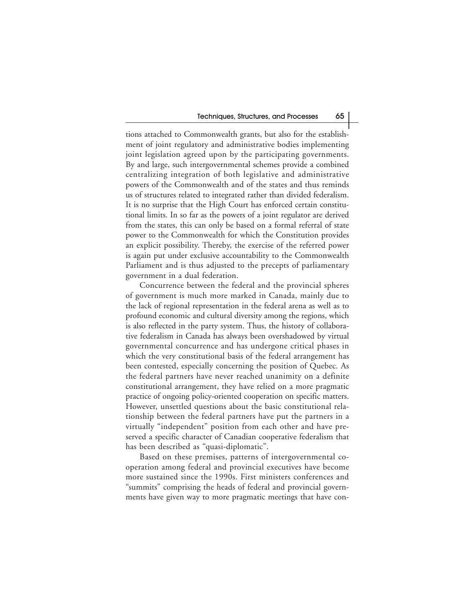tions attached to Commonwealth grants, but also for the establishment of joint regulatory and administrative bodies implementing joint legislation agreed upon by the participating governments. By and large, such intergovernmental schemes provide a combined centralizing integration of both legislative and administrative powers of the Commonwealth and of the states and thus reminds us of structures related to integrated rather than divided federalism. It is no surprise that the High Court has enforced certain constitutional limits. In so far as the powers of a joint regulator are derived from the states, this can only be based on a formal referral of state power to the Commonwealth for which the Constitution provides an explicit possibility. Thereby, the exercise of the referred power is again put under exclusive accountability to the Commonwealth Parliament and is thus adjusted to the precepts of parliamentary government in a dual federation.

Concurrence between the federal and the provincial spheres of government is much more marked in Canada, mainly due to the lack of regional representation in the federal arena as well as to profound economic and cultural diversity among the regions, which is also reflected in the party system. Thus, the history of collaborative federalism in Canada has always been overshadowed by virtual governmental concurrence and has undergone critical phases in which the very constitutional basis of the federal arrangement has been contested, especially concerning the position of Quebec. As the federal partners have never reached unanimity on a definite constitutional arrangement, they have relied on a more pragmatic practice of ongoing policy-oriented cooperation on specific matters. However, unsettled questions about the basic constitutional relationship between the federal partners have put the partners in a virtually "independent" position from each other and have preserved a specific character of Canadian cooperative federalism that has been described as "quasi-diplomatic".

Based on these premises, patterns of intergovernmental cooperation among federal and provincial executives have become more sustained since the 1990s. First ministers conferences and "summits" comprising the heads of federal and provincial governments have given way to more pragmatic meetings that have con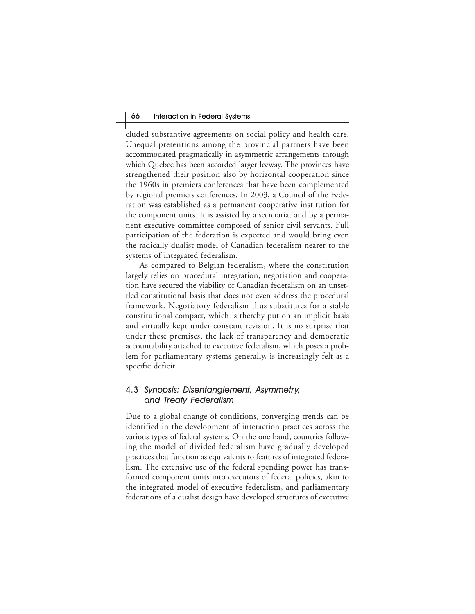cluded substantive agreements on social policy and health care. Unequal pretentions among the provincial partners have been accommodated pragmatically in asymmetric arrangements through which Quebec has been accorded larger leeway. The provinces have strengthened their position also by horizontal cooperation since the 1960s in premiers conferences that have been complemented by regional premiers conferences. In 2003, a Council of the Federation was established as a permanent cooperative institution for the component units. It is assisted by a secretariat and by a permanent executive committee composed of senior civil servants. Full participation of the federation is expected and would bring even the radically dualist model of Canadian federalism nearer to the systems of integrated federalism.

As compared to Belgian federalism, where the constitution largely relies on procedural integration, negotiation and cooperation have secured the viability of Canadian federalism on an unsettled constitutional basis that does not even address the procedural framework. Negotiatory federalism thus substitutes for a stable constitutional compact, which is thereby put on an implicit basis and virtually kept under constant revision. It is no surprise that under these premises, the lack of transparency and democratic accountability attached to executive federalism, which poses a problem for parliamentary systems generally, is increasingly felt as a specific deficit.

#### 4.3 Synopsis: Disentanglement, Asymmetry, and Treaty Federalism

Due to a global change of conditions, converging trends can be identified in the development of interaction practices across the various types of federal systems. On the one hand, countries following the model of divided federalism have gradually developed practices that function as equivalents to features of integrated federalism. The extensive use of the federal spending power has transformed component units into executors of federal policies, akin to the integrated model of executive federalism, and parliamentary federations of a dualist design have developed structures of executive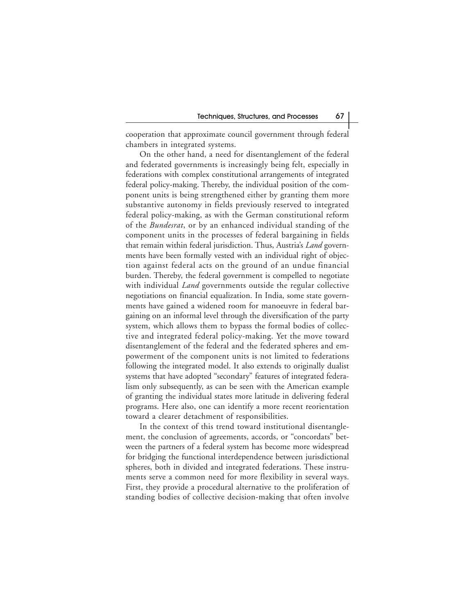cooperation that approximate council government through federal chambers in integrated systems.

On the other hand, a need for disentanglement of the federal and federated governments is increasingly being felt, especially in federations with complex constitutional arrangements of integrated federal policy-making. Thereby, the individual position of the component units is being strengthened either by granting them more substantive autonomy in fields previously reserved to integrated federal policy-making, as with the German constitutional reform of the *Bundesrat*, or by an enhanced individual standing of the component units in the processes of federal bargaining in fields that remain within federal jurisdiction. Thus, Austria's *Land* governments have been formally vested with an individual right of objection against federal acts on the ground of an undue financial burden. Thereby, the federal government is compelled to negotiate with individual *Land* governments outside the regular collective negotiations on financial equalization. In India, some state governments have gained a widened room for manoeuvre in federal bargaining on an informal level through the diversification of the party system, which allows them to bypass the formal bodies of collective and integrated federal policy-making. Yet the move toward disentanglement of the federal and the federated spheres and empowerment of the component units is not limited to federations following the integrated model. It also extends to originally dualist systems that have adopted "secondary" features of integrated federalism only subsequently, as can be seen with the American example of granting the individual states more latitude in delivering federal programs. Here also, one can identify a more recent reorientation toward a clearer detachment of responsibilities.

In the context of this trend toward institutional disentanglement, the conclusion of agreements, accords, or "concordats" between the partners of a federal system has become more widespread for bridging the functional interdependence between jurisdictional spheres, both in divided and integrated federations. These instruments serve a common need for more flexibility in several ways. First, they provide a procedural alternative to the proliferation of standing bodies of collective decision-making that often involve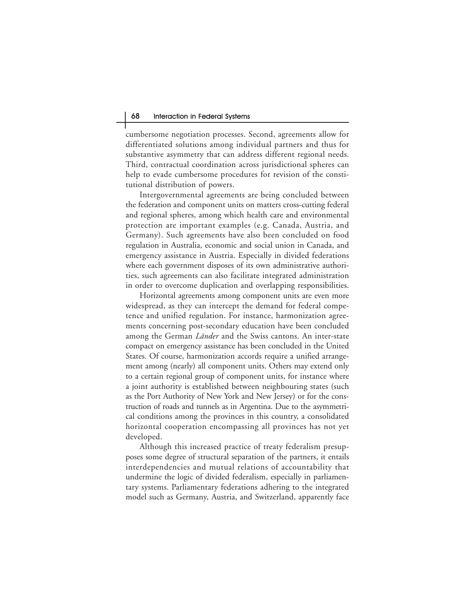cumbersome negotiation processes. Second, agreements allow for differentiated solutions among individual partners and thus for substantive asymmetry that can address different regional needs. Third, contractual coordination across jurisdictional spheres can help to evade cumbersome procedures for revision of the constitutional distribution of powers.

Intergovernmental agreements are being concluded between the federation and component units on matters cross-cutting federal and regional spheres, among which health care and environmental protection are important examples (e.g. Canada, Austria, and Germany). Such agreements have also been concluded on food regulation in Australia, economic and social union in Canada, and emergency assistance in Austria. Especially in divided federations where each government disposes of its own administrative authorities, such agreements can also facilitate integrated administration in order to overcome duplication and overlapping responsibilities.

Horizontal agreements among component units are even more widespread, as they can intercept the demand for federal competence and unified regulation. For instance, harmonization agreements concerning post-secondary education have been concluded among the German *Länder* and the Swiss cantons. An inter-state compact on emergency assistance has been concluded in the United States. Of course, harmonization accords require a unified arrangement among (nearly) all component units. Others may extend only to a certain regional group of component units, for instance where a joint authority is established between neighbouring states (such as the Port Authority of New York and New Jersey) or for the construction of roads and tunnels as in Argentina. Due to the asymmetrical conditions among the provinces in this country, a consolidated horizontal cooperation encompassing all provinces has not yet developed.

Although this increased practice of treaty federalism presupposes some degree of structural separation of the partners, it entails interdependencies and mutual relations of accountability that undermine the logic of divided federalism, especially in parliamentary systems. Parliamentary federations adhering to the integrated model such as Germany, Austria, and Switzerland, apparently face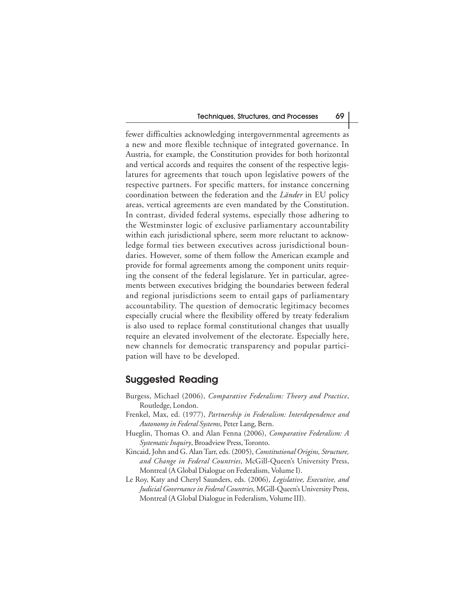fewer difficulties acknowledging intergovernmental agreements as a new and more flexible technique of integrated governance. In Austria, for example, the Constitution provides for both horizontal and vertical accords and requires the consent of the respective legislatures for agreements that touch upon legislative powers of the respective partners. For specific matters, for instance concerning coordination between the federation and the *Länder* in EU policy areas, vertical agreements are even mandated by the Constitution. In contrast, divided federal systems, especially those adhering to the Westminster logic of exclusive parliamentary accountability within each jurisdictional sphere, seem more reluctant to acknowledge formal ties between executives across jurisdictional boundaries. However, some of them follow the American example and provide for formal agreements among the component units requiring the consent of the federal legislature. Yet in particular, agreements between executives bridging the boundaries between federal and regional jurisdictions seem to entail gaps of parliamentary accountability. The question of democratic legitimacy becomes especially crucial where the flexibility offered by treaty federalism is also used to replace formal constitutional changes that usually require an elevated involvement of the electorate. Especially here, new channels for democratic transparency and popular participation will have to be developed.

# **Suggested Reading**

- Burgess, Michael (2006), *Comparative Federalism: Theory and Practice*, Routledge, London.
- Frenkel, Max, ed. (1977), *Partnership in Federalism: Interdependence and Autonomy in Federal Systems*, Peter Lang, Bern.
- Hueglin, Thomas O. and Alan Fenna (2006), *Comparative Federalism: A Systematic Inquiry*, Broadview Press, Toronto.
- Kincaid, John and G. Alan Tarr, eds. (2005), *Constitutional Origins, Structure, and Change in Federal Countries*, McGill-Queen's University Press, Montreal (A Global Dialogue on Federalism, Volume I).
- Le Roy, Katy and Cheryl Saunders, eds. (2006), *Legislative, Executive, and Judicial Governance in Federal Countries*, MGill-Queen's University Press, Montreal (A Global Dialogue in Federalism, Volume III).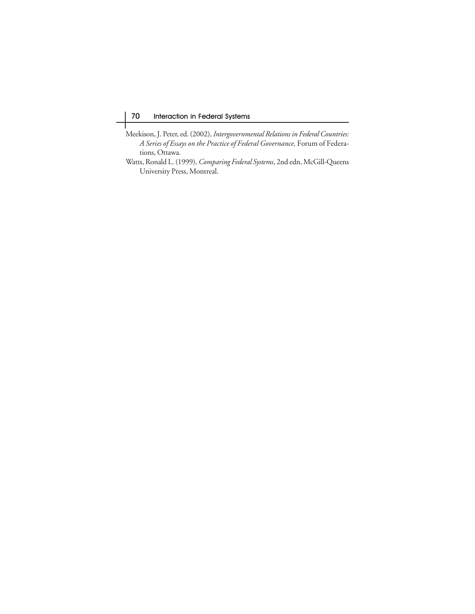- Meekison, J. Peter, ed. (2002), *Intergovernmental Relations in Federal Countries: A Series of Essays on the Practice of Federal Governance,* Forum of Federations, Ottawa.
- Watts, Ronald L. (1999), *Comparing Federal Systems*, 2nd edn, McGill-Queens University Press, Montreal.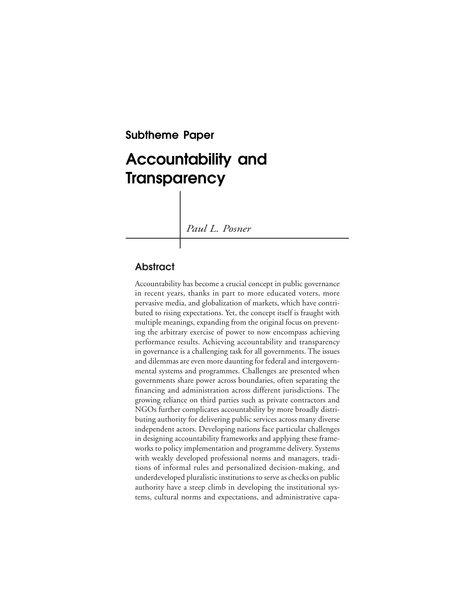**Subtheme Paper**

# **Accountability and Transparency**

*Paul L. Posner*

# **Abstract**

Accountability has become a crucial concept in public governance in recent years, thanks in part to more educated voters, more pervasive media, and globalization of markets, which have contributed to rising expectations. Yet, the concept itself is fraught with multiple meanings, expanding from the original focus on preventing the arbitrary exercise of power to now encompass achieving performance results. Achieving accountability and transparency in governance is a challenging task for all governments. The issues and dilemmas are even more daunting for federal and intergovernmental systems and programmes. Challenges are presented when governments share power across boundaries, often separating the financing and administration across different jurisdictions. The growing reliance on third parties such as private contractors and NGOs further complicates accountability by more broadly distributing authority for delivering public services across many diverse independent actors. Developing nations face particular challenges in designing accountability frameworks and applying these frameworks to policy implementation and programme delivery. Systems with weakly developed professional norms and managers, traditions of informal rules and personalized decision-making, and underdeveloped pluralistic institutions to serve as checks on public authority have a steep climb in developing the institutional systems, cultural norms and expectations, and administrative capa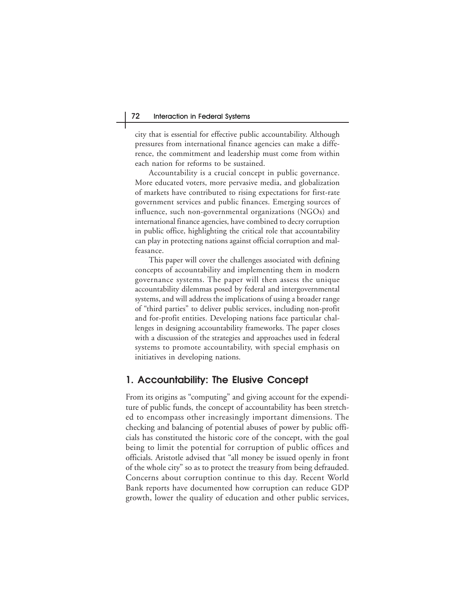city that is essential for effective public accountability. Although pressures from international finance agencies can make a difference, the commitment and leadership must come from within each nation for reforms to be sustained.

Accountability is a crucial concept in public governance. More educated voters, more pervasive media, and globalization of markets have contributed to rising expectations for first-rate government services and public finances. Emerging sources of influence, such non-governmental organizations (NGOs) and international finance agencies, have combined to decry corruption in public office, highlighting the critical role that accountability can play in protecting nations against official corruption and malfeasance.

This paper will cover the challenges associated with defining concepts of accountability and implementing them in modern governance systems. The paper will then assess the unique accountability dilemmas posed by federal and intergovernmental systems, and will address the implications of using a broader range of "third parties" to deliver public services, including non-profit and for-profit entities. Developing nations face particular challenges in designing accountability frameworks. The paper closes with a discussion of the strategies and approaches used in federal systems to promote accountability, with special emphasis on initiatives in developing nations.

# **1. Accountability: The Elusive Concept**

From its origins as "computing" and giving account for the expenditure of public funds, the concept of accountability has been stretched to encompass other increasingly important dimensions. The checking and balancing of potential abuses of power by public officials has constituted the historic core of the concept, with the goal being to limit the potential for corruption of public offices and officials. Aristotle advised that "all money be issued openly in front of the whole city" so as to protect the treasury from being defrauded. Concerns about corruption continue to this day. Recent World Bank reports have documented how corruption can reduce GDP growth, lower the quality of education and other public services,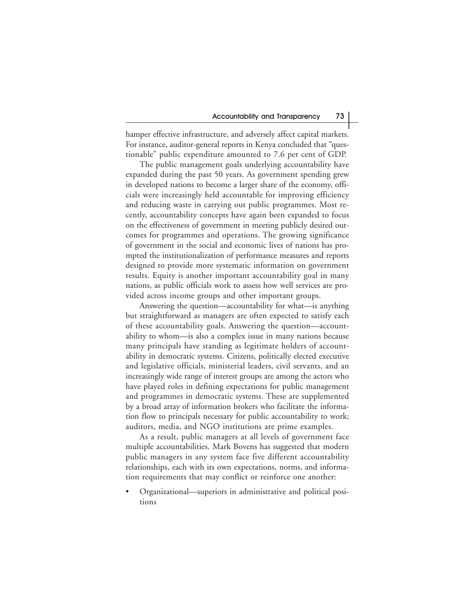hamper effective infrastructure, and adversely affect capital markets. For instance, auditor-general reports in Kenya concluded that "questionable" public expenditure amounted to 7.6 per cent of GDP.

The public management goals underlying accountability have expanded during the past 50 years. As government spending grew in developed nations to become a larger share of the economy, officials were increasingly held accountable for improving efficiency and reducing waste in carrying out public programmes. Most recently, accountability concepts have again been expanded to focus on the effectiveness of government in meeting publicly desired outcomes for programmes and operations. The growing significance of government in the social and economic lives of nations has prompted the institutionalization of performance measures and reports designed to provide more systematic information on government results. Equity is another important accountability goal in many nations, as public officials work to assess how well services are provided across income groups and other important groups.

Answering the question—accountability for what—is anything but straightforward as managers are often expected to satisfy each of these accountability goals. Answering the question—accountability to whom—is also a complex issue in many nations because many principals have standing as legitimate holders of accountability in democratic systems. Citizens, politically elected executive and legislative officials, ministerial leaders, civil servants, and an increasingly wide range of interest groups are among the actors who have played roles in defining expectations for public management and programmes in democratic systems. These are supplemented by a broad array of information brokers who facilitate the information flow to principals necessary for public accountability to work; auditors, media, and NGO institutions are prime examples.

As a result, public managers at all levels of government face multiple accountabilities. Mark Bovens has suggested that modern public managers in any system face five different accountability relationships, each with its own expectations, norms, and information requirements that may conflict or reinforce one another:

• Organizational—superiors in administrative and political positions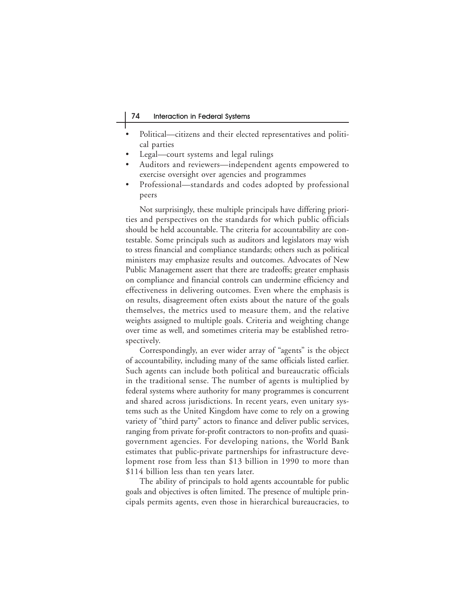- Political—citizens and their elected representatives and political parties
- Legal—court systems and legal rulings
- Auditors and reviewers—independent agents empowered to exercise oversight over agencies and programmes
- Professional—standards and codes adopted by professional peers

Not surprisingly, these multiple principals have differing priorities and perspectives on the standards for which public officials should be held accountable. The criteria for accountability are contestable. Some principals such as auditors and legislators may wish to stress financial and compliance standards; others such as political ministers may emphasize results and outcomes. Advocates of New Public Management assert that there are tradeoffs; greater emphasis on compliance and financial controls can undermine efficiency and effectiveness in delivering outcomes. Even where the emphasis is on results, disagreement often exists about the nature of the goals themselves, the metrics used to measure them, and the relative weights assigned to multiple goals. Criteria and weighting change over time as well, and sometimes criteria may be established retrospectively.

Correspondingly, an ever wider array of "agents" is the object of accountability, including many of the same officials listed earlier. Such agents can include both political and bureaucratic officials in the traditional sense. The number of agents is multiplied by federal systems where authority for many programmes is concurrent and shared across jurisdictions. In recent years, even unitary systems such as the United Kingdom have come to rely on a growing variety of "third party" actors to finance and deliver public services, ranging from private for-profit contractors to non-profits and quasigovernment agencies. For developing nations, the World Bank estimates that public-private partnerships for infrastructure development rose from less than \$13 billion in 1990 to more than \$114 billion less than ten years later.

The ability of principals to hold agents accountable for public goals and objectives is often limited. The presence of multiple principals permits agents, even those in hierarchical bureaucracies, to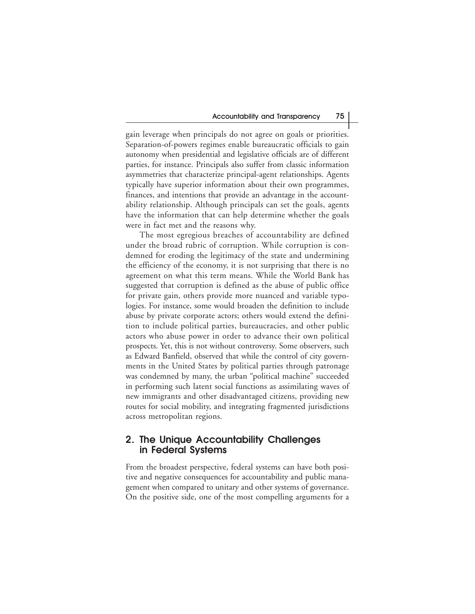gain leverage when principals do not agree on goals or priorities. Separation-of-powers regimes enable bureaucratic officials to gain autonomy when presidential and legislative officials are of different parties, for instance. Principals also suffer from classic information asymmetries that characterize principal-agent relationships. Agents typically have superior information about their own programmes, finances, and intentions that provide an advantage in the accountability relationship. Although principals can set the goals, agents have the information that can help determine whether the goals were in fact met and the reasons why.

The most egregious breaches of accountability are defined under the broad rubric of corruption. While corruption is condemned for eroding the legitimacy of the state and undermining the efficiency of the economy, it is not surprising that there is no agreement on what this term means. While the World Bank has suggested that corruption is defined as the abuse of public office for private gain, others provide more nuanced and variable typologies. For instance, some would broaden the definition to include abuse by private corporate actors; others would extend the definition to include political parties, bureaucracies, and other public actors who abuse power in order to advance their own political prospects. Yet, this is not without controversy. Some observers, such as Edward Banfield, observed that while the control of city governments in the United States by political parties through patronage was condemned by many, the urban "political machine" succeeded in performing such latent social functions as assimilating waves of new immigrants and other disadvantaged citizens, providing new routes for social mobility, and integrating fragmented jurisdictions across metropolitan regions.

# **2. The Unique Accountability Challenges in Federal Systems**

From the broadest perspective, federal systems can have both positive and negative consequences for accountability and public management when compared to unitary and other systems of governance. On the positive side, one of the most compelling arguments for a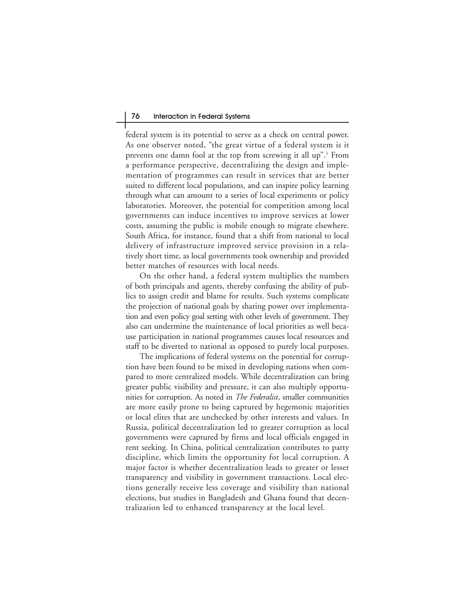federal system is its potential to serve as a check on central power. As one observer noted, "the great virtue of a federal system is it prevents one damn fool at the top from screwing it all up".<sup>1</sup> From a performance perspective, decentralizing the design and implementation of programmes can result in services that are better suited to different local populations, and can inspire policy learning through what can amount to a series of local experiments or policy laboratories. Moreover, the potential for competition among local governments can induce incentives to improve services at lower costs, assuming the public is mobile enough to migrate elsewhere. South Africa, for instance, found that a shift from national to local delivery of infrastructure improved service provision in a relatively short time, as local governments took ownership and provided better matches of resources with local needs.

On the other hand, a federal system multiplies the numbers of both principals and agents, thereby confusing the ability of publics to assign credit and blame for results. Such systems complicate the projection of national goals by sharing power over implementation and even policy goal setting with other levels of government. They also can undermine the maintenance of local priorities as well because participation in national programmes causes local resources and staff to be diverted to national as opposed to purely local purposes.

The implications of federal systems on the potential for corruption have been found to be mixed in developing nations when compared to more centralized models. While decentralization can bring greater public visibility and pressure, it can also multiply opportunities for corruption. As noted in *The Federalist*, smaller communities are more easily prone to being captured by hegemonic majorities or local elites that are unchecked by other interests and values. In Russia, political decentralization led to greater corruption as local governments were captured by firms and local officials engaged in rent seeking. In China, political centralization contributes to party discipline, which limits the opportunity for local corruption. A major factor is whether decentralization leads to greater or lesser transparency and visibility in government transactions. Local elections generally receive less coverage and visibility than national elections, but studies in Bangladesh and Ghana found that decentralization led to enhanced transparency at the local level.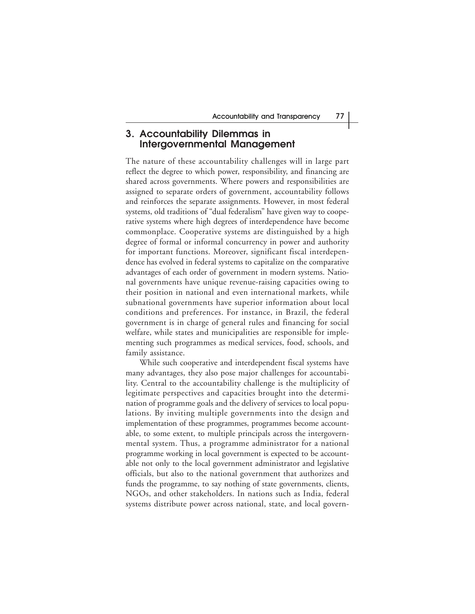#### **3. Accountability Dilemmas in Intergovernmental Management**

The nature of these accountability challenges will in large part reflect the degree to which power, responsibility, and financing are shared across governments. Where powers and responsibilities are assigned to separate orders of government, accountability follows and reinforces the separate assignments. However, in most federal systems, old traditions of "dual federalism" have given way to cooperative systems where high degrees of interdependence have become commonplace. Cooperative systems are distinguished by a high degree of formal or informal concurrency in power and authority for important functions. Moreover, significant fiscal interdependence has evolved in federal systems to capitalize on the comparative advantages of each order of government in modern systems. National governments have unique revenue-raising capacities owing to their position in national and even international markets, while subnational governments have superior information about local conditions and preferences. For instance, in Brazil, the federal government is in charge of general rules and financing for social welfare, while states and municipalities are responsible for implementing such programmes as medical services, food, schools, and family assistance.

While such cooperative and interdependent fiscal systems have many advantages, they also pose major challenges for accountability. Central to the accountability challenge is the multiplicity of legitimate perspectives and capacities brought into the determination of programme goals and the delivery of services to local populations. By inviting multiple governments into the design and implementation of these programmes, programmes become accountable, to some extent, to multiple principals across the intergovernmental system. Thus, a programme administrator for a national programme working in local government is expected to be accountable not only to the local government administrator and legislative officials, but also to the national government that authorizes and funds the programme, to say nothing of state governments, clients, NGOs, and other stakeholders. In nations such as India, federal systems distribute power across national, state, and local govern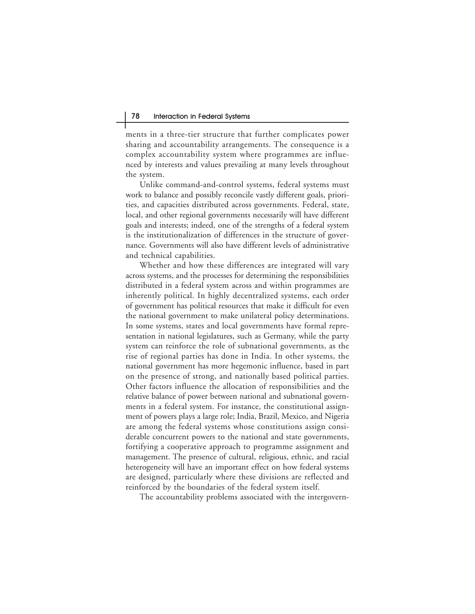ments in a three-tier structure that further complicates power sharing and accountability arrangements. The consequence is a complex accountability system where programmes are influenced by interests and values prevailing at many levels throughout the system.

Unlike command-and-control systems, federal systems must work to balance and possibly reconcile vastly different goals, priorities, and capacities distributed across governments. Federal, state, local, and other regional governments necessarily will have different goals and interests; indeed, one of the strengths of a federal system is the institutionalization of differences in the structure of governance. Governments will also have different levels of administrative and technical capabilities.

Whether and how these differences are integrated will vary across systems, and the processes for determining the responsibilities distributed in a federal system across and within programmes are inherently political. In highly decentralized systems, each order of government has political resources that make it difficult for even the national government to make unilateral policy determinations. In some systems, states and local governments have formal representation in national legislatures, such as Germany, while the party system can reinforce the role of subnational governments, as the rise of regional parties has done in India. In other systems, the national government has more hegemonic influence, based in part on the presence of strong, and nationally based political parties. Other factors influence the allocation of responsibilities and the relative balance of power between national and subnational governments in a federal system. For instance, the constitutional assignment of powers plays a large role; India, Brazil, Mexico, and Nigeria are among the federal systems whose constitutions assign considerable concurrent powers to the national and state governments, fortifying a cooperative approach to programme assignment and management. The presence of cultural, religious, ethnic, and racial heterogeneity will have an important effect on how federal systems are designed, particularly where these divisions are reflected and reinforced by the boundaries of the federal system itself.

The accountability problems associated with the intergovern-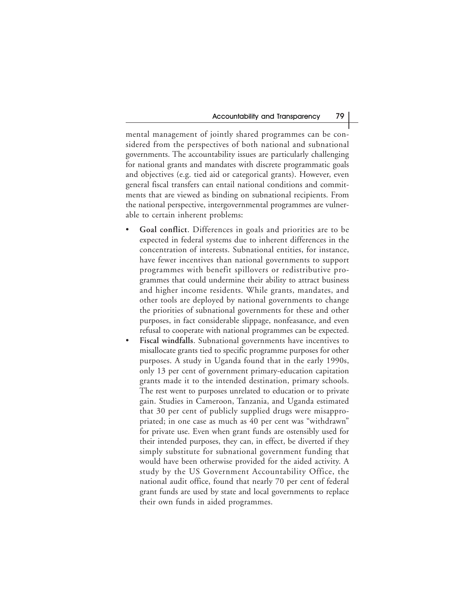mental management of jointly shared programmes can be considered from the perspectives of both national and subnational governments. The accountability issues are particularly challenging for national grants and mandates with discrete programmatic goals and objectives (e.g. tied aid or categorical grants). However, even general fiscal transfers can entail national conditions and commitments that are viewed as binding on subnational recipients. From the national perspective, intergovernmental programmes are vulnerable to certain inherent problems:

- **Goal conflict**. Differences in goals and priorities are to be expected in federal systems due to inherent differences in the concentration of interests. Subnational entities, for instance, have fewer incentives than national governments to support programmes with benefit spillovers or redistributive programmes that could undermine their ability to attract business and higher income residents. While grants, mandates, and other tools are deployed by national governments to change the priorities of subnational governments for these and other purposes, in fact considerable slippage, nonfeasance, and even refusal to cooperate with national programmes can be expected.
- **Fiscal windfalls**. Subnational governments have incentives to misallocate grants tied to specific programme purposes for other purposes. A study in Uganda found that in the early 1990s, only 13 per cent of government primary-education capitation grants made it to the intended destination, primary schools. The rest went to purposes unrelated to education or to private gain. Studies in Cameroon, Tanzania, and Uganda estimated that 30 per cent of publicly supplied drugs were misappropriated; in one case as much as 40 per cent was "withdrawn" for private use. Even when grant funds are ostensibly used for their intended purposes, they can, in effect, be diverted if they simply substitute for subnational government funding that would have been otherwise provided for the aided activity. A study by the US Government Accountability Office, the national audit office, found that nearly 70 per cent of federal grant funds are used by state and local governments to replace their own funds in aided programmes.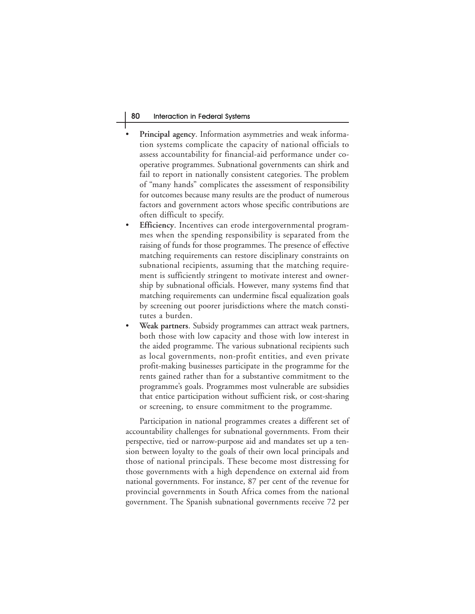#### 80 Interaction in Federal Systems

- **Principal agency.** Information asymmetries and weak information systems complicate the capacity of national officials to assess accountability for financial-aid performance under cooperative programmes. Subnational governments can shirk and fail to report in nationally consistent categories. The problem of "many hands" complicates the assessment of responsibility for outcomes because many results are the product of numerous factors and government actors whose specific contributions are often difficult to specify.
- **Efficiency**. Incentives can erode intergovernmental programmes when the spending responsibility is separated from the raising of funds for those programmes. The presence of effective matching requirements can restore disciplinary constraints on subnational recipients, assuming that the matching requirement is sufficiently stringent to motivate interest and ownership by subnational officials. However, many systems find that matching requirements can undermine fiscal equalization goals by screening out poorer jurisdictions where the match constitutes a burden.
- **Weak partners**. Subsidy programmes can attract weak partners, both those with low capacity and those with low interest in the aided programme. The various subnational recipients such as local governments, non-profit entities, and even private profit-making businesses participate in the programme for the rents gained rather than for a substantive commitment to the programme's goals. Programmes most vulnerable are subsidies that entice participation without sufficient risk, or cost-sharing or screening, to ensure commitment to the programme.

Participation in national programmes creates a different set of accountability challenges for subnational governments. From their perspective, tied or narrow-purpose aid and mandates set up a tension between loyalty to the goals of their own local principals and those of national principals. These become most distressing for those governments with a high dependence on external aid from national governments. For instance, 87 per cent of the revenue for provincial governments in South Africa comes from the national government. The Spanish subnational governments receive 72 per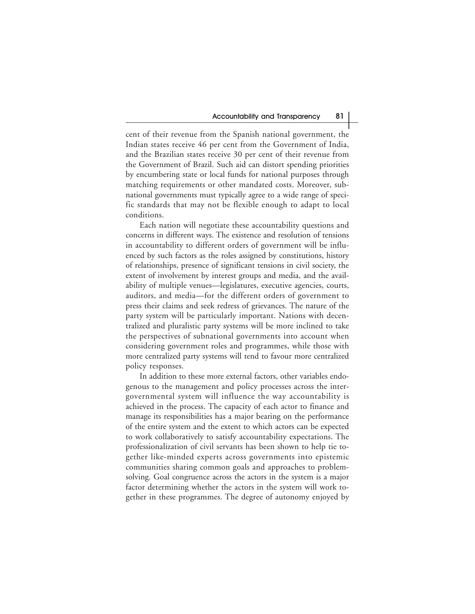cent of their revenue from the Spanish national government, the Indian states receive 46 per cent from the Government of India, and the Brazilian states receive 30 per cent of their revenue from the Government of Brazil. Such aid can distort spending priorities by encumbering state or local funds for national purposes through matching requirements or other mandated costs. Moreover, subnational governments must typically agree to a wide range of specific standards that may not be flexible enough to adapt to local conditions.

Each nation will negotiate these accountability questions and concerns in different ways. The existence and resolution of tensions in accountability to different orders of government will be influenced by such factors as the roles assigned by constitutions, history of relationships, presence of significant tensions in civil society, the extent of involvement by interest groups and media, and the availability of multiple venues—legislatures, executive agencies, courts, auditors, and media—for the different orders of government to press their claims and seek redress of grievances. The nature of the party system will be particularly important. Nations with decentralized and pluralistic party systems will be more inclined to take the perspectives of subnational governments into account when considering government roles and programmes, while those with more centralized party systems will tend to favour more centralized policy responses.

In addition to these more external factors, other variables endogenous to the management and policy processes across the intergovernmental system will influence the way accountability is achieved in the process. The capacity of each actor to finance and manage its responsibilities has a major bearing on the performance of the entire system and the extent to which actors can be expected to work collaboratively to satisfy accountability expectations. The professionalization of civil servants has been shown to help tie together like-minded experts across governments into epistemic communities sharing common goals and approaches to problemsolving. Goal congruence across the actors in the system is a major factor determining whether the actors in the system will work together in these programmes. The degree of autonomy enjoyed by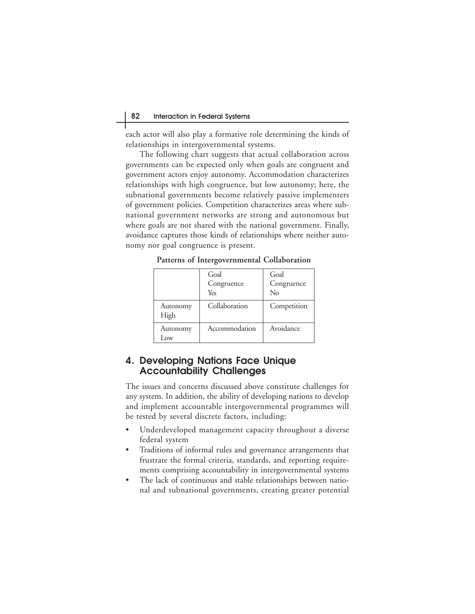each actor will also play a formative role determining the kinds of relationships in intergovernmental systems.

The following chart suggests that actual collaboration across governments can be expected only when goals are congruent and government actors enjoy autonomy. Accommodation characterizes relationships with high congruence, but low autonomy; here, the subnational governments become relatively passive implementers of government policies. Competition characterizes areas where subnational government networks are strong and autonomous but where goals are not shared with the national government. Finally, avoidance captures those kinds of relationships where neither autonomy nor goal congruence is present.

**Patterns of Intergovernmental Collaboration**

|                  | Goal<br>Congruence<br>Yes | Goal<br>Congruence<br>No |
|------------------|---------------------------|--------------------------|
| Autonomy<br>High | Collaboration             | Competition              |
| Autonomy<br>l ow | Accommodation             | Avoidance                |

# **4. Developing Nations Face Unique Accountability Challenges**

The issues and concerns discussed above constitute challenges for any system. In addition, the ability of developing nations to develop and implement accountable intergovernmental programmes will be tested by several discrete factors, including:

- Underdeveloped management capacity throughout a diverse federal system
- Traditions of informal rules and governance arrangements that frustrate the formal criteria, standards, and reporting requirements comprising accountability in intergovernmental systems
- The lack of continuous and stable relationships between national and subnational governments, creating greater potential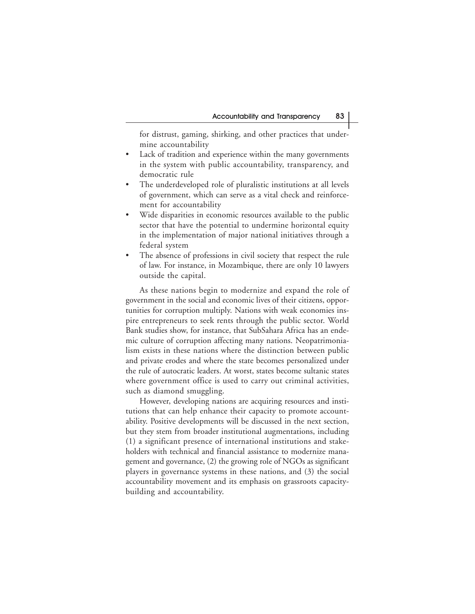for distrust, gaming, shirking, and other practices that undermine accountability

- Lack of tradition and experience within the many governments in the system with public accountability, transparency, and democratic rule
- The underdeveloped role of pluralistic institutions at all levels of government, which can serve as a vital check and reinforcement for accountability
- Wide disparities in economic resources available to the public sector that have the potential to undermine horizontal equity in the implementation of major national initiatives through a federal system
- The absence of professions in civil society that respect the rule of law. For instance, in Mozambique, there are only 10 lawyers outside the capital.

As these nations begin to modernize and expand the role of government in the social and economic lives of their citizens, opportunities for corruption multiply. Nations with weak economies inspire entrepreneurs to seek rents through the public sector. World Bank studies show, for instance, that SubSahara Africa has an endemic culture of corruption affecting many nations. Neopatrimonialism exists in these nations where the distinction between public and private erodes and where the state becomes personalized under the rule of autocratic leaders. At worst, states become sultanic states where government office is used to carry out criminal activities, such as diamond smuggling.

However, developing nations are acquiring resources and institutions that can help enhance their capacity to promote accountability. Positive developments will be discussed in the next section, but they stem from broader institutional augmentations, including (1) a significant presence of international institutions and stakeholders with technical and financial assistance to modernize management and governance, (2) the growing role of NGOs as significant players in governance systems in these nations, and (3) the social accountability movement and its emphasis on grassroots capacitybuilding and accountability.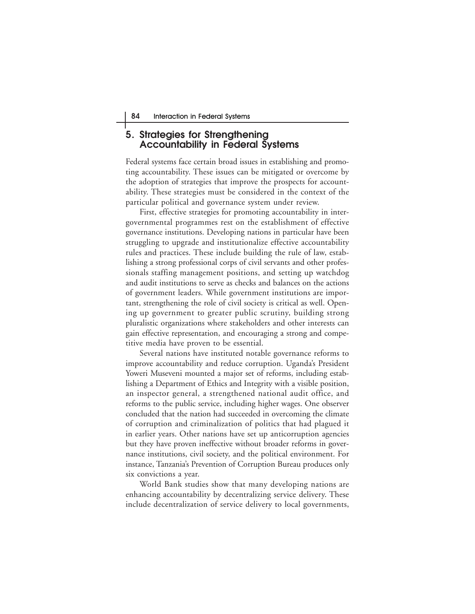# **5. Strategies for Strengthening Accountability in Federal Systems**

Federal systems face certain broad issues in establishing and promoting accountability. These issues can be mitigated or overcome by the adoption of strategies that improve the prospects for accountability. These strategies must be considered in the context of the particular political and governance system under review.

First, effective strategies for promoting accountability in intergovernmental programmes rest on the establishment of effective governance institutions. Developing nations in particular have been struggling to upgrade and institutionalize effective accountability rules and practices. These include building the rule of law, establishing a strong professional corps of civil servants and other professionals staffing management positions, and setting up watchdog and audit institutions to serve as checks and balances on the actions of government leaders. While government institutions are important, strengthening the role of civil society is critical as well. Opening up government to greater public scrutiny, building strong pluralistic organizations where stakeholders and other interests can gain effective representation, and encouraging a strong and competitive media have proven to be essential.

Several nations have instituted notable governance reforms to improve accountability and reduce corruption. Uganda's President Yoweri Museveni mounted a major set of reforms, including establishing a Department of Ethics and Integrity with a visible position, an inspector general, a strengthened national audit office, and reforms to the public service, including higher wages. One observer concluded that the nation had succeeded in overcoming the climate of corruption and criminalization of politics that had plagued it in earlier years. Other nations have set up anticorruption agencies but they have proven ineffective without broader reforms in governance institutions, civil society, and the political environment. For instance, Tanzania's Prevention of Corruption Bureau produces only six convictions a year.

World Bank studies show that many developing nations are enhancing accountability by decentralizing service delivery. These include decentralization of service delivery to local governments,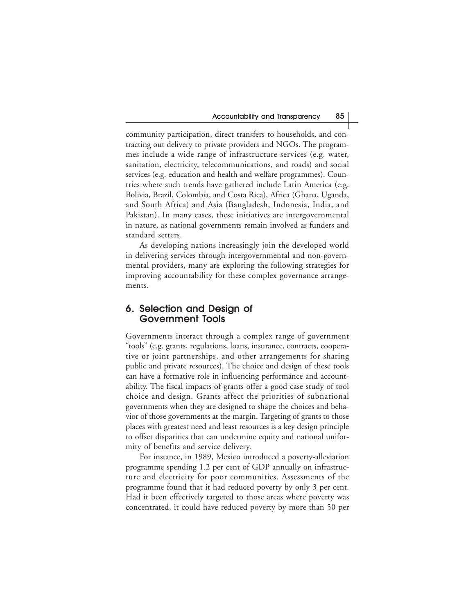community participation, direct transfers to households, and contracting out delivery to private providers and NGOs. The programmes include a wide range of infrastructure services (e.g. water, sanitation, electricity, telecommunications, and roads) and social services (e.g. education and health and welfare programmes). Countries where such trends have gathered include Latin America (e.g. Bolivia, Brazil, Colombia, and Costa Rica), Africa (Ghana, Uganda, and South Africa) and Asia (Bangladesh, Indonesia, India, and Pakistan). In many cases, these initiatives are intergovernmental in nature, as national governments remain involved as funders and standard setters.

As developing nations increasingly join the developed world in delivering services through intergovernmental and non-governmental providers, many are exploring the following strategies for improving accountability for these complex governance arrangements.

#### **6. Selection and Design of Government Tools**

Governments interact through a complex range of government "tools" (e.g. grants, regulations, loans, insurance, contracts, cooperative or joint partnerships, and other arrangements for sharing public and private resources). The choice and design of these tools can have a formative role in influencing performance and accountability. The fiscal impacts of grants offer a good case study of tool choice and design. Grants affect the priorities of subnational governments when they are designed to shape the choices and behavior of those governments at the margin. Targeting of grants to those places with greatest need and least resources is a key design principle to offset disparities that can undermine equity and national uniformity of benefits and service delivery.

For instance, in 1989, Mexico introduced a poverty-alleviation programme spending 1.2 per cent of GDP annually on infrastructure and electricity for poor communities. Assessments of the programme found that it had reduced poverty by only 3 per cent. Had it been effectively targeted to those areas where poverty was concentrated, it could have reduced poverty by more than 50 per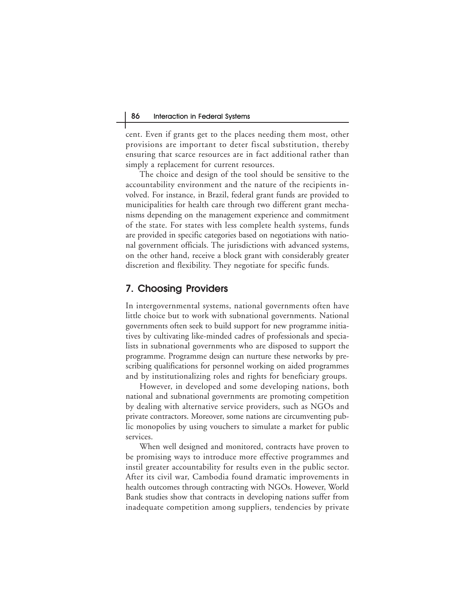cent. Even if grants get to the places needing them most, other provisions are important to deter fiscal substitution, thereby ensuring that scarce resources are in fact additional rather than simply a replacement for current resources.

The choice and design of the tool should be sensitive to the accountability environment and the nature of the recipients involved. For instance, in Brazil, federal grant funds are provided to municipalities for health care through two different grant mechanisms depending on the management experience and commitment of the state. For states with less complete health systems, funds are provided in specific categories based on negotiations with national government officials. The jurisdictions with advanced systems, on the other hand, receive a block grant with considerably greater discretion and flexibility. They negotiate for specific funds.

#### **7. Choosing Providers**

In intergovernmental systems, national governments often have little choice but to work with subnational governments. National governments often seek to build support for new programme initiatives by cultivating like-minded cadres of professionals and specialists in subnational governments who are disposed to support the programme. Programme design can nurture these networks by prescribing qualifications for personnel working on aided programmes and by institutionalizing roles and rights for beneficiary groups.

However, in developed and some developing nations, both national and subnational governments are promoting competition by dealing with alternative service providers, such as NGOs and private contractors. Moreover, some nations are circumventing public monopolies by using vouchers to simulate a market for public services.

When well designed and monitored, contracts have proven to be promising ways to introduce more effective programmes and instil greater accountability for results even in the public sector. After its civil war, Cambodia found dramatic improvements in health outcomes through contracting with NGOs. However, World Bank studies show that contracts in developing nations suffer from inadequate competition among suppliers, tendencies by private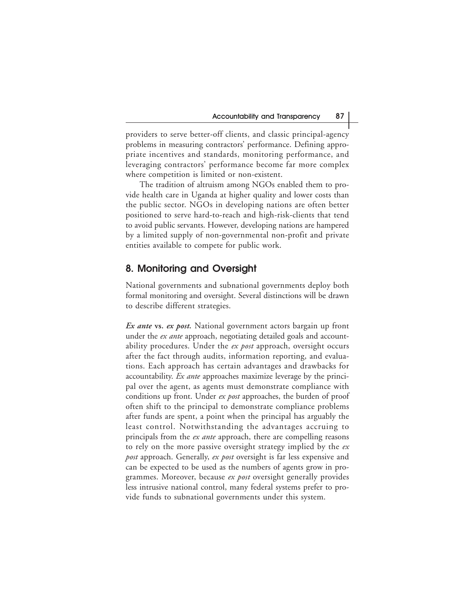providers to serve better-off clients, and classic principal-agency problems in measuring contractors' performance. Defining appropriate incentives and standards, monitoring performance, and leveraging contractors' performance become far more complex where competition is limited or non-existent.

The tradition of altruism among NGOs enabled them to provide health care in Uganda at higher quality and lower costs than the public sector. NGOs in developing nations are often better positioned to serve hard-to-reach and high-risk-clients that tend to avoid public servants. However, developing nations are hampered by a limited supply of non-governmental non-profit and private entities available to compete for public work.

# **8. Monitoring and Oversight**

National governments and subnational governments deploy both formal monitoring and oversight. Several distinctions will be drawn to describe different strategies.

*Ex ante* **vs.** *ex post.* National government actors bargain up front under the *ex ante* approach, negotiating detailed goals and accountability procedures. Under the *ex post* approach, oversight occurs after the fact through audits, information reporting, and evaluations. Each approach has certain advantages and drawbacks for accountability. *Ex ante* approaches maximize leverage by the principal over the agent, as agents must demonstrate compliance with conditions up front. Under *ex post* approaches, the burden of proof often shift to the principal to demonstrate compliance problems after funds are spent, a point when the principal has arguably the least control. Notwithstanding the advantages accruing to principals from the *ex ante* approach, there are compelling reasons to rely on the more passive oversight strategy implied by the *ex post* approach. Generally, *ex post* oversight is far less expensive and can be expected to be used as the numbers of agents grow in programmes. Moreover, because *ex post* oversight generally provides less intrusive national control, many federal systems prefer to provide funds to subnational governments under this system.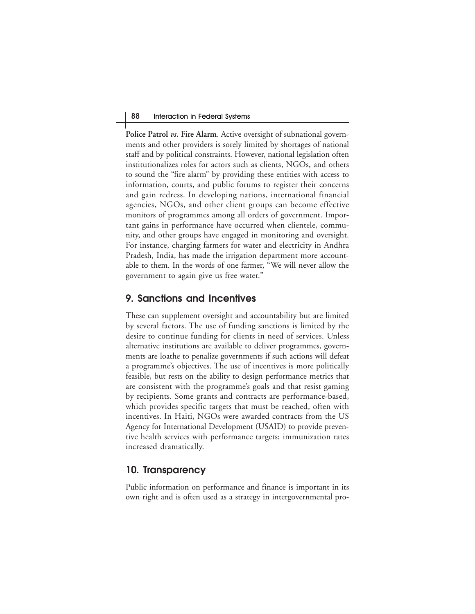**Police Patrol** *vs***. Fire Alarm**. Active oversight of subnational governments and other providers is sorely limited by shortages of national staff and by political constraints. However, national legislation often institutionalizes roles for actors such as clients, NGOs, and others to sound the "fire alarm" by providing these entities with access to information, courts, and public forums to register their concerns and gain redress. In developing nations, international financial agencies, NGOs, and other client groups can become effective monitors of programmes among all orders of government. Important gains in performance have occurred when clientele, community, and other groups have engaged in monitoring and oversight. For instance, charging farmers for water and electricity in Andhra Pradesh, India, has made the irrigation department more accountable to them. In the words of one farmer, "We will never allow the government to again give us free water."

#### **9. Sanctions and Incentives**

These can supplement oversight and accountability but are limited by several factors. The use of funding sanctions is limited by the desire to continue funding for clients in need of services. Unless alternative institutions are available to deliver programmes, governments are loathe to penalize governments if such actions will defeat a programme's objectives. The use of incentives is more politically feasible, but rests on the ability to design performance metrics that are consistent with the programme's goals and that resist gaming by recipients. Some grants and contracts are performance-based, which provides specific targets that must be reached, often with incentives. In Haiti, NGOs were awarded contracts from the US Agency for International Development (USAID) to provide preventive health services with performance targets; immunization rates increased dramatically.

#### **10. Transparency**

Public information on performance and finance is important in its own right and is often used as a strategy in intergovernmental pro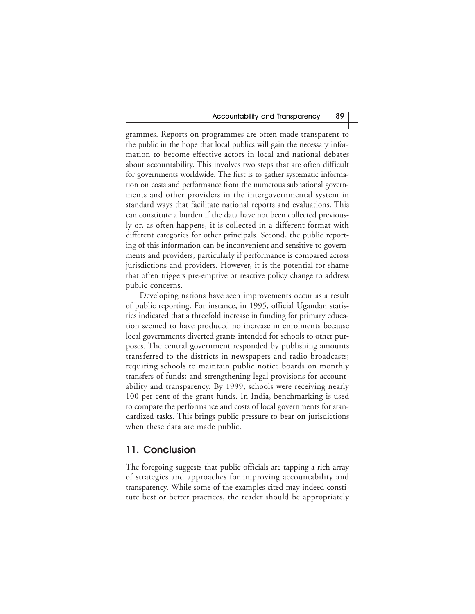grammes. Reports on programmes are often made transparent to the public in the hope that local publics will gain the necessary information to become effective actors in local and national debates about accountability. This involves two steps that are often difficult for governments worldwide. The first is to gather systematic information on costs and performance from the numerous subnational governments and other providers in the intergovernmental system in standard ways that facilitate national reports and evaluations. This can constitute a burden if the data have not been collected previously or, as often happens, it is collected in a different format with different categories for other principals. Second, the public reporting of this information can be inconvenient and sensitive to governments and providers, particularly if performance is compared across jurisdictions and providers. However, it is the potential for shame that often triggers pre-emptive or reactive policy change to address public concerns.

Developing nations have seen improvements occur as a result of public reporting. For instance, in 1995, official Ugandan statistics indicated that a threefold increase in funding for primary education seemed to have produced no increase in enrolments because local governments diverted grants intended for schools to other purposes. The central government responded by publishing amounts transferred to the districts in newspapers and radio broadcasts; requiring schools to maintain public notice boards on monthly transfers of funds; and strengthening legal provisions for accountability and transparency. By 1999, schools were receiving nearly 100 per cent of the grant funds. In India, benchmarking is used to compare the performance and costs of local governments for standardized tasks. This brings public pressure to bear on jurisdictions when these data are made public.

#### **11. Conclusion**

The foregoing suggests that public officials are tapping a rich array of strategies and approaches for improving accountability and transparency. While some of the examples cited may indeed constitute best or better practices, the reader should be appropriately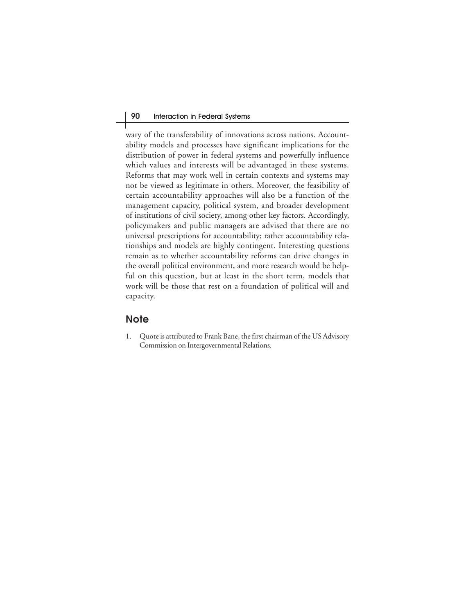wary of the transferability of innovations across nations. Accountability models and processes have significant implications for the distribution of power in federal systems and powerfully influence which values and interests will be advantaged in these systems. Reforms that may work well in certain contexts and systems may not be viewed as legitimate in others. Moreover, the feasibility of certain accountability approaches will also be a function of the management capacity, political system, and broader development of institutions of civil society, among other key factors. Accordingly, policymakers and public managers are advised that there are no universal prescriptions for accountability; rather accountability relationships and models are highly contingent. Interesting questions remain as to whether accountability reforms can drive changes in the overall political environment, and more research would be helpful on this question, but at least in the short term, models that work will be those that rest on a foundation of political will and capacity.

# **Note**

1. Quote is attributed to Frank Bane, the first chairman of the US Advisory Commission on Intergovernmental Relations.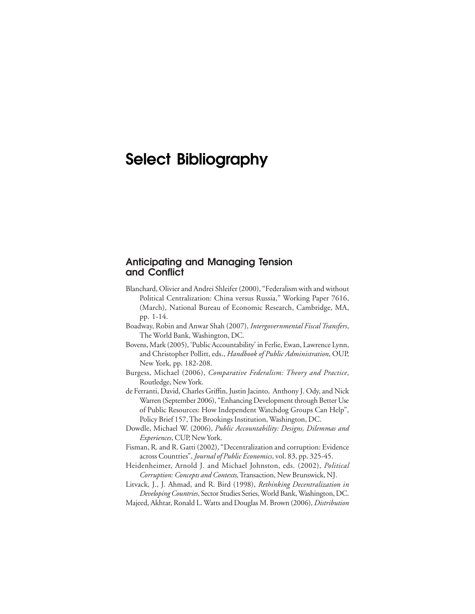## **Select Bibliography**

#### **Anticipating and Managing Tension and Conflict**

- Blanchard, Olivier and Andrei Shleifer (2000), "Federalism with and without Political Centralization: China versus Russia," Working Paper 7616, (March), National Bureau of Economic Research, Cambridge, MA, pp. 1-14.
- Boadway, Robin and Anwar Shah (2007), *Intergovernmental Fiscal Transfers*, The World Bank, Washington, DC.
- Bovens, Mark (2005), 'Public Accountability' in Ferlie, Ewan, Lawrence Lynn, and Christopher Pollitt, eds., *Handbook of Public Administration*, OUP, New York, pp. 182-208.
- Burgess, Michael (2006), *Comparative Federalism: Theory and Practice*, Routledge, New York.
- de Ferranti, David, Charles Griffin, Justin Jacinto, Anthony J. Ody, and Nick Warren (September 2006), "Enhancing Development through Better Use of Public Resources: How Independent Watchdog Groups Can Help", Policy Brief 157, The Brookings Institution, Washington, DC.
- Dowdle, Michael W. (2006), *Public Accountability: Designs, Dilemmas and Experiences*, CUP, New York.
- Fisman, R. and R. Gatti (2002), "Decentralization and corruption: Evidence across Countries", *Journal of Public Economics*, vol. 83, pp. 325-45.
- Heidenheimer, Arnold J. and Michael Johnston, eds. (2002), *Political Corruption: Concepts and Contexts,* Transaction, New Brunswick, NJ.
- Litvack, J., J. Ahmad, and R. Bird (1998), *Rethinking Decentralization in Developing Countries*, Sector Studies Series, World Bank, Washington, DC.
- Majeed, Akhtar, Ronald L. Watts and Douglas M. Brown (2006), *Distribution*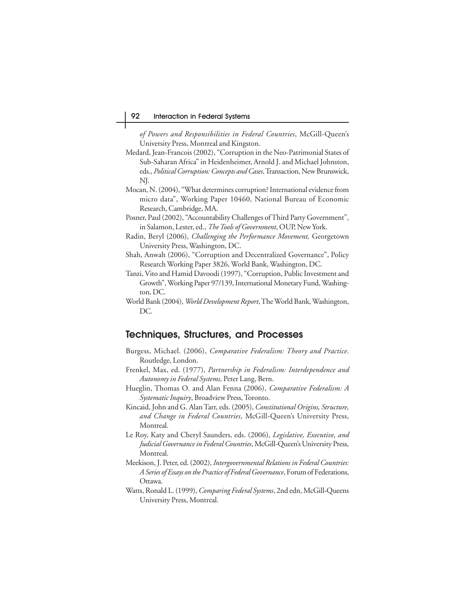*of Powers and Responsibilities in Federal Countries*, McGill-Queen's University Press, Montreal and Kingston.

- Medard, Jean-Francois (2002), "Corruption in the Neo-Patrimonial States of Sub-Saharan Africa" in Heidenheimer, Arnold J. and Michael Johnston, eds., *Political Corruption: Concepts and Cases*, Transaction, New Brunswick, NJ.
- Mocan, N. (2004), "What determines corruption? International evidence from micro data", Working Paper 10460, National Bureau of Economic Research, Cambridge, MA.
- Posner, Paul (2002), "Accountability Challenges of Third Party Government", in Salamon, Lester, ed., *The Tools of Government*, OUP, New York.
- Radin, Beryl (2006), *Challenging the Performance Movement,* Georgetown University Press, Washington, DC.
- Shah, Anwah (2006), "Corruption and Decentralized Governance", Policy Research Working Paper 3826, World Bank, Washington, DC.
- Tanzi, Vito and Hamid Davoodi (1997), "Corruption, Public Investment and Growth", Working Paper 97/139, International Monetary Fund, Washington, DC.
- World Bank (2004), *World Development Report*, The World Bank, Washington, DC.

#### **Techniques, Structures, and Processes**

- Burgess, Michael. (2006), *Comparative Federalism: Theory and Practice*. Routledge, London.
- Frenkel, Max, ed. (1977), *Partnership in Federalism: Interdependence and Autonomy in Federal Systems,* Peter Lang, Bern.
- Hueglin, Thomas O. and Alan Fenna (2006), *Comparative Federalism: A Systematic Inquiry*, Broadview Press, Toronto.
- Kincaid, John and G. Alan Tarr, eds. (2005), *Constitutional Origins, Structure, and Change in Federal Countries*, McGill-Queen's University Press, Montreal.
- Le Roy, Katy and Cheryl Saunders, eds. (2006), *Legislative, Executive, and Judicial Governance in Federal Countries*, McGill-Queen's University Press, Montreal.
- Meekison, J. Peter, ed. (2002), *Intergovernmental Relations in Federal Countries: A Series of Essays on the Practice of Federal Governance*, Forum of Federations, Ottawa.
- Watts, Ronald L. (1999), *Comparing Federal Systems*, 2nd edn, McGill-Queens University Press, Montreal.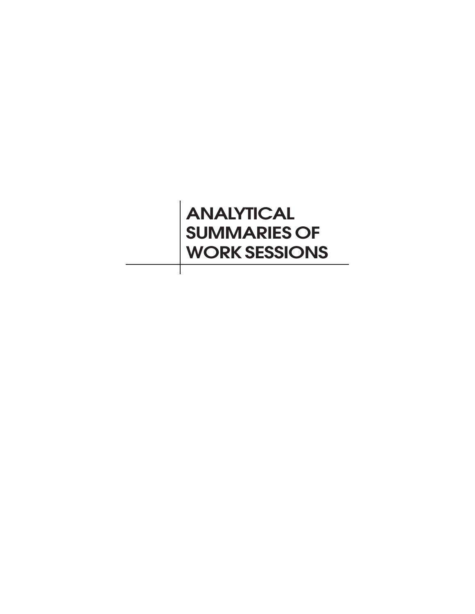# **ANALYTICAL SUMMARIES OF WORK SESSIONS**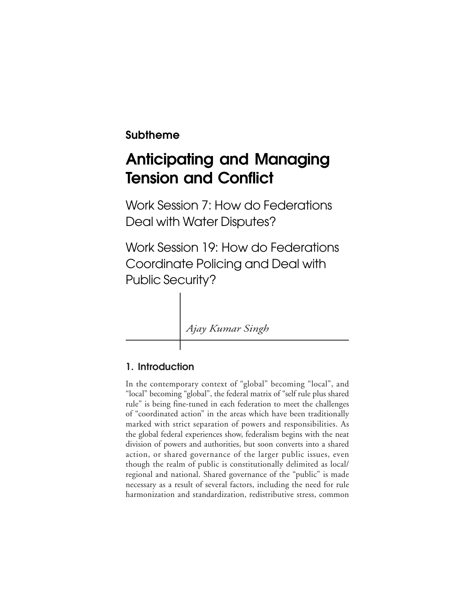## **Subtheme**

## **Anticipating and Managing Tension and Conflict**

Work Session 7: How do Federations Deal with Water Disputes?

Work Session 19: How do Federations Coordinate Policing and Deal with Public Security?

*Ajay Kumar Singh*

## **1. Introduction**

In the contemporary context of "global" becoming "local", and "local" becoming "global", the federal matrix of "self rule plus shared rule" is being fine-tuned in each federation to meet the challenges of "coordinated action" in the areas which have been traditionally marked with strict separation of powers and responsibilities. As the global federal experiences show, federalism begins with the neat division of powers and authorities, but soon converts into a shared action, or shared governance of the larger public issues, even though the realm of public is constitutionally delimited as local/ regional and national. Shared governance of the "public" is made necessary as a result of several factors, including the need for rule harmonization and standardization, redistributive stress, common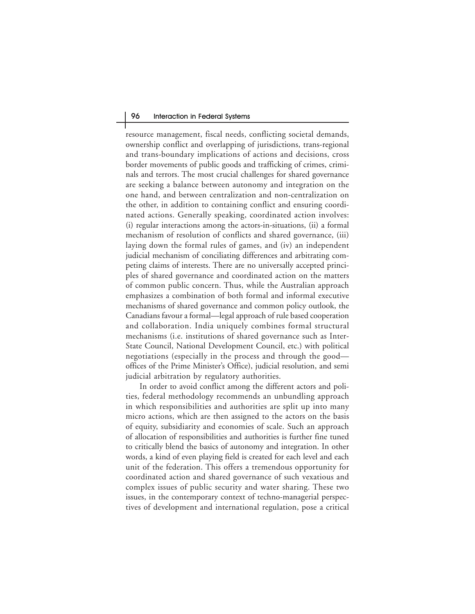#### 96 Interaction in Federal Systems

resource management, fiscal needs, conflicting societal demands, ownership conflict and overlapping of jurisdictions, trans-regional and trans-boundary implications of actions and decisions, cross border movements of public goods and trafficking of crimes, criminals and terrors. The most crucial challenges for shared governance are seeking a balance between autonomy and integration on the one hand, and between centralization and non-centralization on the other, in addition to containing conflict and ensuring coordinated actions. Generally speaking, coordinated action involves: (i) regular interactions among the actors-in-situations, (ii) a formal mechanism of resolution of conflicts and shared governance, (iii) laying down the formal rules of games, and (iv) an independent judicial mechanism of conciliating differences and arbitrating competing claims of interests. There are no universally accepted principles of shared governance and coordinated action on the matters of common public concern. Thus, while the Australian approach emphasizes a combination of both formal and informal executive mechanisms of shared governance and common policy outlook, the Canadians favour a formal—legal approach of rule based cooperation and collaboration. India uniquely combines formal structural mechanisms (i.e. institutions of shared governance such as Inter-State Council, National Development Council, etc.) with political negotiations (especially in the process and through the good offices of the Prime Minister's Office), judicial resolution, and semi judicial arbitration by regulatory authorities.

In order to avoid conflict among the different actors and polities, federal methodology recommends an unbundling approach in which responsibilities and authorities are split up into many micro actions, which are then assigned to the actors on the basis of equity, subsidiarity and economies of scale. Such an approach of allocation of responsibilities and authorities is further fine tuned to critically blend the basics of autonomy and integration. In other words, a kind of even playing field is created for each level and each unit of the federation. This offers a tremendous opportunity for coordinated action and shared governance of such vexatious and complex issues of public security and water sharing. These two issues, in the contemporary context of techno-managerial perspectives of development and international regulation, pose a critical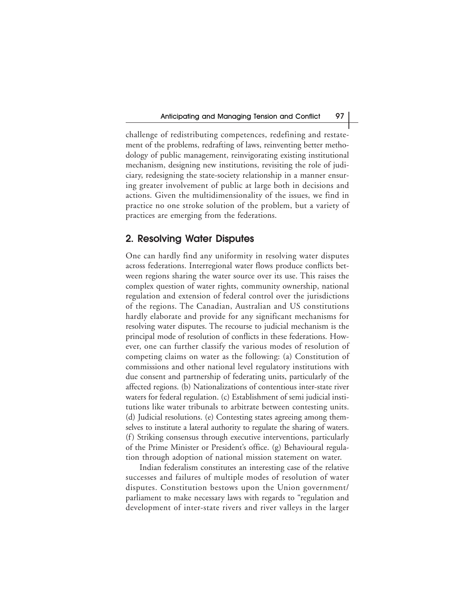challenge of redistributing competences, redefining and restatement of the problems, redrafting of laws, reinventing better methodology of public management, reinvigorating existing institutional mechanism, designing new institutions, revisiting the role of judiciary, redesigning the state-society relationship in a manner ensuring greater involvement of public at large both in decisions and actions. Given the multidimensionality of the issues, we find in practice no one stroke solution of the problem, but a variety of practices are emerging from the federations.

#### **2. Resolving Water Disputes**

One can hardly find any uniformity in resolving water disputes across federations. Interregional water flows produce conflicts between regions sharing the water source over its use. This raises the complex question of water rights, community ownership, national regulation and extension of federal control over the jurisdictions of the regions. The Canadian, Australian and US constitutions hardly elaborate and provide for any significant mechanisms for resolving water disputes. The recourse to judicial mechanism is the principal mode of resolution of conflicts in these federations. However, one can further classify the various modes of resolution of competing claims on water as the following: (a) Constitution of commissions and other national level regulatory institutions with due consent and partnership of federating units, particularly of the affected regions. (b) Nationalizations of contentious inter-state river waters for federal regulation. (c) Establishment of semi judicial institutions like water tribunals to arbitrate between contesting units. (d) Judicial resolutions. (e) Contesting states agreeing among themselves to institute a lateral authority to regulate the sharing of waters. (f) Striking consensus through executive interventions, particularly of the Prime Minister or President's office. (g) Behavioural regulation through adoption of national mission statement on water.

Indian federalism constitutes an interesting case of the relative successes and failures of multiple modes of resolution of water disputes. Constitution bestows upon the Union government/ parliament to make necessary laws with regards to "regulation and development of inter-state rivers and river valleys in the larger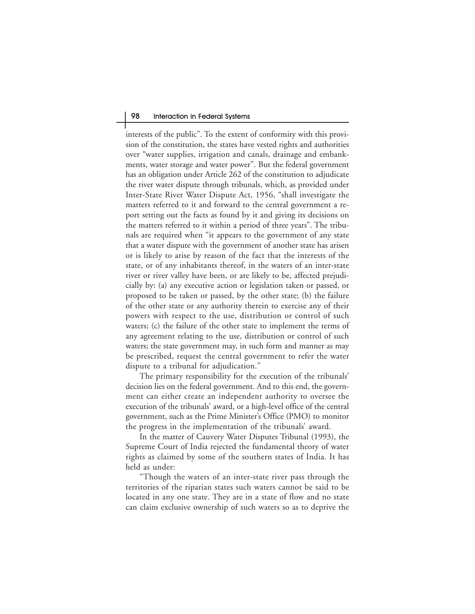interests of the public". To the extent of conformity with this provision of the constitution, the states have vested rights and authorities over "water supplies, irrigation and canals, drainage and embankments, water storage and water power". But the federal government has an obligation under Article 262 of the constitution to adjudicate the river water dispute through tribunals, which, as provided under Inter-State River Water Dispute Act, 1956, "shall investigate the matters referred to it and forward to the central government a report setting out the facts as found by it and giving its decisions on the matters referred to it within a period of three years". The tribunals are required when "it appears to the government of any state that a water dispute with the government of another state has arisen or is likely to arise by reason of the fact that the interests of the state, or of any inhabitants thereof, in the waters of an inter-state river or river valley have been, or are likely to be, affected prejudicially by: (a) any executive action or legislation taken or passed, or proposed to be taken or passed, by the other state; (b) the failure of the other state or any authority therein to exercise any of their powers with respect to the use, distribution or control of such waters; (c) the failure of the other state to implement the terms of any agreement relating to the use, distribution or control of such waters; the state government may, in such form and manner as may be prescribed, request the central government to refer the water dispute to a tribunal for adjudication."

The primary responsibility for the execution of the tribunals' decision lies on the federal government. And to this end, the government can either create an independent authority to oversee the execution of the tribunals' award, or a high-level office of the central government, such as the Prime Minister's Office (PMO) to monitor the progress in the implementation of the tribunals' award.

In the matter of Cauvery Water Disputes Tribunal (1993), the Supreme Court of India rejected the fundamental theory of water rights as claimed by some of the southern states of India. It has held as under:

"Though the waters of an inter-state river pass through the territories of the riparian states such waters cannot be said to be located in any one state. They are in a state of flow and no state can claim exclusive ownership of such waters so as to deprive the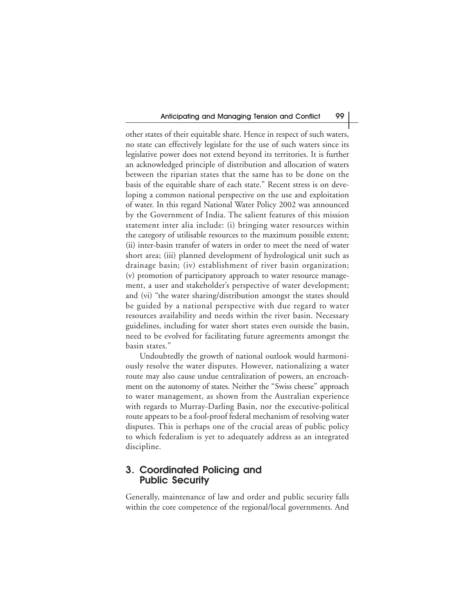other states of their equitable share. Hence in respect of such waters, no state can effectively legislate for the use of such waters since its legislative power does not extend beyond its territories. It is further an acknowledged principle of distribution and allocation of waters between the riparian states that the same has to be done on the basis of the equitable share of each state." Recent stress is on developing a common national perspective on the use and exploitation of water. In this regard National Water Policy 2002 was announced by the Government of India. The salient features of this mission statement inter alia include: (i) bringing water resources within the category of utilisable resources to the maximum possible extent; (ii) inter-basin transfer of waters in order to meet the need of water short area; (iii) planned development of hydrological unit such as drainage basin; (iv) establishment of river basin organization; (v) promotion of participatory approach to water resource management, a user and stakeholder's perspective of water development; and (vi) "the water sharing/distribution amongst the states should be guided by a national perspective with due regard to water resources availability and needs within the river basin. Necessary guidelines, including for water short states even outside the basin, need to be evolved for facilitating future agreements amongst the basin states."

Undoubtedly the growth of national outlook would harmoniously resolve the water disputes. However, nationalizing a water route may also cause undue centralization of powers, an encroachment on the autonomy of states. Neither the "Swiss cheese" approach to water management, as shown from the Australian experience with regards to Murray-Darling Basin, nor the executive-political route appears to be a fool-proof federal mechanism of resolving water disputes. This is perhaps one of the crucial areas of public policy to which federalism is yet to adequately address as an integrated discipline.

### **3. Coordinated Policing and Public Security**

Generally, maintenance of law and order and public security falls within the core competence of the regional/local governments. And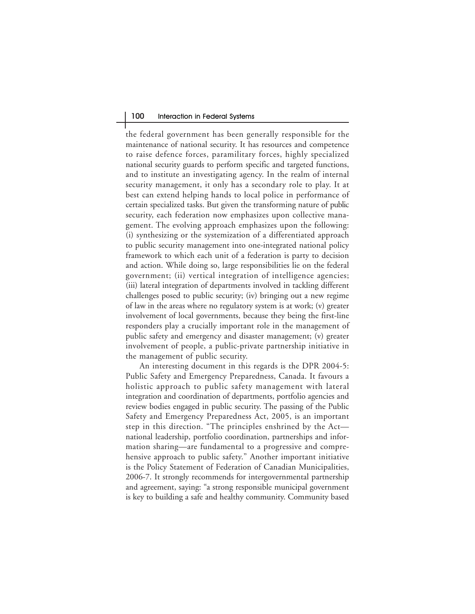#### 100 Interaction in Federal Systems

the federal government has been generally responsible for the maintenance of national security. It has resources and competence to raise defence forces, paramilitary forces, highly specialized national security guards to perform specific and targeted functions, and to institute an investigating agency. In the realm of internal security management, it only has a secondary role to play. It at best can extend helping hands to local police in performance of certain specialized tasks. But given the transforming nature of public security, each federation now emphasizes upon collective management. The evolving approach emphasizes upon the following: (i) synthesizing or the systemization of a differentiated approach to public security management into one-integrated national policy framework to which each unit of a federation is party to decision and action. While doing so, large responsibilities lie on the federal government; (ii) vertical integration of intelligence agencies; (iii) lateral integration of departments involved in tackling different challenges posed to public security; (iv) bringing out a new regime of law in the areas where no regulatory system is at work; (v) greater involvement of local governments, because they being the first-line responders play a crucially important role in the management of public safety and emergency and disaster management; (v) greater involvement of people, a public-private partnership initiative in the management of public security.

An interesting document in this regards is the DPR 2004-5: Public Safety and Emergency Preparedness, Canada. It favours a holistic approach to public safety management with lateral integration and coordination of departments, portfolio agencies and review bodies engaged in public security. The passing of the Public Safety and Emergency Preparedness Act, 2005, is an important step in this direction. "The principles enshrined by the Act national leadership, portfolio coordination, partnerships and information sharing—are fundamental to a progressive and comprehensive approach to public safety." Another important initiative is the Policy Statement of Federation of Canadian Municipalities, 2006-7. It strongly recommends for intergovernmental partnership and agreement, saying: "a strong responsible municipal government is key to building a safe and healthy community. Community based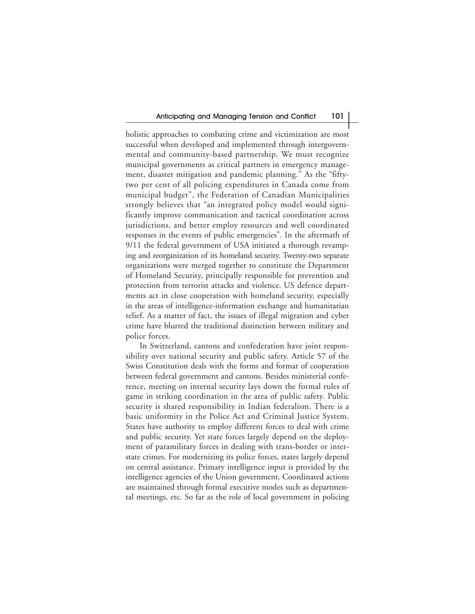holistic approaches to combating crime and victimization are most successful when developed and implemented through intergovernmental and community-based partnership. We must recognize municipal governments as critical partners in emergency management, disaster mitigation and pandemic planning." As the "fiftytwo per cent of all policing expenditures in Canada come from municipal budget", the Federation of Canadian Municipalities strongly believes that "an integrated policy model would significantly improve communication and tactical coordination across jurisdictions, and better employ resources and well coordinated responses in the events of public emergencies". In the aftermath of 9/11 the federal government of USA initiated a thorough revamping and reorganization of its homeland security. Twenty-two separate organizations were merged together to constitute the Department of Homeland Security, principally responsible for prevention and protection from terrorist attacks and violence. US defence departments act in close cooperation with homeland security, especially in the areas of intelligence-information exchange and humanitarian relief. As a matter of fact, the issues of illegal migration and cyber crime have blurred the traditional distinction between military and police forces.

In Switzerland, cantons and confederation have joint responsibility over national security and public safety. Article 57 of the Swiss Constitution deals with the forms and format of cooperation between federal government and cantons. Besides ministerial conference, meeting on internal security lays down the formal rules of game in striking coordination in the area of public safety. Public security is shared responsibility in Indian federalism. There is a basic uniformity in the Police Act and Criminal Justice System. States have authority to employ different forces to deal with crime and public security. Yet state forces largely depend on the deployment of paramilitary forces in dealing with trans-border or interstate crimes. For modernizing its police forces, states largely depend on central assistance. Primary intelligence input is provided by the intelligence agencies of the Union government. Coordinated actions are maintained through formal executive modes such as departmental meetings, etc. So far as the role of local government in policing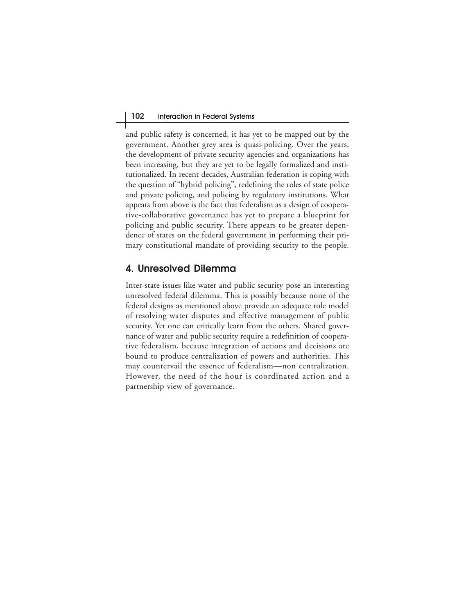and public safety is concerned, it has yet to be mapped out by the government. Another grey area is quasi-policing. Over the years, the development of private security agencies and organizations has been increasing, but they are yet to be legally formalized and institutionalized. In recent decades, Australian federation is coping with the question of "hybrid policing", redefining the roles of state police and private policing, and policing by regulatory institutions. What appears from above is the fact that federalism as a design of cooperative-collaborative governance has yet to prepare a blueprint for policing and public security. There appears to be greater dependence of states on the federal government in performing their primary constitutional mandate of providing security to the people.

### **4. Unresolved Dilemma**

Inter-state issues like water and public security pose an interesting unresolved federal dilemma. This is possibly because none of the federal designs as mentioned above provide an adequate role model of resolving water disputes and effective management of public security. Yet one can critically learn from the others. Shared governance of water and public security require a redefinition of cooperative federalism, because integration of actions and decisions are bound to produce centralization of powers and authorities. This may countervail the essence of federalism—non centralization. However, the need of the hour is coordinated action and a partnership view of governance.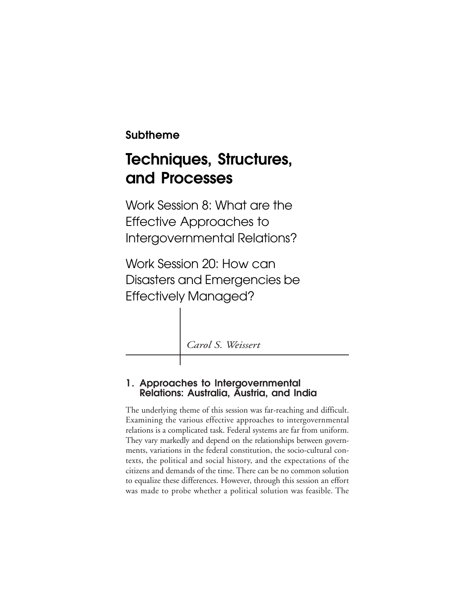**Subtheme**

## **Techniques, Structures, and Processes**

Work Session 8: What are the Effective Approaches to Intergovernmental Relations?

Work Session 20: How can Disasters and Emergencies be Effectively Managed?

*Carol S. Weissert*

## **1. Approaches to Intergovernmental Relations: Australia, Austria, and India**

The underlying theme of this session was far-reaching and difficult. Examining the various effective approaches to intergovernmental relations is a complicated task. Federal systems are far from uniform. They vary markedly and depend on the relationships between governments, variations in the federal constitution, the socio-cultural contexts, the political and social history, and the expectations of the citizens and demands of the time. There can be no common solution to equalize these differences. However, through this session an effort was made to probe whether a political solution was feasible. The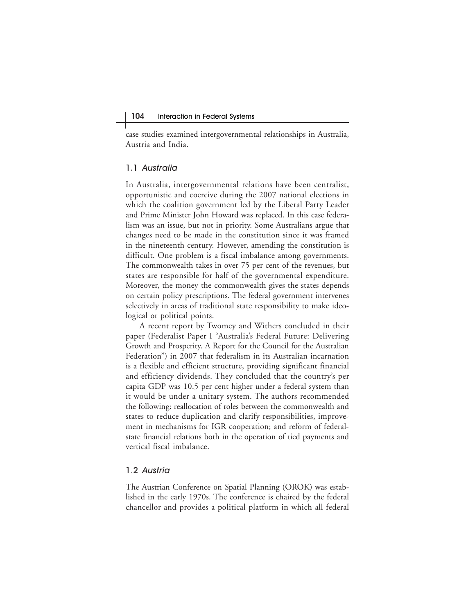case studies examined intergovernmental relationships in Australia, Austria and India.

#### 1.1 Australia

In Australia, intergovernmental relations have been centralist, opportunistic and coercive during the 2007 national elections in which the coalition government led by the Liberal Party Leader and Prime Minister John Howard was replaced. In this case federalism was an issue, but not in priority. Some Australians argue that changes need to be made in the constitution since it was framed in the nineteenth century. However, amending the constitution is difficult. One problem is a fiscal imbalance among governments. The commonwealth takes in over 75 per cent of the revenues, but states are responsible for half of the governmental expenditure. Moreover, the money the commonwealth gives the states depends on certain policy prescriptions. The federal government intervenes selectively in areas of traditional state responsibility to make ideological or political points.

A recent report by Twomey and Withers concluded in their paper (Federalist Paper I "Australia's Federal Future: Delivering Growth and Prosperity. A Report for the Council for the Australian Federation") in 2007 that federalism in its Australian incarnation is a flexible and efficient structure, providing significant financial and efficiency dividends. They concluded that the country's per capita GDP was 10.5 per cent higher under a federal system than it would be under a unitary system. The authors recommended the following: reallocation of roles between the commonwealth and states to reduce duplication and clarify responsibilities, improvement in mechanisms for IGR cooperation; and reform of federalstate financial relations both in the operation of tied payments and vertical fiscal imbalance.

#### 1.2 Austria

The Austrian Conference on Spatial Planning (OROK) was established in the early 1970s. The conference is chaired by the federal chancellor and provides a political platform in which all federal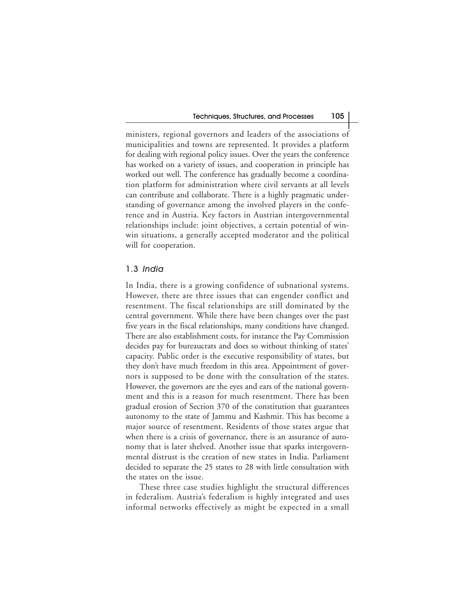ministers, regional governors and leaders of the associations of municipalities and towns are represented. It provides a platform for dealing with regional policy issues. Over the years the conference has worked on a variety of issues, and cooperation in principle has worked out well. The conference has gradually become a coordination platform for administration where civil servants at all levels can contribute and collaborate. There is a highly pragmatic understanding of governance among the involved players in the conference and in Austria. Key factors in Austrian intergovernmental relationships include: joint objectives, a certain potential of winwin situations, a generally accepted moderator and the political will for cooperation.

#### 1.3 India

In India, there is a growing confidence of subnational systems. However, there are three issues that can engender conflict and resentment. The fiscal relationships are still dominated by the central government. While there have been changes over the past five years in the fiscal relationships, many conditions have changed. There are also establishment costs, for instance the Pay Commission decides pay for bureaucrats and does so without thinking of states' capacity. Public order is the executive responsibility of states, but they don't have much freedom in this area. Appointment of governors is supposed to be done with the consultation of the states. However, the governors are the eyes and ears of the national government and this is a reason for much resentment. There has been gradual erosion of Section 370 of the constitution that guarantees autonomy to the state of Jammu and Kashmir. This has become a major source of resentment. Residents of those states argue that when there is a crisis of governance, there is an assurance of autonomy that is later shelved. Another issue that sparks intergovernmental distrust is the creation of new states in India. Parliament decided to separate the 25 states to 28 with little consultation with the states on the issue.

These three case studies highlight the structural differences in federalism. Austria's federalism is highly integrated and uses informal networks effectively as might be expected in a small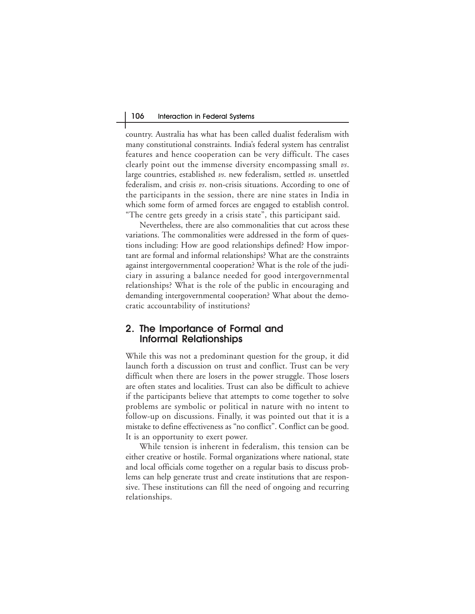country. Australia has what has been called dualist federalism with many constitutional constraints. India's federal system has centralist features and hence cooperation can be very difficult. The cases clearly point out the immense diversity encompassing small *vs*. large countries, established *vs*. new federalism, settled *vs*. unsettled federalism, and crisis *vs*. non-crisis situations. According to one of the participants in the session, there are nine states in India in which some form of armed forces are engaged to establish control. "The centre gets greedy in a crisis state", this participant said.

Nevertheless, there are also commonalities that cut across these variations. The commonalities were addressed in the form of questions including: How are good relationships defined? How important are formal and informal relationships? What are the constraints against intergovernmental cooperation? What is the role of the judiciary in assuring a balance needed for good intergovernmental relationships? What is the role of the public in encouraging and demanding intergovernmental cooperation? What about the democratic accountability of institutions?

### **2. The Importance of Formal and Informal Relationships**

While this was not a predominant question for the group, it did launch forth a discussion on trust and conflict. Trust can be very difficult when there are losers in the power struggle. Those losers are often states and localities. Trust can also be difficult to achieve if the participants believe that attempts to come together to solve problems are symbolic or political in nature with no intent to follow-up on discussions. Finally, it was pointed out that it is a mistake to define effectiveness as "no conflict". Conflict can be good. It is an opportunity to exert power.

While tension is inherent in federalism, this tension can be either creative or hostile. Formal organizations where national, state and local officials come together on a regular basis to discuss problems can help generate trust and create institutions that are responsive. These institutions can fill the need of ongoing and recurring relationships.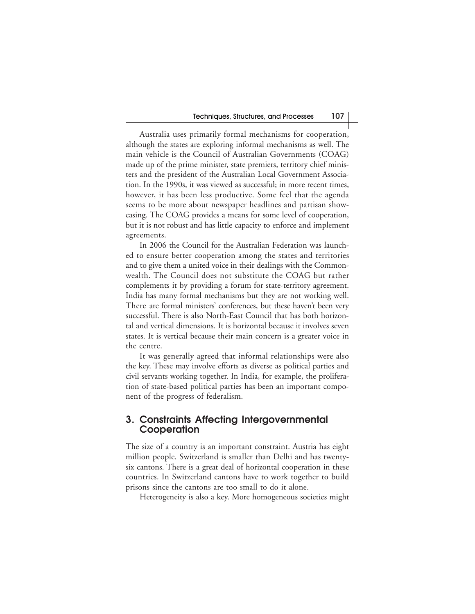Australia uses primarily formal mechanisms for cooperation, although the states are exploring informal mechanisms as well. The main vehicle is the Council of Australian Governments (COAG) made up of the prime minister, state premiers, territory chief ministers and the president of the Australian Local Government Association. In the 1990s, it was viewed as successful; in more recent times, however, it has been less productive. Some feel that the agenda seems to be more about newspaper headlines and partisan showcasing. The COAG provides a means for some level of cooperation, but it is not robust and has little capacity to enforce and implement agreements.

In 2006 the Council for the Australian Federation was launched to ensure better cooperation among the states and territories and to give them a united voice in their dealings with the Commonwealth. The Council does not substitute the COAG but rather complements it by providing a forum for state-territory agreement. India has many formal mechanisms but they are not working well. There are formal ministers' conferences, but these haven't been very successful. There is also North-East Council that has both horizontal and vertical dimensions. It is horizontal because it involves seven states. It is vertical because their main concern is a greater voice in the centre.

It was generally agreed that informal relationships were also the key. These may involve efforts as diverse as political parties and civil servants working together. In India, for example, the proliferation of state-based political parties has been an important component of the progress of federalism.

#### **3. Constraints Affecting Intergovernmental Cooperation**

The size of a country is an important constraint. Austria has eight million people. Switzerland is smaller than Delhi and has twentysix cantons. There is a great deal of horizontal cooperation in these countries. In Switzerland cantons have to work together to build prisons since the cantons are too small to do it alone.

Heterogeneity is also a key. More homogeneous societies might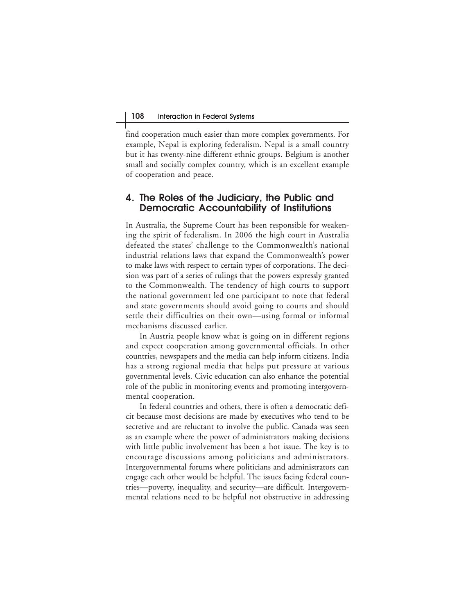find cooperation much easier than more complex governments. For example, Nepal is exploring federalism. Nepal is a small country but it has twenty-nine different ethnic groups. Belgium is another small and socially complex country, which is an excellent example of cooperation and peace.

### **4. The Roles of the Judiciary, the Public and Democratic Accountability of Institutions**

In Australia, the Supreme Court has been responsible for weakening the spirit of federalism. In 2006 the high court in Australia defeated the states' challenge to the Commonwealth's national industrial relations laws that expand the Commonwealth's power to make laws with respect to certain types of corporations. The decision was part of a series of rulings that the powers expressly granted to the Commonwealth. The tendency of high courts to support the national government led one participant to note that federal and state governments should avoid going to courts and should settle their difficulties on their own—using formal or informal mechanisms discussed earlier.

In Austria people know what is going on in different regions and expect cooperation among governmental officials. In other countries, newspapers and the media can help inform citizens. India has a strong regional media that helps put pressure at various governmental levels. Civic education can also enhance the potential role of the public in monitoring events and promoting intergovernmental cooperation.

In federal countries and others, there is often a democratic deficit because most decisions are made by executives who tend to be secretive and are reluctant to involve the public. Canada was seen as an example where the power of administrators making decisions with little public involvement has been a hot issue. The key is to encourage discussions among politicians and administrators. Intergovernmental forums where politicians and administrators can engage each other would be helpful. The issues facing federal countries—poverty, inequality, and security—are difficult. Intergovernmental relations need to be helpful not obstructive in addressing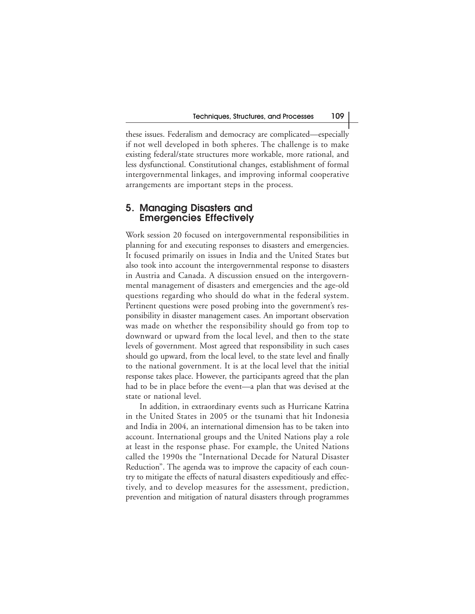these issues. Federalism and democracy are complicated—especially if not well developed in both spheres. The challenge is to make existing federal/state structures more workable, more rational, and less dysfunctional. Constitutional changes, establishment of formal intergovernmental linkages, and improving informal cooperative arrangements are important steps in the process.

### **5. Managing Disasters and Emergencies Effectively**

Work session 20 focused on intergovernmental responsibilities in planning for and executing responses to disasters and emergencies. It focused primarily on issues in India and the United States but also took into account the intergovernmental response to disasters in Austria and Canada. A discussion ensued on the intergovernmental management of disasters and emergencies and the age-old questions regarding who should do what in the federal system. Pertinent questions were posed probing into the government's responsibility in disaster management cases. An important observation was made on whether the responsibility should go from top to downward or upward from the local level, and then to the state levels of government. Most agreed that responsibility in such cases should go upward, from the local level, to the state level and finally to the national government. It is at the local level that the initial response takes place. However, the participants agreed that the plan had to be in place before the event—a plan that was devised at the state or national level.

In addition, in extraordinary events such as Hurricane Katrina in the United States in 2005 or the tsunami that hit Indonesia and India in 2004, an international dimension has to be taken into account. International groups and the United Nations play a role at least in the response phase. For example, the United Nations called the 1990s the "International Decade for Natural Disaster Reduction". The agenda was to improve the capacity of each country to mitigate the effects of natural disasters expeditiously and effectively, and to develop measures for the assessment, prediction, prevention and mitigation of natural disasters through programmes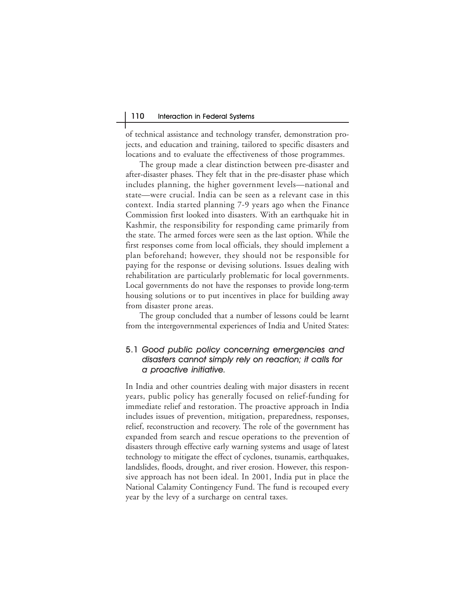of technical assistance and technology transfer, demonstration projects, and education and training, tailored to specific disasters and locations and to evaluate the effectiveness of those programmes.

The group made a clear distinction between pre-disaster and after-disaster phases. They felt that in the pre-disaster phase which includes planning, the higher government levels—national and state—were crucial. India can be seen as a relevant case in this context. India started planning 7-9 years ago when the Finance Commission first looked into disasters. With an earthquake hit in Kashmir, the responsibility for responding came primarily from the state. The armed forces were seen as the last option. While the first responses come from local officials, they should implement a plan beforehand; however, they should not be responsible for paying for the response or devising solutions. Issues dealing with rehabilitation are particularly problematic for local governments. Local governments do not have the responses to provide long-term housing solutions or to put incentives in place for building away from disaster prone areas.

The group concluded that a number of lessons could be learnt from the intergovernmental experiences of India and United States:

#### 5.1 Good public policy concerning emergencies and disasters cannot simply rely on reaction; it calls for a proactive initiative.

In India and other countries dealing with major disasters in recent years, public policy has generally focused on relief-funding for immediate relief and restoration. The proactive approach in India includes issues of prevention, mitigation, preparedness, responses, relief, reconstruction and recovery. The role of the government has expanded from search and rescue operations to the prevention of disasters through effective early warning systems and usage of latest technology to mitigate the effect of cyclones, tsunamis, earthquakes, landslides, floods, drought, and river erosion. However, this responsive approach has not been ideal. In 2001, India put in place the National Calamity Contingency Fund. The fund is recouped every year by the levy of a surcharge on central taxes.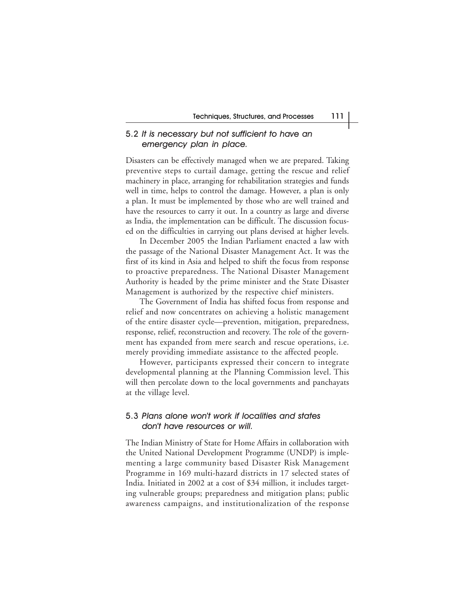#### 5.2 It is necessary but not sufficient to have an emergency plan in place.

Disasters can be effectively managed when we are prepared. Taking preventive steps to curtail damage, getting the rescue and relief machinery in place, arranging for rehabilitation strategies and funds well in time, helps to control the damage. However, a plan is only a plan. It must be implemented by those who are well trained and have the resources to carry it out. In a country as large and diverse as India, the implementation can be difficult. The discussion focused on the difficulties in carrying out plans devised at higher levels.

In December 2005 the Indian Parliament enacted a law with the passage of the National Disaster Management Act. It was the first of its kind in Asia and helped to shift the focus from response to proactive preparedness. The National Disaster Management Authority is headed by the prime minister and the State Disaster Management is authorized by the respective chief ministers.

The Government of India has shifted focus from response and relief and now concentrates on achieving a holistic management of the entire disaster cycle—prevention, mitigation, preparedness, response, relief, reconstruction and recovery. The role of the government has expanded from mere search and rescue operations, i.e. merely providing immediate assistance to the affected people.

However, participants expressed their concern to integrate developmental planning at the Planning Commission level. This will then percolate down to the local governments and panchayats at the village level.

#### 5.3 Plans alone won't work if localities and states don't have resources or will.

The Indian Ministry of State for Home Affairs in collaboration with the United National Development Programme (UNDP) is implementing a large community based Disaster Risk Management Programme in 169 multi-hazard districts in 17 selected states of India. Initiated in 2002 at a cost of \$34 million, it includes targeting vulnerable groups; preparedness and mitigation plans; public awareness campaigns, and institutionalization of the response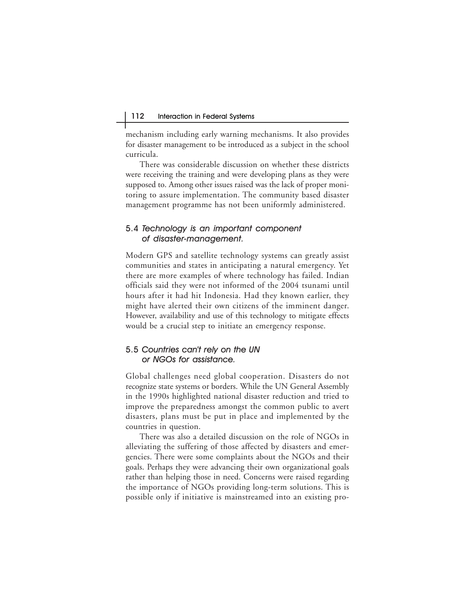mechanism including early warning mechanisms. It also provides for disaster management to be introduced as a subject in the school curricula.

There was considerable discussion on whether these districts were receiving the training and were developing plans as they were supposed to. Among other issues raised was the lack of proper monitoring to assure implementation. The community based disaster management programme has not been uniformly administered.

#### 5.4 Technology is an important component of disaster-management.

Modern GPS and satellite technology systems can greatly assist communities and states in anticipating a natural emergency. Yet there are more examples of where technology has failed. Indian officials said they were not informed of the 2004 tsunami until hours after it had hit Indonesia. Had they known earlier, they might have alerted their own citizens of the imminent danger. However, availability and use of this technology to mitigate effects would be a crucial step to initiate an emergency response.

#### 5.5 Countries can't rely on the UN or NGOs for assistance.

Global challenges need global cooperation. Disasters do not recognize state systems or borders. While the UN General Assembly in the 1990s highlighted national disaster reduction and tried to improve the preparedness amongst the common public to avert disasters, plans must be put in place and implemented by the countries in question.

There was also a detailed discussion on the role of NGOs in alleviating the suffering of those affected by disasters and emergencies. There were some complaints about the NGOs and their goals. Perhaps they were advancing their own organizational goals rather than helping those in need. Concerns were raised regarding the importance of NGOs providing long-term solutions. This is possible only if initiative is mainstreamed into an existing pro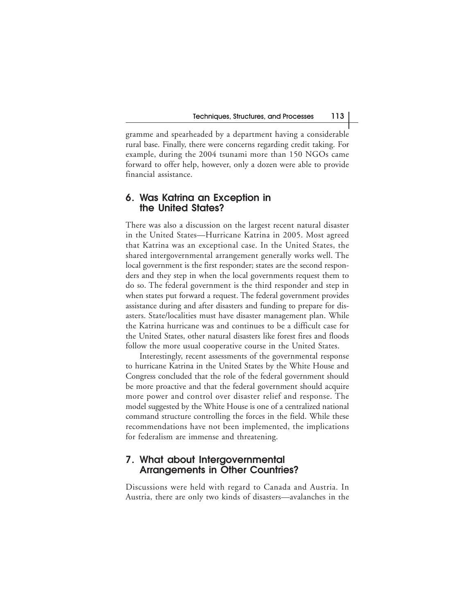gramme and spearheaded by a department having a considerable rural base. Finally, there were concerns regarding credit taking. For example, during the 2004 tsunami more than 150 NGOs came forward to offer help, however, only a dozen were able to provide financial assistance.

### **6. Was Katrina an Exception in the United States?**

There was also a discussion on the largest recent natural disaster in the United States—Hurricane Katrina in 2005. Most agreed that Katrina was an exceptional case. In the United States, the shared intergovernmental arrangement generally works well. The local government is the first responder; states are the second responders and they step in when the local governments request them to do so. The federal government is the third responder and step in when states put forward a request. The federal government provides assistance during and after disasters and funding to prepare for disasters. State/localities must have disaster management plan. While the Katrina hurricane was and continues to be a difficult case for the United States, other natural disasters like forest fires and floods follow the more usual cooperative course in the United States.

Interestingly, recent assessments of the governmental response to hurricane Katrina in the United States by the White House and Congress concluded that the role of the federal government should be more proactive and that the federal government should acquire more power and control over disaster relief and response. The model suggested by the White House is one of a centralized national command structure controlling the forces in the field. While these recommendations have not been implemented, the implications for federalism are immense and threatening.

#### **7. What about Intergovernmental Arrangements in Other Countries?**

Discussions were held with regard to Canada and Austria. In Austria, there are only two kinds of disasters—avalanches in the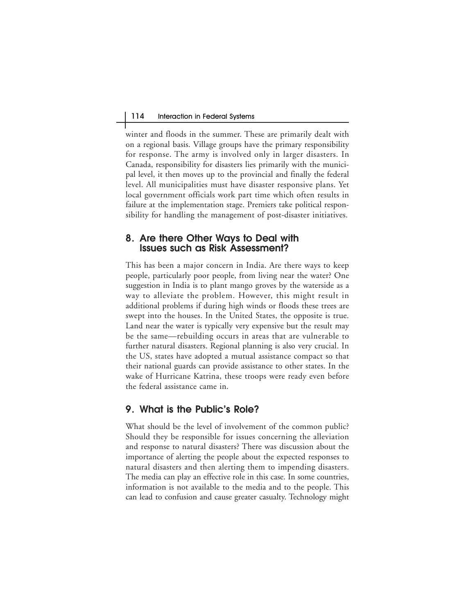winter and floods in the summer. These are primarily dealt with on a regional basis. Village groups have the primary responsibility for response. The army is involved only in larger disasters. In Canada, responsibility for disasters lies primarily with the municipal level, it then moves up to the provincial and finally the federal level. All municipalities must have disaster responsive plans. Yet local government officials work part time which often results in failure at the implementation stage. Premiers take political responsibility for handling the management of post-disaster initiatives.

#### **8. Are there Other Ways to Deal with Issues such as Risk Assessment?**

This has been a major concern in India. Are there ways to keep people, particularly poor people, from living near the water? One suggestion in India is to plant mango groves by the waterside as a way to alleviate the problem. However, this might result in additional problems if during high winds or floods these trees are swept into the houses. In the United States, the opposite is true. Land near the water is typically very expensive but the result may be the same—rebuilding occurs in areas that are vulnerable to further natural disasters. Regional planning is also very crucial. In the US, states have adopted a mutual assistance compact so that their national guards can provide assistance to other states. In the wake of Hurricane Katrina, these troops were ready even before the federal assistance came in.

### **9. What is the Public's Role?**

What should be the level of involvement of the common public? Should they be responsible for issues concerning the alleviation and response to natural disasters? There was discussion about the importance of alerting the people about the expected responses to natural disasters and then alerting them to impending disasters. The media can play an effective role in this case. In some countries, information is not available to the media and to the people. This can lead to confusion and cause greater casualty. Technology might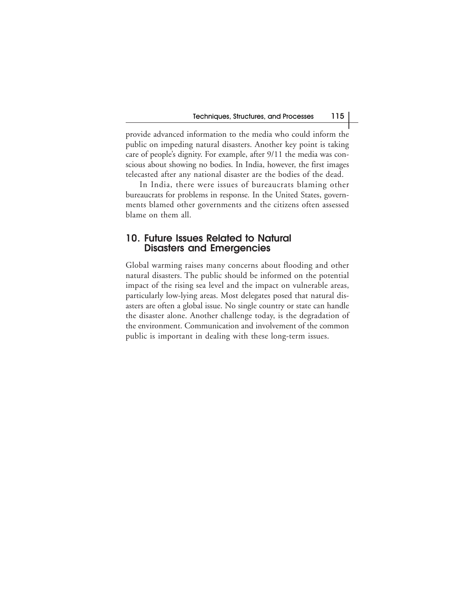provide advanced information to the media who could inform the public on impeding natural disasters. Another key point is taking care of people's dignity. For example, after 9/11 the media was conscious about showing no bodies. In India, however, the first images telecasted after any national disaster are the bodies of the dead.

In India, there were issues of bureaucrats blaming other bureaucrats for problems in response. In the United States, governments blamed other governments and the citizens often assessed blame on them all.

#### **10. Future Issues Related to Natural Disasters and Emergencies**

Global warming raises many concerns about flooding and other natural disasters. The public should be informed on the potential impact of the rising sea level and the impact on vulnerable areas, particularly low-lying areas. Most delegates posed that natural disasters are often a global issue. No single country or state can handle the disaster alone. Another challenge today, is the degradation of the environment. Communication and involvement of the common public is important in dealing with these long-term issues.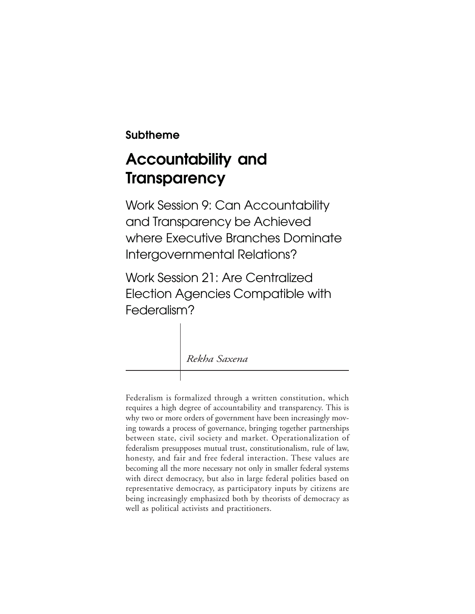## **Subtheme**

## **Accountability and Transparency**

Work Session 9: Can Accountability and Transparency be Achieved where Executive Branches Dominate Intergovernmental Relations?

Work Session 21: Are Centralized Election Agencies Compatible with Federalism?

*Rekha Saxena*

Federalism is formalized through a written constitution, which requires a high degree of accountability and transparency. This is why two or more orders of government have been increasingly moving towards a process of governance, bringing together partnerships between state, civil society and market. Operationalization of federalism presupposes mutual trust, constitutionalism, rule of law, honesty, and fair and free federal interaction. These values are becoming all the more necessary not only in smaller federal systems with direct democracy, but also in large federal polities based on representative democracy, as participatory inputs by citizens are being increasingly emphasized both by theorists of democracy as well as political activists and practitioners.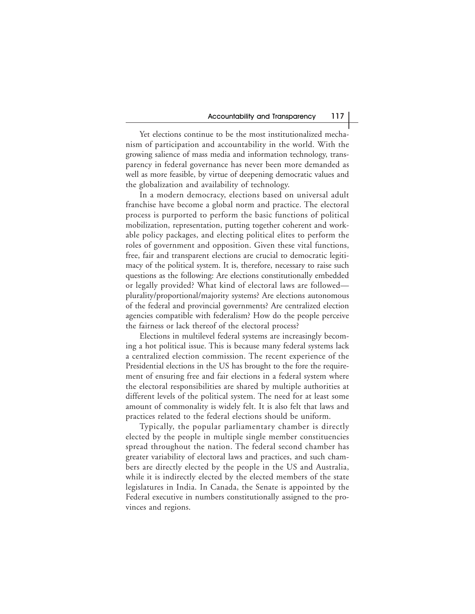Yet elections continue to be the most institutionalized mechanism of participation and accountability in the world. With the growing salience of mass media and information technology, transparency in federal governance has never been more demanded as well as more feasible, by virtue of deepening democratic values and the globalization and availability of technology.

In a modern democracy, elections based on universal adult franchise have become a global norm and practice. The electoral process is purported to perform the basic functions of political mobilization, representation, putting together coherent and workable policy packages, and electing political elites to perform the roles of government and opposition. Given these vital functions, free, fair and transparent elections are crucial to democratic legitimacy of the political system. It is, therefore, necessary to raise such questions as the following: Are elections constitutionally embedded or legally provided? What kind of electoral laws are followed plurality/proportional/majority systems? Are elections autonomous of the federal and provincial governments? Are centralized election agencies compatible with federalism? How do the people perceive the fairness or lack thereof of the electoral process?

Elections in multilevel federal systems are increasingly becoming a hot political issue. This is because many federal systems lack a centralized election commission. The recent experience of the Presidential elections in the US has brought to the fore the requirement of ensuring free and fair elections in a federal system where the electoral responsibilities are shared by multiple authorities at different levels of the political system. The need for at least some amount of commonality is widely felt. It is also felt that laws and practices related to the federal elections should be uniform.

Typically, the popular parliamentary chamber is directly elected by the people in multiple single member constituencies spread throughout the nation. The federal second chamber has greater variability of electoral laws and practices, and such chambers are directly elected by the people in the US and Australia, while it is indirectly elected by the elected members of the state legislatures in India. In Canada, the Senate is appointed by the Federal executive in numbers constitutionally assigned to the provinces and regions.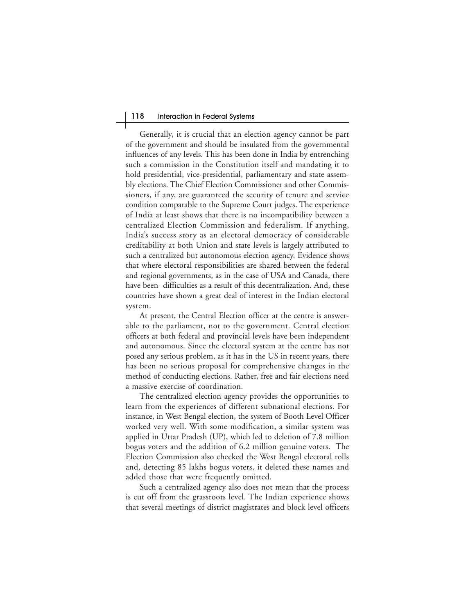#### 118 Interaction in Federal Systems

Generally, it is crucial that an election agency cannot be part of the government and should be insulated from the governmental influences of any levels. This has been done in India by entrenching such a commission in the Constitution itself and mandating it to hold presidential, vice-presidential, parliamentary and state assembly elections. The Chief Election Commissioner and other Commissioners, if any, are guaranteed the security of tenure and service condition comparable to the Supreme Court judges. The experience of India at least shows that there is no incompatibility between a centralized Election Commission and federalism. If anything, India's success story as an electoral democracy of considerable creditability at both Union and state levels is largely attributed to such a centralized but autonomous election agency. Evidence shows that where electoral responsibilities are shared between the federal and regional governments, as in the case of USA and Canada, there have been difficulties as a result of this decentralization. And, these countries have shown a great deal of interest in the Indian electoral system.

At present, the Central Election officer at the centre is answerable to the parliament, not to the government. Central election officers at both federal and provincial levels have been independent and autonomous. Since the electoral system at the centre has not posed any serious problem, as it has in the US in recent years, there has been no serious proposal for comprehensive changes in the method of conducting elections. Rather, free and fair elections need a massive exercise of coordination.

The centralized election agency provides the opportunities to learn from the experiences of different subnational elections. For instance, in West Bengal election, the system of Booth Level Officer worked very well. With some modification, a similar system was applied in Uttar Pradesh (UP), which led to deletion of 7.8 million bogus voters and the addition of 6.2 million genuine voters. The Election Commission also checked the West Bengal electoral rolls and, detecting 85 lakhs bogus voters, it deleted these names and added those that were frequently omitted.

Such a centralized agency also does not mean that the process is cut off from the grassroots level. The Indian experience shows that several meetings of district magistrates and block level officers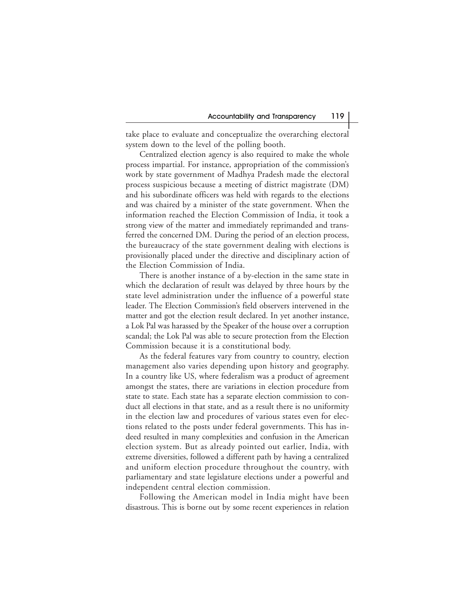take place to evaluate and conceptualize the overarching electoral system down to the level of the polling booth.

Centralized election agency is also required to make the whole process impartial. For instance, appropriation of the commission's work by state government of Madhya Pradesh made the electoral process suspicious because a meeting of district magistrate (DM) and his subordinate officers was held with regards to the elections and was chaired by a minister of the state government. When the information reached the Election Commission of India, it took a strong view of the matter and immediately reprimanded and transferred the concerned DM. During the period of an election process, the bureaucracy of the state government dealing with elections is provisionally placed under the directive and disciplinary action of the Election Commission of India.

There is another instance of a by-election in the same state in which the declaration of result was delayed by three hours by the state level administration under the influence of a powerful state leader. The Election Commission's field observers intervened in the matter and got the election result declared. In yet another instance, a Lok Pal was harassed by the Speaker of the house over a corruption scandal; the Lok Pal was able to secure protection from the Election Commission because it is a constitutional body.

As the federal features vary from country to country, election management also varies depending upon history and geography. In a country like US, where federalism was a product of agreement amongst the states, there are variations in election procedure from state to state. Each state has a separate election commission to conduct all elections in that state, and as a result there is no uniformity in the election law and procedures of various states even for elections related to the posts under federal governments. This has indeed resulted in many complexities and confusion in the American election system. But as already pointed out earlier, India, with extreme diversities, followed a different path by having a centralized and uniform election procedure throughout the country, with parliamentary and state legislature elections under a powerful and independent central election commission.

Following the American model in India might have been disastrous. This is borne out by some recent experiences in relation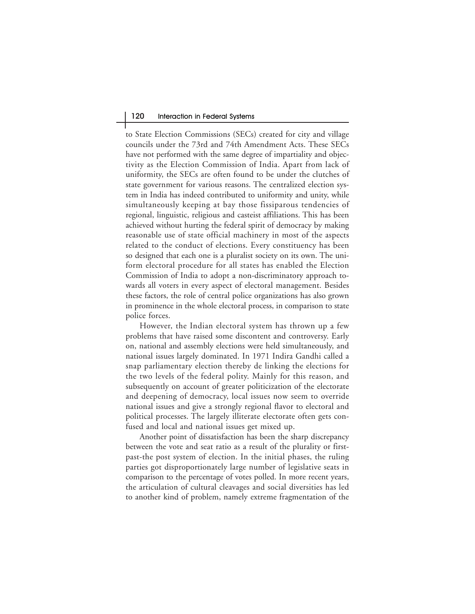to State Election Commissions (SECs) created for city and village councils under the 73rd and 74th Amendment Acts. These SECs have not performed with the same degree of impartiality and objectivity as the Election Commission of India. Apart from lack of uniformity, the SECs are often found to be under the clutches of state government for various reasons. The centralized election system in India has indeed contributed to uniformity and unity, while simultaneously keeping at bay those fissiparous tendencies of regional, linguistic, religious and casteist affiliations. This has been achieved without hurting the federal spirit of democracy by making reasonable use of state official machinery in most of the aspects related to the conduct of elections. Every constituency has been so designed that each one is a pluralist society on its own. The uniform electoral procedure for all states has enabled the Election Commission of India to adopt a non-discriminatory approach towards all voters in every aspect of electoral management. Besides these factors, the role of central police organizations has also grown in prominence in the whole electoral process, in comparison to state police forces.

However, the Indian electoral system has thrown up a few problems that have raised some discontent and controversy. Early on, national and assembly elections were held simultaneously, and national issues largely dominated. In 1971 Indira Gandhi called a snap parliamentary election thereby de linking the elections for the two levels of the federal polity. Mainly for this reason, and subsequently on account of greater politicization of the electorate and deepening of democracy, local issues now seem to override national issues and give a strongly regional flavor to electoral and political processes. The largely illiterate electorate often gets confused and local and national issues get mixed up.

Another point of dissatisfaction has been the sharp discrepancy between the vote and seat ratio as a result of the plurality or firstpast-the post system of election. In the initial phases, the ruling parties got disproportionately large number of legislative seats in comparison to the percentage of votes polled. In more recent years, the articulation of cultural cleavages and social diversities has led to another kind of problem, namely extreme fragmentation of the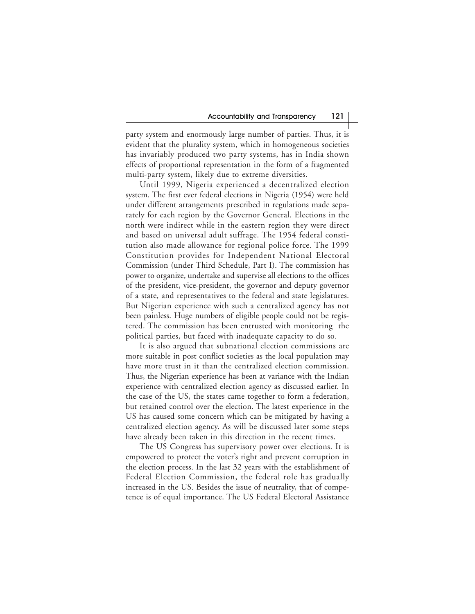party system and enormously large number of parties. Thus, it is evident that the plurality system, which in homogeneous societies has invariably produced two party systems, has in India shown effects of proportional representation in the form of a fragmented multi-party system, likely due to extreme diversities.

Until 1999, Nigeria experienced a decentralized election system. The first ever federal elections in Nigeria (1954) were held under different arrangements prescribed in regulations made separately for each region by the Governor General. Elections in the north were indirect while in the eastern region they were direct and based on universal adult suffrage. The 1954 federal constitution also made allowance for regional police force. The 1999 Constitution provides for Independent National Electoral Commission (under Third Schedule, Part I). The commission has power to organize, undertake and supervise all elections to the offices of the president, vice-president, the governor and deputy governor of a state, and representatives to the federal and state legislatures. But Nigerian experience with such a centralized agency has not been painless. Huge numbers of eligible people could not be registered. The commission has been entrusted with monitoring the political parties, but faced with inadequate capacity to do so.

It is also argued that subnational election commissions are more suitable in post conflict societies as the local population may have more trust in it than the centralized election commission. Thus, the Nigerian experience has been at variance with the Indian experience with centralized election agency as discussed earlier. In the case of the US, the states came together to form a federation, but retained control over the election. The latest experience in the US has caused some concern which can be mitigated by having a centralized election agency. As will be discussed later some steps have already been taken in this direction in the recent times.

The US Congress has supervisory power over elections. It is empowered to protect the voter's right and prevent corruption in the election process. In the last 32 years with the establishment of Federal Election Commission, the federal role has gradually increased in the US. Besides the issue of neutrality, that of competence is of equal importance. The US Federal Electoral Assistance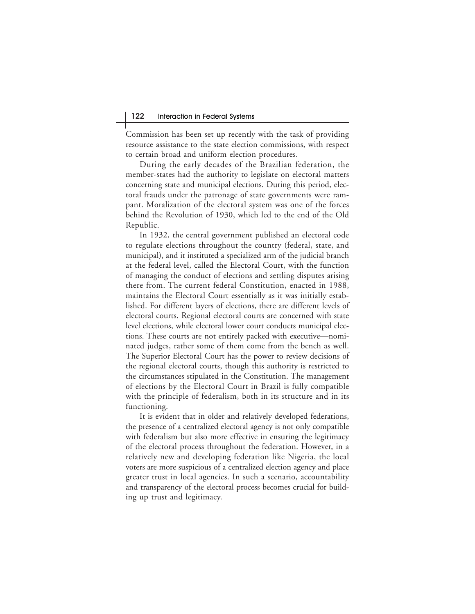Commission has been set up recently with the task of providing resource assistance to the state election commissions, with respect to certain broad and uniform election procedures.

During the early decades of the Brazilian federation, the member-states had the authority to legislate on electoral matters concerning state and municipal elections. During this period, electoral frauds under the patronage of state governments were rampant. Moralization of the electoral system was one of the forces behind the Revolution of 1930, which led to the end of the Old Republic.

In 1932, the central government published an electoral code to regulate elections throughout the country (federal, state, and municipal), and it instituted a specialized arm of the judicial branch at the federal level, called the Electoral Court, with the function of managing the conduct of elections and settling disputes arising there from. The current federal Constitution, enacted in 1988, maintains the Electoral Court essentially as it was initially established. For different layers of elections, there are different levels of electoral courts. Regional electoral courts are concerned with state level elections, while electoral lower court conducts municipal elections. These courts are not entirely packed with executive—nominated judges, rather some of them come from the bench as well. The Superior Electoral Court has the power to review decisions of the regional electoral courts, though this authority is restricted to the circumstances stipulated in the Constitution. The management of elections by the Electoral Court in Brazil is fully compatible with the principle of federalism, both in its structure and in its functioning.

It is evident that in older and relatively developed federations, the presence of a centralized electoral agency is not only compatible with federalism but also more effective in ensuring the legitimacy of the electoral process throughout the federation. However, in a relatively new and developing federation like Nigeria, the local voters are more suspicious of a centralized election agency and place greater trust in local agencies. In such a scenario, accountability and transparency of the electoral process becomes crucial for building up trust and legitimacy.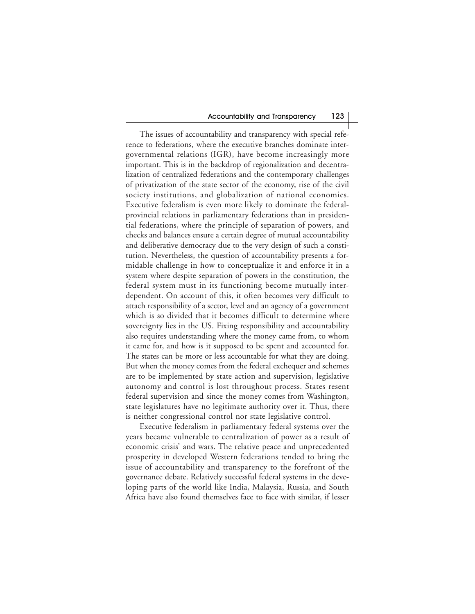The issues of accountability and transparency with special reference to federations, where the executive branches dominate intergovernmental relations (IGR), have become increasingly more important. This is in the backdrop of regionalization and decentralization of centralized federations and the contemporary challenges of privatization of the state sector of the economy, rise of the civil society institutions, and globalization of national economies. Executive federalism is even more likely to dominate the federalprovincial relations in parliamentary federations than in presidential federations, where the principle of separation of powers, and checks and balances ensure a certain degree of mutual accountability and deliberative democracy due to the very design of such a constitution. Nevertheless, the question of accountability presents a formidable challenge in how to conceptualize it and enforce it in a system where despite separation of powers in the constitution, the federal system must in its functioning become mutually interdependent. On account of this, it often becomes very difficult to attach responsibility of a sector, level and an agency of a government which is so divided that it becomes difficult to determine where sovereignty lies in the US. Fixing responsibility and accountability also requires understanding where the money came from, to whom it came for, and how is it supposed to be spent and accounted for. The states can be more or less accountable for what they are doing. But when the money comes from the federal exchequer and schemes are to be implemented by state action and supervision, legislative autonomy and control is lost throughout process. States resent federal supervision and since the money comes from Washington, state legislatures have no legitimate authority over it. Thus, there is neither congressional control nor state legislative control.

Executive federalism in parliamentary federal systems over the years became vulnerable to centralization of power as a result of economic crisis' and wars. The relative peace and unprecedented prosperity in developed Western federations tended to bring the issue of accountability and transparency to the forefront of the governance debate. Relatively successful federal systems in the developing parts of the world like India, Malaysia, Russia, and South Africa have also found themselves face to face with similar, if lesser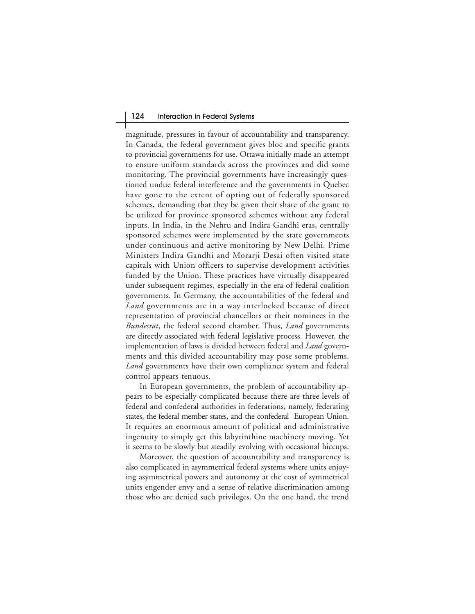#### 124 Interaction in Federal Systems

magnitude, pressures in favour of accountability and transparency. In Canada, the federal government gives bloc and specific grants to provincial governments for use. Ottawa initially made an attempt to ensure uniform standards across the provinces and did some monitoring. The provincial governments have increasingly questioned undue federal interference and the governments in Quebec have gone to the extent of opting out of federally sponsored schemes, demanding that they be given their share of the grant to be utilized for province sponsored schemes without any federal inputs. In India, in the Nehru and Indira Gandhi eras, centrally sponsored schemes were implemented by the state governments under continuous and active monitoring by New Delhi. Prime Ministers Indira Gandhi and Morarji Desai often visited state capitals with Union officers to supervise development activities funded by the Union. These practices have virtually disappeared under subsequent regimes, especially in the era of federal coalition governments. In Germany, the accountabilities of the federal and *Land* governments are in a way interlocked because of direct representation of provincial chancellors or their nominees in the *Bundesrat*, the federal second chamber. Thus, *Land* governments are directly associated with federal legislative process. However, the implementation of laws is divided between federal and *Land* governments and this divided accountability may pose some problems. *Land* governments have their own compliance system and federal control appears tenuous.

In European governments, the problem of accountability appears to be especially complicated because there are three levels of federal and confederal authorities in federations, namely, federating states, the federal member states, and the confederal European Union. It requires an enormous amount of political and administrative ingenuity to simply get this labyrinthine machinery moving. Yet it seems to be slowly but steadily evolving with occasional hiccups.

Moreover, the question of accountability and transparency is also complicated in asymmetrical federal systems where units enjoying asymmetrical powers and autonomy at the cost of symmetrical units engender envy and a sense of relative discrimination among those who are denied such privileges. On the one hand, the trend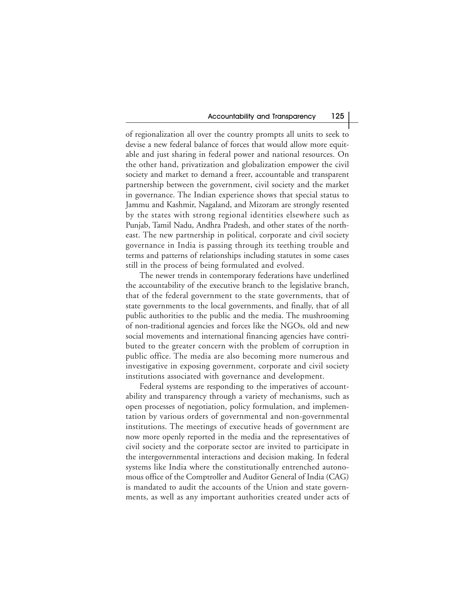of regionalization all over the country prompts all units to seek to devise a new federal balance of forces that would allow more equitable and just sharing in federal power and national resources. On the other hand, privatization and globalization empower the civil society and market to demand a freer, accountable and transparent partnership between the government, civil society and the market in governance. The Indian experience shows that special status to Jammu and Kashmir, Nagaland, and Mizoram are strongly resented by the states with strong regional identities elsewhere such as Punjab, Tamil Nadu, Andhra Pradesh, and other states of the northeast. The new partnership in political, corporate and civil society governance in India is passing through its teething trouble and terms and patterns of relationships including statutes in some cases still in the process of being formulated and evolved.

The newer trends in contemporary federations have underlined the accountability of the executive branch to the legislative branch, that of the federal government to the state governments, that of state governments to the local governments, and finally, that of all public authorities to the public and the media. The mushrooming of non-traditional agencies and forces like the NGOs, old and new social movements and international financing agencies have contributed to the greater concern with the problem of corruption in public office. The media are also becoming more numerous and investigative in exposing government, corporate and civil society institutions associated with governance and development.

Federal systems are responding to the imperatives of accountability and transparency through a variety of mechanisms, such as open processes of negotiation, policy formulation, and implementation by various orders of governmental and non-governmental institutions. The meetings of executive heads of government are now more openly reported in the media and the representatives of civil society and the corporate sector are invited to participate in the intergovernmental interactions and decision making. In federal systems like India where the constitutionally entrenched autonomous office of the Comptroller and Auditor General of India (CAG) is mandated to audit the accounts of the Union and state governments, as well as any important authorities created under acts of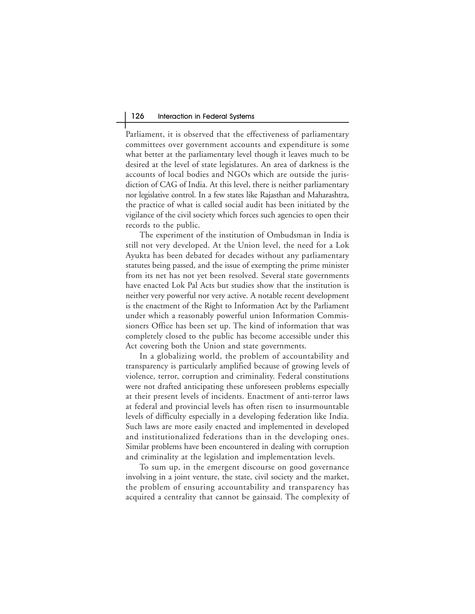Parliament, it is observed that the effectiveness of parliamentary committees over government accounts and expenditure is some what better at the parliamentary level though it leaves much to be desired at the level of state legislatures. An area of darkness is the accounts of local bodies and NGOs which are outside the jurisdiction of CAG of India. At this level, there is neither parliamentary nor legislative control. In a few states like Rajasthan and Maharashtra, the practice of what is called social audit has been initiated by the vigilance of the civil society which forces such agencies to open their records to the public.

The experiment of the institution of Ombudsman in India is still not very developed. At the Union level, the need for a Lok Ayukta has been debated for decades without any parliamentary statutes being passed, and the issue of exempting the prime minister from its net has not yet been resolved. Several state governments have enacted Lok Pal Acts but studies show that the institution is neither very powerful nor very active. A notable recent development is the enactment of the Right to Information Act by the Parliament under which a reasonably powerful union Information Commissioners Office has been set up. The kind of information that was completely closed to the public has become accessible under this Act covering both the Union and state governments.

In a globalizing world, the problem of accountability and transparency is particularly amplified because of growing levels of violence, terror, corruption and criminality. Federal constitutions were not drafted anticipating these unforeseen problems especially at their present levels of incidents. Enactment of anti-terror laws at federal and provincial levels has often risen to insurmountable levels of difficulty especially in a developing federation like India. Such laws are more easily enacted and implemented in developed and institutionalized federations than in the developing ones. Similar problems have been encountered in dealing with corruption and criminality at the legislation and implementation levels.

To sum up, in the emergent discourse on good governance involving in a joint venture, the state, civil society and the market, the problem of ensuring accountability and transparency has acquired a centrality that cannot be gainsaid. The complexity of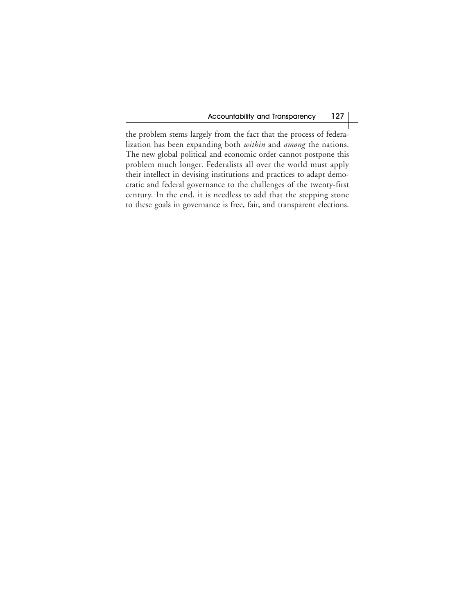the problem stems largely from the fact that the process of federalization has been expanding both *within* and *among* the nations. The new global political and economic order cannot postpone this problem much longer. Federalists all over the world must apply their intellect in devising institutions and practices to adapt democratic and federal governance to the challenges of the twenty-first century. In the end, it is needless to add that the stepping stone to these goals in governance is free, fair, and transparent elections.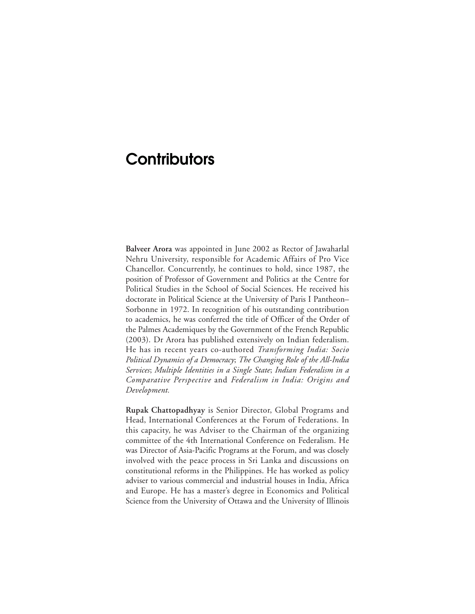## **Contributors**

**Balveer Arora** was appointed in June 2002 as Rector of Jawaharlal Nehru University, responsible for Academic Affairs of Pro Vice Chancellor. Concurrently, he continues to hold, since 1987, the position of Professor of Government and Politics at the Centre for Political Studies in the School of Social Sciences. He received his doctorate in Political Science at the University of Paris I Pantheon– Sorbonne in 1972. In recognition of his outstanding contribution to academics, he was conferred the title of Officer of the Order of the Palmes Academiques by the Government of the French Republic (2003). Dr Arora has published extensively on Indian federalism. He has in recent years co-authored *Transforming India: Socio Political Dynamics of a Democracy*; *The Changing Role of the All-India Services*; *Multiple Identities in a Single State*; *Indian Federalism in a Comparative Perspective* and *Federalism in India: Origins and Development.*

**Rupak Chattopadhyay** is Senior Director, Global Programs and Head, International Conferences at the Forum of Federations. In this capacity, he was Adviser to the Chairman of the organizing committee of the 4th International Conference on Federalism. He was Director of Asia-Pacific Programs at the Forum, and was closely involved with the peace process in Sri Lanka and discussions on constitutional reforms in the Philippines. He has worked as policy adviser to various commercial and industrial houses in India, Africa and Europe. He has a master's degree in Economics and Political Science from the University of Ottawa and the University of Illinois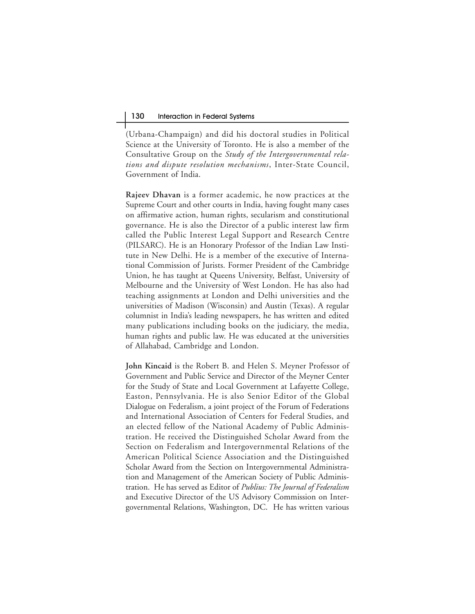(Urbana-Champaign) and did his doctoral studies in Political Science at the University of Toronto. He is also a member of the Consultative Group on the *Study of the Intergovernmental relations and dispute resolution mechanisms*, Inter-State Council, Government of India.

**Rajeev Dhavan** is a former academic, he now practices at the Supreme Court and other courts in India, having fought many cases on affirmative action, human rights, secularism and constitutional governance. He is also the Director of a public interest law firm called the Public Interest Legal Support and Research Centre (PILSARC). He is an Honorary Professor of the Indian Law Institute in New Delhi. He is a member of the executive of International Commission of Jurists. Former President of the Cambridge Union, he has taught at Queens University, Belfast, University of Melbourne and the University of West London. He has also had teaching assignments at London and Delhi universities and the universities of Madison (Wisconsin) and Austin (Texas). A regular columnist in India's leading newspapers, he has written and edited many publications including books on the judiciary, the media, human rights and public law. He was educated at the universities of Allahabad, Cambridge and London.

**John Kincaid** is the Robert B. and Helen S. Meyner Professor of Government and Public Service and Director of the Meyner Center for the Study of State and Local Government at Lafayette College, Easton, Pennsylvania. He is also Senior Editor of the Global Dialogue on Federalism, a joint project of the Forum of Federations and International Association of Centers for Federal Studies, and an elected fellow of the National Academy of Public Administration. He received the Distinguished Scholar Award from the Section on Federalism and Intergovernmental Relations of the American Political Science Association and the Distinguished Scholar Award from the Section on Intergovernmental Administration and Management of the American Society of Public Administration. He has served as Editor of *Publius: The Journal of Federalism* and Executive Director of the US Advisory Commission on Intergovernmental Relations, Washington, DC. He has written various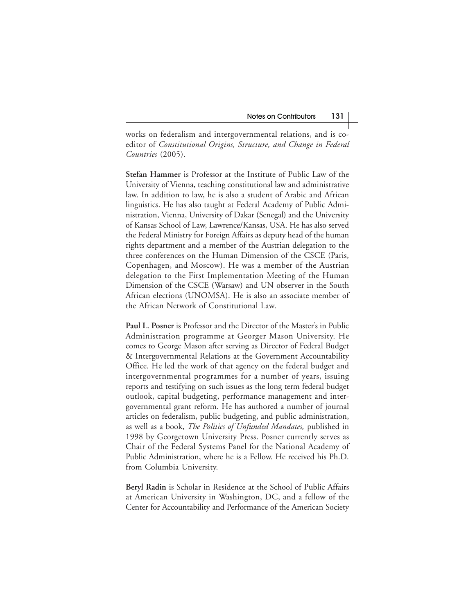works on federalism and intergovernmental relations, and is coeditor of *Constitutional Origins, Structure, and Change in Federal Countries* (2005).

**Stefan Hammer** is Professor at the Institute of Public Law of the University of Vienna, teaching constitutional law and administrative law. In addition to law, he is also a student of Arabic and African linguistics. He has also taught at Federal Academy of Public Administration, Vienna, University of Dakar (Senegal) and the University of Kansas School of Law, Lawrence/Kansas, USA. He has also served the Federal Ministry for Foreign Affairs as deputy head of the human rights department and a member of the Austrian delegation to the three conferences on the Human Dimension of the CSCE (Paris, Copenhagen, and Moscow). He was a member of the Austrian delegation to the First Implementation Meeting of the Human Dimension of the CSCE (Warsaw) and UN observer in the South African elections (UNOMSA). He is also an associate member of the African Network of Constitutional Law.

**Paul L. Posner** is Professor and the Director of the Master's in Public Administration programme at Georger Mason University. He comes to George Mason after serving as Director of Federal Budget & Intergovernmental Relations at the Government Accountability Office. He led the work of that agency on the federal budget and intergovernmental programmes for a number of years, issuing reports and testifying on such issues as the long term federal budget outlook, capital budgeting, performance management and intergovernmental grant reform. He has authored a number of journal articles on federalism, public budgeting, and public administration, as well as a book, *The Politics of Unfunded Mandates,* published in 1998 by Georgetown University Press. Posner currently serves as Chair of the Federal Systems Panel for the National Academy of Public Administration, where he is a Fellow. He received his Ph.D. from Columbia University.

**Beryl Radin** is Scholar in Residence at the School of Public Affairs at American University in Washington, DC, and a fellow of the Center for Accountability and Performance of the American Society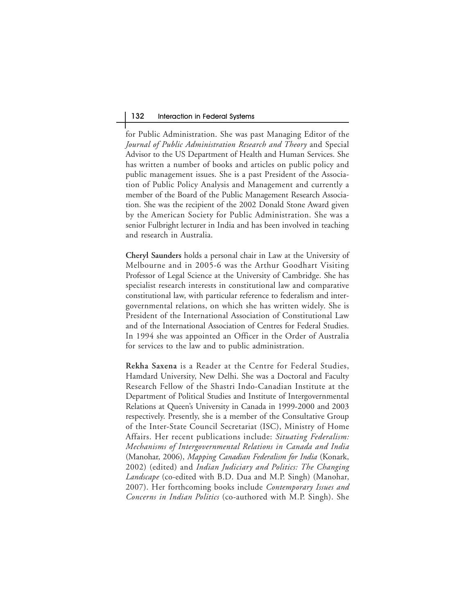## 132 Interaction in Federal Systems

for Public Administration. She was past Managing Editor of the *Journal of Public Administration Research and Theory* and Special Advisor to the US Department of Health and Human Services. She has written a number of books and articles on public policy and public management issues. She is a past President of the Association of Public Policy Analysis and Management and currently a member of the Board of the Public Management Research Association. She was the recipient of the 2002 Donald Stone Award given by the American Society for Public Administration. She was a senior Fulbright lecturer in India and has been involved in teaching and research in Australia.

**Cheryl Saunders** holds a personal chair in Law at the University of Melbourne and in 2005-6 was the Arthur Goodhart Visiting Professor of Legal Science at the University of Cambridge. She has specialist research interests in constitutional law and comparative constitutional law, with particular reference to federalism and intergovernmental relations, on which she has written widely. She is President of the International Association of Constitutional Law and of the International Association of Centres for Federal Studies. In 1994 she was appointed an Officer in the Order of Australia for services to the law and to public administration.

**Rekha Saxena** is a Reader at the Centre for Federal Studies, Hamdard University, New Delhi. She was a Doctoral and Faculty Research Fellow of the Shastri Indo-Canadian Institute at the Department of Political Studies and Institute of Intergovernmental Relations at Queen's University in Canada in 1999-2000 and 2003 respectively. Presently, she is a member of the Consultative Group of the Inter-State Council Secretariat (ISC), Ministry of Home Affairs. Her recent publications include: *Situating Federalism: Mechanisms of Intergovernmental Relations in Canada and India* (Manohar, 2006), *Mapping Canadian Federalism for India* (Konark, 2002) (edited) and *Indian Judiciary and Politics: The Changing Landscape* (co-edited with B.D. Dua and M.P. Singh) (Manohar, 2007). Her forthcoming books include *Contemporary Issues and Concerns in Indian Politics* (co-authored with M.P. Singh). She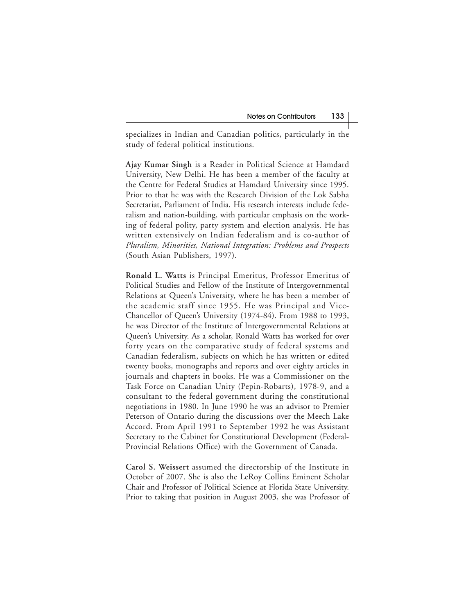specializes in Indian and Canadian politics, particularly in the study of federal political institutions.

**Ajay Kumar Singh** is a Reader in Political Science at Hamdard University, New Delhi. He has been a member of the faculty at the Centre for Federal Studies at Hamdard University since 1995. Prior to that he was with the Research Division of the Lok Sabha Secretariat, Parliament of India. His research interests include federalism and nation-building, with particular emphasis on the working of federal polity, party system and election analysis. He has written extensively on Indian federalism and is co-author of *Pluralism, Minorities, National Integration: Problems and Prospects* (South Asian Publishers, 1997).

**Ronald L. Watts** is Principal Emeritus, Professor Emeritus of Political Studies and Fellow of the Institute of Intergovernmental Relations at Queen's University, where he has been a member of the academic staff since 1955. He was Principal and Vice-Chancellor of Queen's University (1974-84). From 1988 to 1993, he was Director of the Institute of Intergovernmental Relations at Queen's University. As a scholar, Ronald Watts has worked for over forty years on the comparative study of federal systems and Canadian federalism, subjects on which he has written or edited twenty books, monographs and reports and over eighty articles in journals and chapters in books. He was a Commissioner on the Task Force on Canadian Unity (Pepin-Robarts), 1978-9, and a consultant to the federal government during the constitutional negotiations in 1980. In June 1990 he was an advisor to Premier Peterson of Ontario during the discussions over the Meech Lake Accord. From April 1991 to September 1992 he was Assistant Secretary to the Cabinet for Constitutional Development (Federal-Provincial Relations Office) with the Government of Canada.

**Carol S. Weissert** assumed the directorship of the Institute in October of 2007. She is also the LeRoy Collins Eminent Scholar Chair and Professor of Political Science at Florida State University. Prior to taking that position in August 2003, she was Professor of